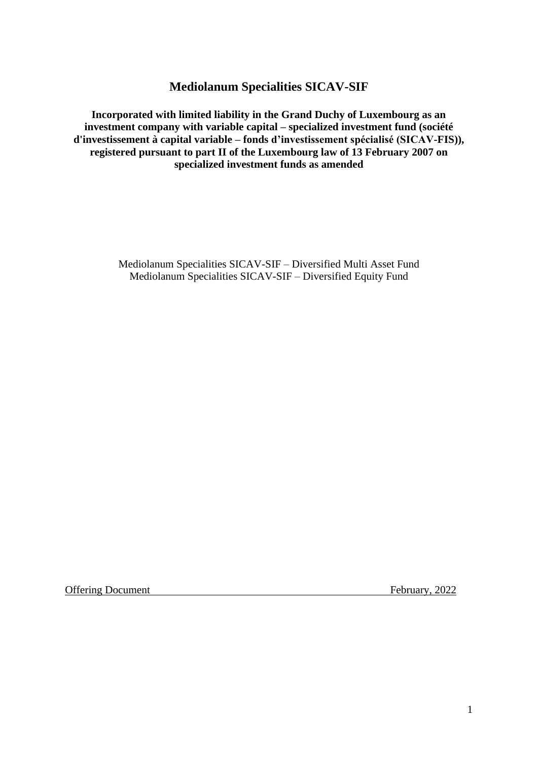**Mediolanum Specialities SICAV-SIF**

**Incorporated with limited liability in the Grand Duchy of Luxembourg as an investment company with variable capital – specialized investment fund (société d'investissement à capital variable – fonds d'investissement spécialisé (SICAV-FIS)), registered pursuant to part II of the Luxembourg law of 13 February 2007 on specialized investment funds as amended**

> Mediolanum Specialities SICAV-SIF – Diversified Multi Asset Fund Mediolanum Specialities SICAV-SIF – Diversified Equity Fund

Offering Document February, 2022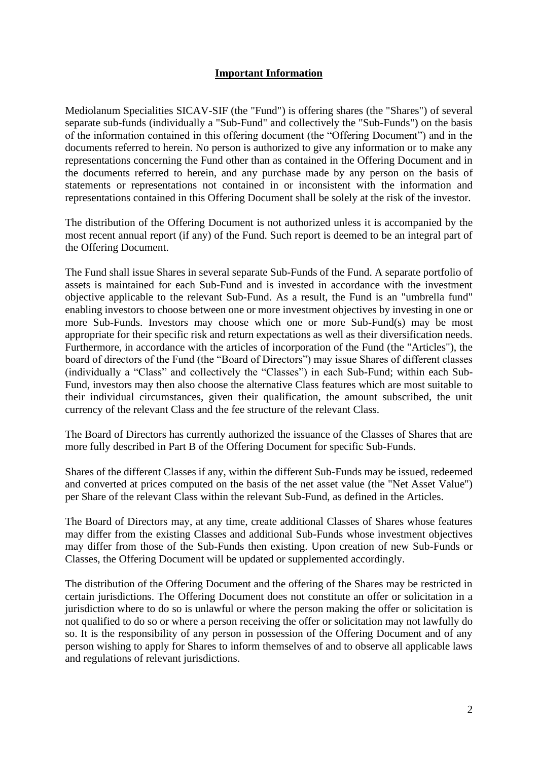### **Important Information**

Mediolanum Specialities SICAV-SIF (the "Fund") is offering shares (the "Shares") of several separate sub-funds (individually a "Sub-Fund" and collectively the "Sub-Funds") on the basis of the information contained in this offering document (the "Offering Document") and in the documents referred to herein. No person is authorized to give any information or to make any representations concerning the Fund other than as contained in the Offering Document and in the documents referred to herein, and any purchase made by any person on the basis of statements or representations not contained in or inconsistent with the information and representations contained in this Offering Document shall be solely at the risk of the investor.

The distribution of the Offering Document is not authorized unless it is accompanied by the most recent annual report (if any) of the Fund. Such report is deemed to be an integral part of the Offering Document.

The Fund shall issue Shares in several separate Sub-Funds of the Fund. A separate portfolio of assets is maintained for each Sub-Fund and is invested in accordance with the investment objective applicable to the relevant Sub-Fund. As a result, the Fund is an "umbrella fund" enabling investors to choose between one or more investment objectives by investing in one or more Sub-Funds. Investors may choose which one or more Sub-Fund(s) may be most appropriate for their specific risk and return expectations as well as their diversification needs. Furthermore, in accordance with the articles of incorporation of the Fund (the "Articles"), the board of directors of the Fund (the "Board of Directors") may issue Shares of different classes (individually a "Class" and collectively the "Classes") in each Sub-Fund; within each Sub-Fund, investors may then also choose the alternative Class features which are most suitable to their individual circumstances, given their qualification, the amount subscribed, the unit currency of the relevant Class and the fee structure of the relevant Class.

The Board of Directors has currently authorized the issuance of the Classes of Shares that are more fully described in Part B of the Offering Document for specific Sub-Funds.

Shares of the different Classes if any, within the different Sub-Funds may be issued, redeemed and converted at prices computed on the basis of the net asset value (the "Net Asset Value") per Share of the relevant Class within the relevant Sub-Fund, as defined in the Articles.

The Board of Directors may, at any time, create additional Classes of Shares whose features may differ from the existing Classes and additional Sub-Funds whose investment objectives may differ from those of the Sub-Funds then existing. Upon creation of new Sub-Funds or Classes, the Offering Document will be updated or supplemented accordingly.

The distribution of the Offering Document and the offering of the Shares may be restricted in certain jurisdictions. The Offering Document does not constitute an offer or solicitation in a jurisdiction where to do so is unlawful or where the person making the offer or solicitation is not qualified to do so or where a person receiving the offer or solicitation may not lawfully do so. It is the responsibility of any person in possession of the Offering Document and of any person wishing to apply for Shares to inform themselves of and to observe all applicable laws and regulations of relevant jurisdictions.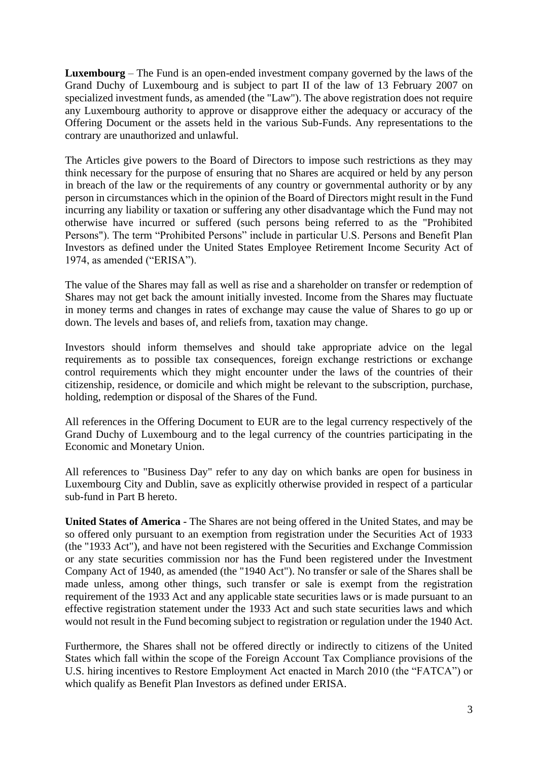**Luxembourg** – The Fund is an open-ended investment company governed by the laws of the Grand Duchy of Luxembourg and is subject to part II of the law of 13 February 2007 on specialized investment funds, as amended (the "Law"). The above registration does not require any Luxembourg authority to approve or disapprove either the adequacy or accuracy of the Offering Document or the assets held in the various Sub-Funds. Any representations to the contrary are unauthorized and unlawful.

The Articles give powers to the Board of Directors to impose such restrictions as they may think necessary for the purpose of ensuring that no Shares are acquired or held by any person in breach of the law or the requirements of any country or governmental authority or by any person in circumstances which in the opinion of the Board of Directors might result in the Fund incurring any liability or taxation or suffering any other disadvantage which the Fund may not otherwise have incurred or suffered (such persons being referred to as the "Prohibited Persons"). The term "Prohibited Persons" include in particular U.S. Persons and Benefit Plan Investors as defined under the United States Employee Retirement Income Security Act of 1974, as amended ("ERISA").

The value of the Shares may fall as well as rise and a shareholder on transfer or redemption of Shares may not get back the amount initially invested. Income from the Shares may fluctuate in money terms and changes in rates of exchange may cause the value of Shares to go up or down. The levels and bases of, and reliefs from, taxation may change.

Investors should inform themselves and should take appropriate advice on the legal requirements as to possible tax consequences, foreign exchange restrictions or exchange control requirements which they might encounter under the laws of the countries of their citizenship, residence, or domicile and which might be relevant to the subscription, purchase, holding, redemption or disposal of the Shares of the Fund.

All references in the Offering Document to EUR are to the legal currency respectively of the Grand Duchy of Luxembourg and to the legal currency of the countries participating in the Economic and Monetary Union.

All references to "Business Day" refer to any day on which banks are open for business in Luxembourg City and Dublin, save as explicitly otherwise provided in respect of a particular sub-fund in Part B hereto.

**United States of America** - The Shares are not being offered in the United States, and may be so offered only pursuant to an exemption from registration under the Securities Act of 1933 (the "1933 Act"), and have not been registered with the Securities and Exchange Commission or any state securities commission nor has the Fund been registered under the Investment Company Act of 1940, as amended (the "1940 Act"). No transfer or sale of the Shares shall be made unless, among other things, such transfer or sale is exempt from the registration requirement of the 1933 Act and any applicable state securities laws or is made pursuant to an effective registration statement under the 1933 Act and such state securities laws and which would not result in the Fund becoming subject to registration or regulation under the 1940 Act.

Furthermore, the Shares shall not be offered directly or indirectly to citizens of the United States which fall within the scope of the Foreign Account Tax Compliance provisions of the U.S. hiring incentives to Restore Employment Act enacted in March 2010 (the "FATCA") or which qualify as Benefit Plan Investors as defined under ERISA.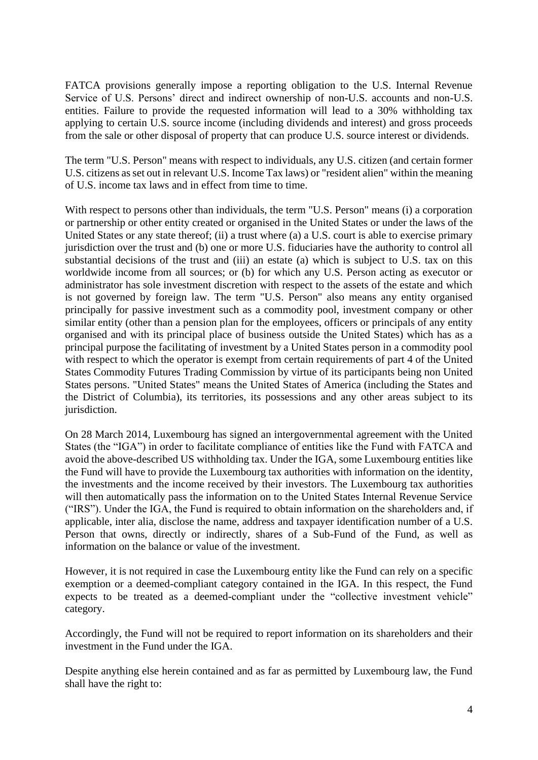FATCA provisions generally impose a reporting obligation to the U.S. Internal Revenue Service of U.S. Persons' direct and indirect ownership of non-U.S. accounts and non-U.S. entities. Failure to provide the requested information will lead to a 30% withholding tax applying to certain U.S. source income (including dividends and interest) and gross proceeds from the sale or other disposal of property that can produce U.S. source interest or dividends.

The term "U.S. Person" means with respect to individuals, any U.S. citizen (and certain former U.S. citizens as set out in relevant U.S. Income Tax laws) or "resident alien" within the meaning of U.S. income tax laws and in effect from time to time.

With respect to persons other than individuals, the term "U.S. Person" means (i) a corporation or partnership or other entity created or organised in the United States or under the laws of the United States or any state thereof; (ii) a trust where (a) a U.S. court is able to exercise primary jurisdiction over the trust and (b) one or more U.S. fiduciaries have the authority to control all substantial decisions of the trust and (iii) an estate (a) which is subject to U.S. tax on this worldwide income from all sources; or (b) for which any U.S. Person acting as executor or administrator has sole investment discretion with respect to the assets of the estate and which is not governed by foreign law. The term "U.S. Person" also means any entity organised principally for passive investment such as a commodity pool, investment company or other similar entity (other than a pension plan for the employees, officers or principals of any entity organised and with its principal place of business outside the United States) which has as a principal purpose the facilitating of investment by a United States person in a commodity pool with respect to which the operator is exempt from certain requirements of part 4 of the United States Commodity Futures Trading Commission by virtue of its participants being non United States persons. "United States" means the United States of America (including the States and the District of Columbia), its territories, its possessions and any other areas subject to its jurisdiction.

On 28 March 2014, Luxembourg has signed an intergovernmental agreement with the United States (the "IGA") in order to facilitate compliance of entities like the Fund with FATCA and avoid the above-described US withholding tax. Under the IGA, some Luxembourg entities like the Fund will have to provide the Luxembourg tax authorities with information on the identity, the investments and the income received by their investors. The Luxembourg tax authorities will then automatically pass the information on to the United States Internal Revenue Service ("IRS"). Under the IGA, the Fund is required to obtain information on the shareholders and, if applicable, inter alia, disclose the name, address and taxpayer identification number of a U.S. Person that owns, directly or indirectly, shares of a Sub-Fund of the Fund, as well as information on the balance or value of the investment.

However, it is not required in case the Luxembourg entity like the Fund can rely on a specific exemption or a deemed-compliant category contained in the IGA. In this respect, the Fund expects to be treated as a deemed-compliant under the "collective investment vehicle" category.

Accordingly, the Fund will not be required to report information on its shareholders and their investment in the Fund under the IGA.

Despite anything else herein contained and as far as permitted by Luxembourg law, the Fund shall have the right to: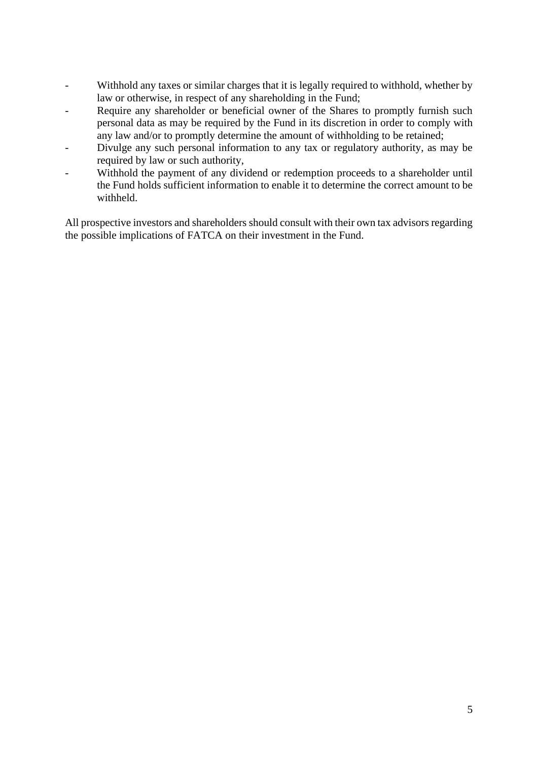- Withhold any taxes or similar charges that it is legally required to withhold, whether by law or otherwise, in respect of any shareholding in the Fund;
- Require any shareholder or beneficial owner of the Shares to promptly furnish such personal data as may be required by the Fund in its discretion in order to comply with any law and/or to promptly determine the amount of withholding to be retained;
- Divulge any such personal information to any tax or regulatory authority, as may be required by law or such authority,
- Withhold the payment of any dividend or redemption proceeds to a shareholder until the Fund holds sufficient information to enable it to determine the correct amount to be withheld.

All prospective investors and shareholders should consult with their own tax advisors regarding the possible implications of FATCA on their investment in the Fund.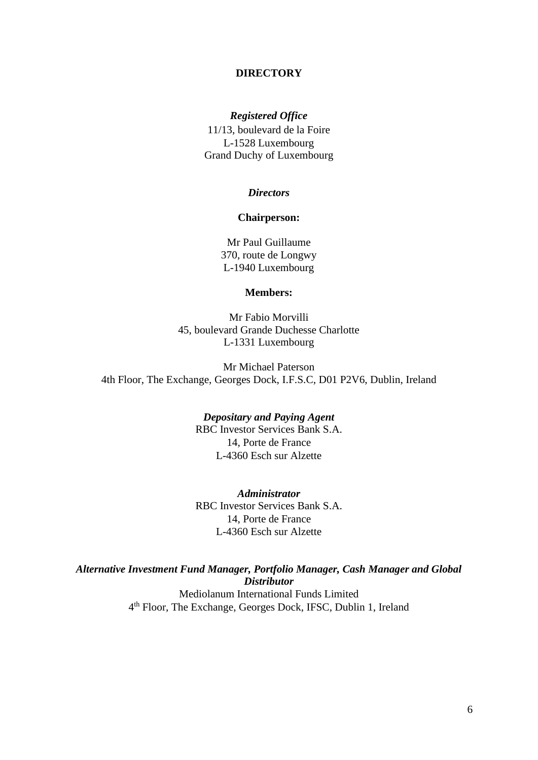#### **DIRECTORY**

#### *Registered Office*

11/13, boulevard de la Foire L-1528 Luxembourg Grand Duchy of Luxembourg

#### *Directors*

#### **Chairperson:**

Mr Paul Guillaume 370, route de Longwy L-1940 Luxembourg

#### **Members:**

Mr Fabio Morvilli 45, boulevard Grande Duchesse Charlotte L-1331 Luxembourg

Mr Michael Paterson 4th Floor, The Exchange, Georges Dock, I.F.S.C, D01 P2V6, Dublin, Ireland

> *Depositary and Paying Agent* RBC Investor Services Bank S.A. 14, Porte de France L-4360 Esch sur Alzette

> *Administrator* RBC Investor Services Bank S.A. 14, Porte de France L-4360 Esch sur Alzette

*Alternative Investment Fund Manager, Portfolio Manager, Cash Manager and Global Distributor* Mediolanum International Funds Limited 4 th Floor, The Exchange, Georges Dock, IFSC, Dublin 1, Ireland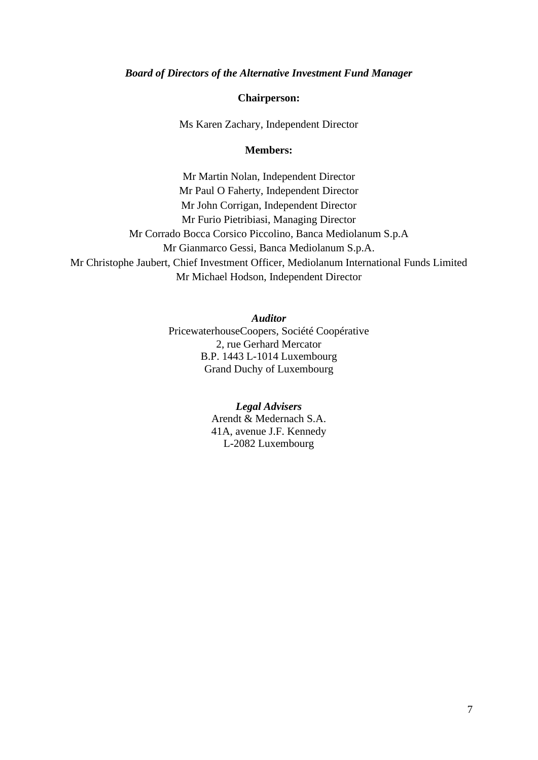#### *Board of Directors of the Alternative Investment Fund Manager*

#### **Chairperson:**

Ms Karen Zachary, Independent Director

#### **Members:**

Mr Martin Nolan, Independent Director Mr Paul O Faherty, Independent Director Mr John Corrigan, Independent Director Mr Furio Pietribiasi, Managing Director Mr Corrado Bocca Corsico Piccolino, Banca Mediolanum S.p.A Mr Gianmarco Gessi, Banca Mediolanum S.p.A. Mr Christophe Jaubert, Chief Investment Officer, Mediolanum International Funds Limited Mr Michael Hodson, Independent Director

*Auditor*

PricewaterhouseCoopers, Société Coopérative 2, rue Gerhard Mercator B.P. 1443 L-1014 Luxembourg Grand Duchy of Luxembourg

#### *Legal Advisers*

Arendt & Medernach S.A. 41A, avenue J.F. Kennedy L-2082 Luxembourg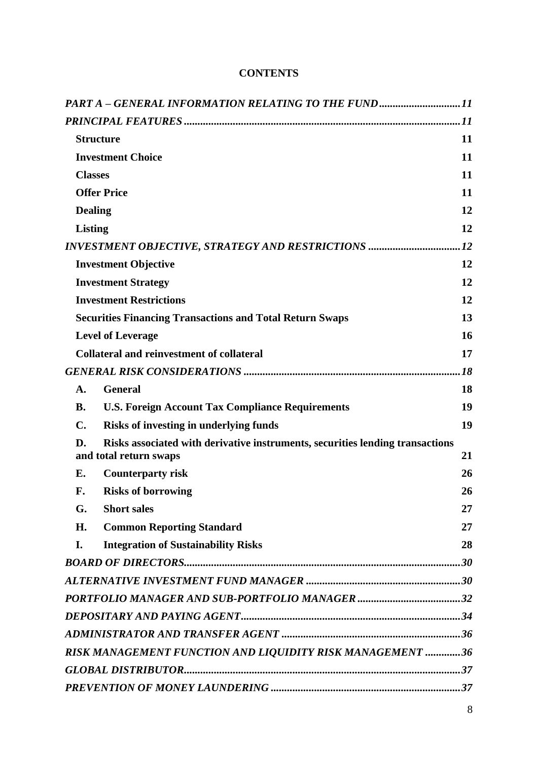|                                                                 | PART A - GENERAL INFORMATION RELATING TO THE FUND11                                                     |     |
|-----------------------------------------------------------------|---------------------------------------------------------------------------------------------------------|-----|
|                                                                 |                                                                                                         |     |
|                                                                 | <b>Structure</b>                                                                                        | 11  |
|                                                                 | <b>Investment Choice</b>                                                                                | 11  |
|                                                                 | <b>Classes</b>                                                                                          | 11  |
|                                                                 | <b>Offer Price</b>                                                                                      | 11  |
|                                                                 | <b>Dealing</b>                                                                                          | 12  |
|                                                                 | Listing                                                                                                 | 12  |
|                                                                 | INVESTMENT OBJECTIVE, STRATEGY AND RESTRICTIONS                                                         | .12 |
|                                                                 | <b>Investment Objective</b>                                                                             | 12  |
|                                                                 | <b>Investment Strategy</b>                                                                              | 12  |
|                                                                 | <b>Investment Restrictions</b>                                                                          | 12  |
| <b>Securities Financing Transactions and Total Return Swaps</b> |                                                                                                         | 13  |
| <b>Level of Leverage</b>                                        |                                                                                                         | 16  |
| <b>Collateral and reinvestment of collateral</b>                |                                                                                                         | 17  |
|                                                                 |                                                                                                         | .18 |
| A.                                                              | <b>General</b>                                                                                          | 18  |
| <b>B.</b>                                                       | <b>U.S. Foreign Account Tax Compliance Requirements</b>                                                 | 19  |
| $\mathbf{C}$ .                                                  | Risks of investing in underlying funds                                                                  | 19  |
| D.                                                              | Risks associated with derivative instruments, securities lending transactions<br>and total return swaps | 21  |
| Е.                                                              | <b>Counterparty risk</b>                                                                                | 26  |
| F.                                                              | <b>Risks of borrowing</b>                                                                               | 26  |
| G.                                                              | <b>Short sales</b>                                                                                      | 27  |
| H.                                                              | <b>Common Reporting Standard</b>                                                                        | 27  |
| I.                                                              | <b>Integration of Sustainability Risks</b>                                                              | 28  |
|                                                                 |                                                                                                         |     |
|                                                                 |                                                                                                         |     |
|                                                                 |                                                                                                         |     |
|                                                                 |                                                                                                         |     |
|                                                                 |                                                                                                         |     |
|                                                                 | RISK MANAGEMENT FUNCTION AND LIQUIDITY RISK MANAGEMENT  36                                              |     |
|                                                                 |                                                                                                         |     |
|                                                                 |                                                                                                         |     |

# **CONTENTS**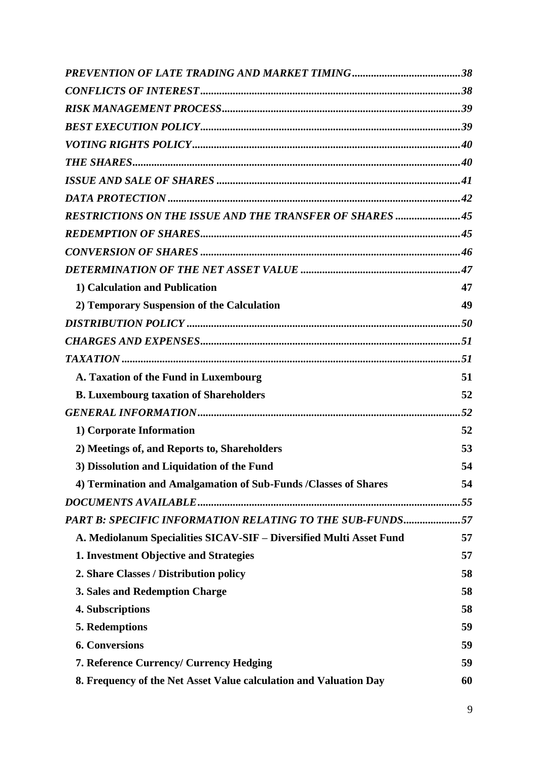| <b>RESTRICTIONS ON THE ISSUE AND THE TRANSFER OF SHARES 45</b>      |    |
|---------------------------------------------------------------------|----|
|                                                                     |    |
|                                                                     |    |
|                                                                     |    |
| 1) Calculation and Publication                                      | 47 |
| 2) Temporary Suspension of the Calculation                          | 49 |
|                                                                     |    |
|                                                                     |    |
|                                                                     |    |
| A. Taxation of the Fund in Luxembourg                               | 51 |
| <b>B. Luxembourg taxation of Shareholders</b>                       | 52 |
|                                                                     |    |
| 1) Corporate Information                                            | 52 |
| 2) Meetings of, and Reports to, Shareholders                        | 53 |
| 3) Dissolution and Liquidation of the Fund                          | 54 |
| 4) Termination and Amalgamation of Sub-Funds / Classes of Shares    | 54 |
|                                                                     |    |
| PART B: SPECIFIC INFORMATION RELATING TO THE SUB-FUNDS57            |    |
| A. Mediolanum Specialities SICAV-SIF - Diversified Multi Asset Fund | 57 |
| 1. Investment Objective and Strategies                              | 57 |
| 2. Share Classes / Distribution policy                              | 58 |
| 3. Sales and Redemption Charge                                      | 58 |
| 4. Subscriptions                                                    | 58 |
| 5. Redemptions                                                      | 59 |
| <b>6. Conversions</b>                                               | 59 |
| <b>7. Reference Currency/ Currency Hedging</b>                      | 59 |
| 8. Frequency of the Net Asset Value calculation and Valuation Day   | 60 |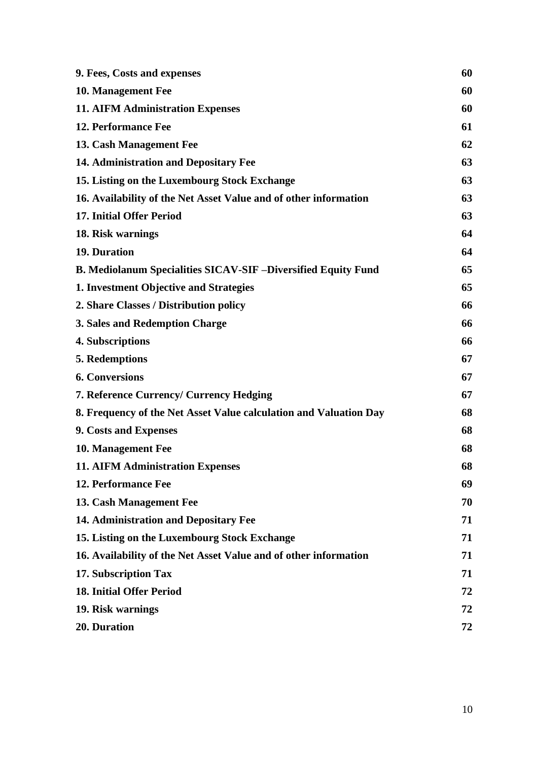| 9. Fees, Costs and expenses                                         |    |
|---------------------------------------------------------------------|----|
| 10. Management Fee                                                  | 60 |
| <b>11. AIFM Administration Expenses</b>                             | 60 |
| 12. Performance Fee                                                 | 61 |
| 13. Cash Management Fee                                             | 62 |
| 14. Administration and Depositary Fee                               | 63 |
| 15. Listing on the Luxembourg Stock Exchange                        | 63 |
| 16. Availability of the Net Asset Value and of other information    | 63 |
| <b>17. Initial Offer Period</b>                                     | 63 |
| 18. Risk warnings                                                   | 64 |
| 19. Duration                                                        | 64 |
| <b>B. Mediolanum Specialities SICAV-SIF-Diversified Equity Fund</b> | 65 |
| 1. Investment Objective and Strategies                              | 65 |
| 2. Share Classes / Distribution policy                              | 66 |
| 3. Sales and Redemption Charge                                      | 66 |
| 4. Subscriptions                                                    | 66 |
| 5. Redemptions                                                      | 67 |
| <b>6. Conversions</b>                                               | 67 |
| <b>7. Reference Currency/ Currency Hedging</b>                      | 67 |
| 8. Frequency of the Net Asset Value calculation and Valuation Day   | 68 |
| 9. Costs and Expenses                                               | 68 |
| 10. Management Fee                                                  | 68 |
| <b>11. AIFM Administration Expenses</b>                             | 68 |
| 12. Performance Fee                                                 | 69 |
| 13. Cash Management Fee                                             | 70 |
| 14. Administration and Depositary Fee                               | 71 |
| 15. Listing on the Luxembourg Stock Exchange                        | 71 |
| 16. Availability of the Net Asset Value and of other information    | 71 |
| 17. Subscription Tax                                                | 71 |
| <b>18. Initial Offer Period</b>                                     |    |
| 19. Risk warnings                                                   | 72 |
| 20. Duration                                                        | 72 |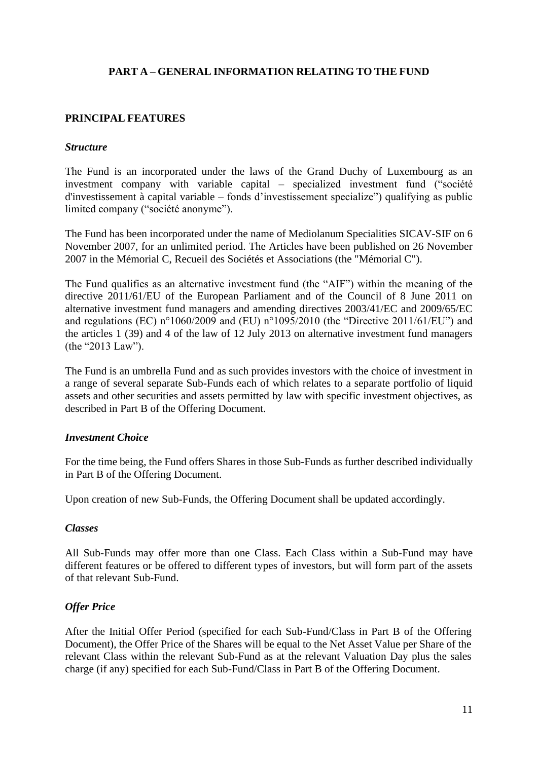# **PART A – GENERAL INFORMATION RELATING TO THE FUND**

# <span id="page-10-1"></span><span id="page-10-0"></span>**PRINCIPAL FEATURES**

#### <span id="page-10-2"></span>*Structure*

The Fund is an incorporated under the laws of the Grand Duchy of Luxembourg as an investment company with variable capital – specialized investment fund ("société d'investissement à capital variable – fonds d'investissement specialize") qualifying as public limited company ("société anonyme").

The Fund has been incorporated under the name of Mediolanum Specialities SICAV-SIF on 6 November 2007, for an unlimited period. The Articles have been published on 26 November 2007 in the Mémorial C, Recueil des Sociétés et Associations (the "Mémorial C").

The Fund qualifies as an alternative investment fund (the "AIF") within the meaning of the directive 2011/61/EU of the European Parliament and of the Council of 8 June 2011 on alternative investment fund managers and amending directives 2003/41/EC and 2009/65/EC and regulations (EC) n°1060/2009 and (EU) n°1095/2010 (the "Directive 2011/61/EU") and the articles 1 (39) and 4 of the law of 12 July 2013 on alternative investment fund managers (the "2013 Law").

The Fund is an umbrella Fund and as such provides investors with the choice of investment in a range of several separate Sub-Funds each of which relates to a separate portfolio of liquid assets and other securities and assets permitted by law with specific investment objectives, as described in Part B of the Offering Document.

### <span id="page-10-3"></span>*Investment Choice*

For the time being, the Fund offers Shares in those Sub-Funds as further described individually in Part B of the Offering Document.

Upon creation of new Sub-Funds, the Offering Document shall be updated accordingly.

### <span id="page-10-4"></span>*Classes*

All Sub-Funds may offer more than one Class. Each Class within a Sub-Fund may have different features or be offered to different types of investors, but will form part of the assets of that relevant Sub-Fund.

### <span id="page-10-5"></span>*Offer Price*

After the Initial Offer Period (specified for each Sub-Fund/Class in Part B of the Offering Document), the Offer Price of the Shares will be equal to the Net Asset Value per Share of the relevant Class within the relevant Sub-Fund as at the relevant Valuation Day plus the sales charge (if any) specified for each Sub-Fund/Class in Part B of the Offering Document.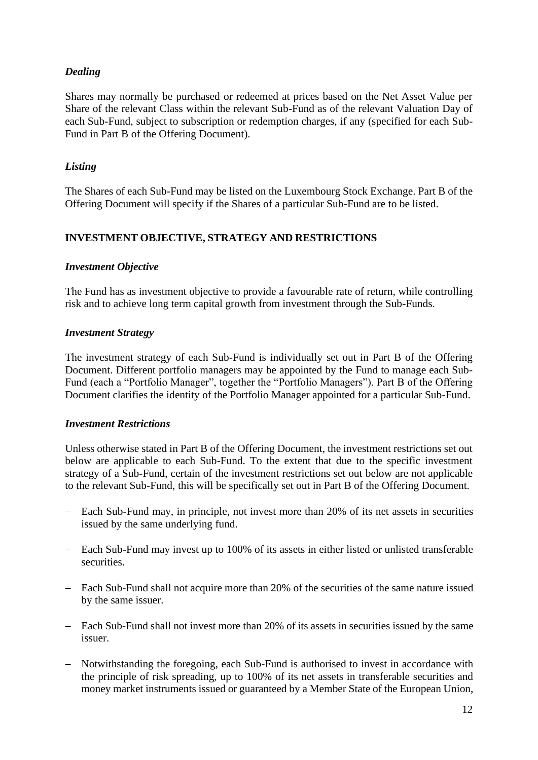# <span id="page-11-0"></span>*Dealing*

Shares may normally be purchased or redeemed at prices based on the Net Asset Value per Share of the relevant Class within the relevant Sub-Fund as of the relevant Valuation Day of each Sub-Fund, subject to subscription or redemption charges, if any (specified for each Sub-Fund in Part B of the Offering Document).

# <span id="page-11-1"></span>*Listing*

The Shares of each Sub-Fund may be listed on the Luxembourg Stock Exchange. Part B of the Offering Document will specify if the Shares of a particular Sub-Fund are to be listed.

# <span id="page-11-2"></span>**INVESTMENT OBJECTIVE, STRATEGY AND RESTRICTIONS**

### <span id="page-11-3"></span>*Investment Objective*

The Fund has as investment objective to provide a favourable rate of return, while controlling risk and to achieve long term capital growth from investment through the Sub-Funds.

## <span id="page-11-4"></span>*Investment Strategy*

The investment strategy of each Sub-Fund is individually set out in Part B of the Offering Document. Different portfolio managers may be appointed by the Fund to manage each Sub-Fund (each a "Portfolio Manager", together the "Portfolio Managers"). Part B of the Offering Document clarifies the identity of the Portfolio Manager appointed for a particular Sub-Fund.

### <span id="page-11-5"></span>*Investment Restrictions*

Unless otherwise stated in Part B of the Offering Document, the investment restrictions set out below are applicable to each Sub-Fund. To the extent that due to the specific investment strategy of a Sub-Fund, certain of the investment restrictions set out below are not applicable to the relevant Sub-Fund, this will be specifically set out in Part B of the Offering Document.

- − Each Sub-Fund may, in principle, not invest more than 20% of its net assets in securities issued by the same underlying fund.
- − Each Sub-Fund may invest up to 100% of its assets in either listed or unlisted transferable securities.
- − Each Sub-Fund shall not acquire more than 20% of the securities of the same nature issued by the same issuer.
- − Each Sub-Fund shall not invest more than 20% of its assets in securities issued by the same issuer.
- − Notwithstanding the foregoing, each Sub-Fund is authorised to invest in accordance with the principle of risk spreading, up to 100% of its net assets in transferable securities and money market instruments issued or guaranteed by a Member State of the European Union,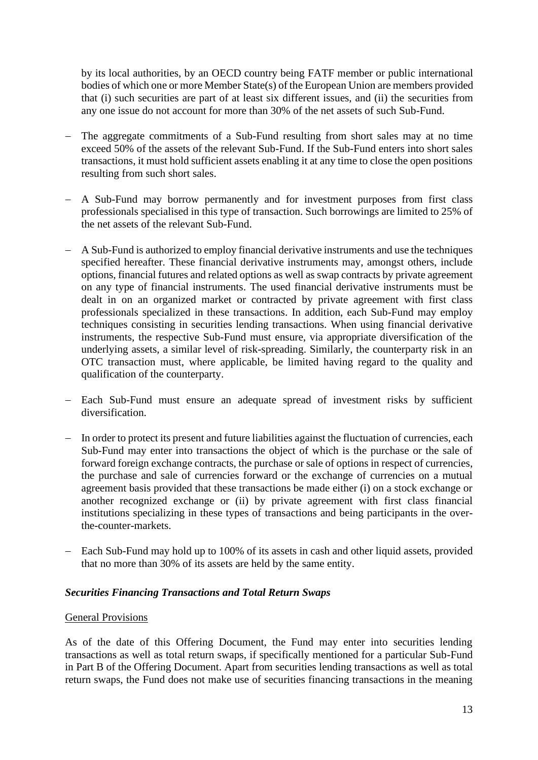by its local authorities, by an OECD country being FATF member or public international bodies of which one or more Member State(s) of the European Union are members provided that (i) such securities are part of at least six different issues, and (ii) the securities from any one issue do not account for more than 30% of the net assets of such Sub-Fund.

- − The aggregate commitments of a Sub-Fund resulting from short sales may at no time exceed 50% of the assets of the relevant Sub-Fund. If the Sub-Fund enters into short sales transactions, it must hold sufficient assets enabling it at any time to close the open positions resulting from such short sales.
- − A Sub-Fund may borrow permanently and for investment purposes from first class professionals specialised in this type of transaction. Such borrowings are limited to 25% of the net assets of the relevant Sub-Fund.
- − A Sub-Fund is authorized to employ financial derivative instruments and use the techniques specified hereafter. These financial derivative instruments may, amongst others, include options, financial futures and related options as well as swap contracts by private agreement on any type of financial instruments. The used financial derivative instruments must be dealt in on an organized market or contracted by private agreement with first class professionals specialized in these transactions. In addition, each Sub-Fund may employ techniques consisting in securities lending transactions. When using financial derivative instruments, the respective Sub-Fund must ensure, via appropriate diversification of the underlying assets, a similar level of risk-spreading. Similarly, the counterparty risk in an OTC transaction must, where applicable, be limited having regard to the quality and qualification of the counterparty.
- − Each Sub-Fund must ensure an adequate spread of investment risks by sufficient diversification.
- − In order to protect its present and future liabilities against the fluctuation of currencies, each Sub-Fund may enter into transactions the object of which is the purchase or the sale of forward foreign exchange contracts, the purchase or sale of options in respect of currencies, the purchase and sale of currencies forward or the exchange of currencies on a mutual agreement basis provided that these transactions be made either (i) on a stock exchange or another recognized exchange or (ii) by private agreement with first class financial institutions specializing in these types of transactions and being participants in the overthe-counter-markets.
- − Each Sub-Fund may hold up to 100% of its assets in cash and other liquid assets, provided that no more than 30% of its assets are held by the same entity.

### <span id="page-12-0"></span>*Securities Financing Transactions and Total Return Swaps*

### General Provisions

As of the date of this Offering Document, the Fund may enter into securities lending transactions as well as total return swaps, if specifically mentioned for a particular Sub-Fund in Part B of the Offering Document. Apart from securities lending transactions as well as total return swaps, the Fund does not make use of securities financing transactions in the meaning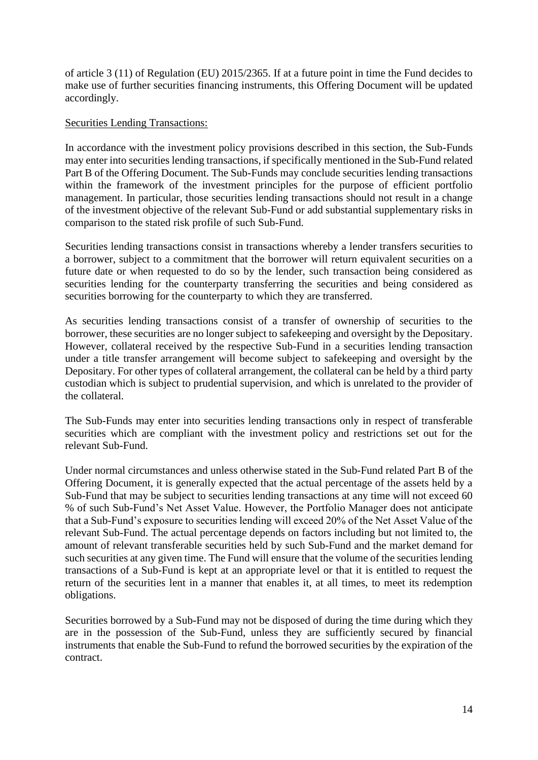of article 3 (11) of Regulation (EU) 2015/2365. If at a future point in time the Fund decides to make use of further securities financing instruments, this Offering Document will be updated accordingly.

#### Securities Lending Transactions:

In accordance with the investment policy provisions described in this section, the Sub-Funds may enter into securities lending transactions, if specifically mentioned in the Sub-Fund related Part B of the Offering Document. The Sub-Funds may conclude securities lending transactions within the framework of the investment principles for the purpose of efficient portfolio management. In particular, those securities lending transactions should not result in a change of the investment objective of the relevant Sub-Fund or add substantial supplementary risks in comparison to the stated risk profile of such Sub-Fund.

Securities lending transactions consist in transactions whereby a lender transfers securities to a borrower, subject to a commitment that the borrower will return equivalent securities on a future date or when requested to do so by the lender, such transaction being considered as securities lending for the counterparty transferring the securities and being considered as securities borrowing for the counterparty to which they are transferred.

As securities lending transactions consist of a transfer of ownership of securities to the borrower, these securities are no longer subject to safekeeping and oversight by the Depositary. However, collateral received by the respective Sub-Fund in a securities lending transaction under a title transfer arrangement will become subject to safekeeping and oversight by the Depositary. For other types of collateral arrangement, the collateral can be held by a third party custodian which is subject to prudential supervision, and which is unrelated to the provider of the collateral.

The Sub-Funds may enter into securities lending transactions only in respect of transferable securities which are compliant with the investment policy and restrictions set out for the relevant Sub-Fund.

Under normal circumstances and unless otherwise stated in the Sub-Fund related Part B of the Offering Document, it is generally expected that the actual percentage of the assets held by a Sub-Fund that may be subject to securities lending transactions at any time will not exceed 60 % of such Sub-Fund's Net Asset Value. However, the Portfolio Manager does not anticipate that a Sub-Fund's exposure to securities lending will exceed 20% of the Net Asset Value of the relevant Sub-Fund. The actual percentage depends on factors including but not limited to, the amount of relevant transferable securities held by such Sub-Fund and the market demand for such securities at any given time. The Fund will ensure that the volume of the securities lending transactions of a Sub-Fund is kept at an appropriate level or that it is entitled to request the return of the securities lent in a manner that enables it, at all times, to meet its redemption obligations.

Securities borrowed by a Sub-Fund may not be disposed of during the time during which they are in the possession of the Sub-Fund, unless they are sufficiently secured by financial instruments that enable the Sub-Fund to refund the borrowed securities by the expiration of the contract.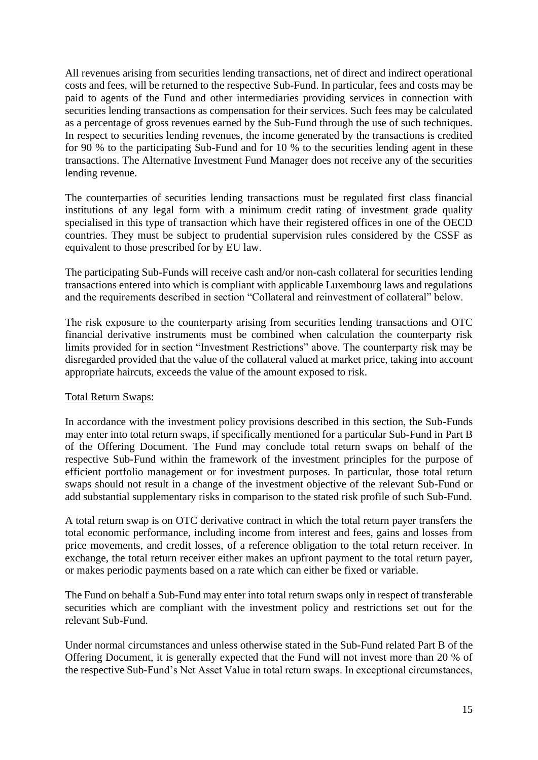All revenues arising from securities lending transactions, net of direct and indirect operational costs and fees, will be returned to the respective Sub-Fund. In particular, fees and costs may be paid to agents of the Fund and other intermediaries providing services in connection with securities lending transactions as compensation for their services. Such fees may be calculated as a percentage of gross revenues earned by the Sub-Fund through the use of such techniques. In respect to securities lending revenues, the income generated by the transactions is credited for 90 % to the participating Sub-Fund and for 10 % to the securities lending agent in these transactions. The Alternative Investment Fund Manager does not receive any of the securities lending revenue.

The counterparties of securities lending transactions must be regulated first class financial institutions of any legal form with a minimum credit rating of investment grade quality specialised in this type of transaction which have their registered offices in one of the OECD countries. They must be subject to prudential supervision rules considered by the CSSF as equivalent to those prescribed for by EU law.

The participating Sub-Funds will receive cash and/or non-cash collateral for securities lending transactions entered into which is compliant with applicable Luxembourg laws and regulations and the requirements described in section "Collateral and reinvestment of collateral" below.

The risk exposure to the counterparty arising from securities lending transactions and OTC financial derivative instruments must be combined when calculation the counterparty risk limits provided for in section "Investment Restrictions" above. The counterparty risk may be disregarded provided that the value of the collateral valued at market price, taking into account appropriate haircuts, exceeds the value of the amount exposed to risk.

### Total Return Swaps:

In accordance with the investment policy provisions described in this section, the Sub-Funds may enter into total return swaps, if specifically mentioned for a particular Sub-Fund in Part B of the Offering Document. The Fund may conclude total return swaps on behalf of the respective Sub-Fund within the framework of the investment principles for the purpose of efficient portfolio management or for investment purposes. In particular, those total return swaps should not result in a change of the investment objective of the relevant Sub-Fund or add substantial supplementary risks in comparison to the stated risk profile of such Sub-Fund.

A total return swap is on OTC derivative contract in which the total return payer transfers the total economic performance, including income from interest and fees, gains and losses from price movements, and credit losses, of a reference obligation to the total return receiver. In exchange, the total return receiver either makes an upfront payment to the total return payer, or makes periodic payments based on a rate which can either be fixed or variable.

The Fund on behalf a Sub-Fund may enter into total return swaps only in respect of transferable securities which are compliant with the investment policy and restrictions set out for the relevant Sub-Fund.

Under normal circumstances and unless otherwise stated in the Sub-Fund related Part B of the Offering Document, it is generally expected that the Fund will not invest more than 20 % of the respective Sub-Fund's Net Asset Value in total return swaps. In exceptional circumstances,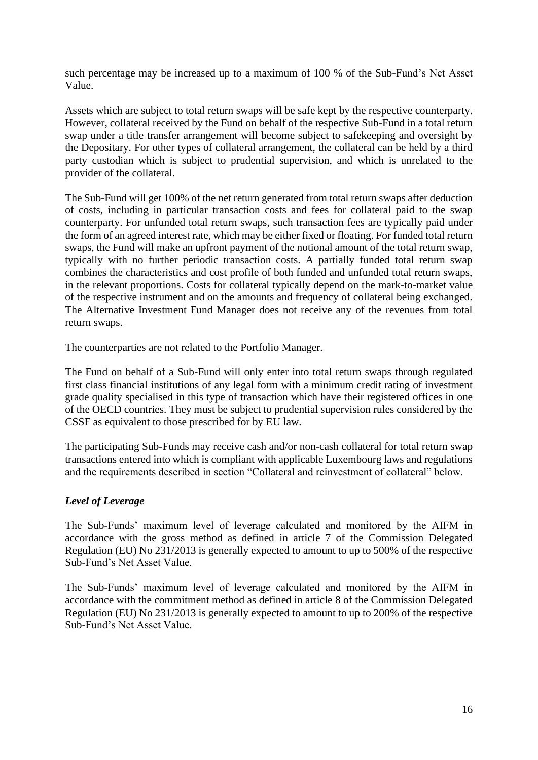such percentage may be increased up to a maximum of 100 % of the Sub-Fund's Net Asset Value.

Assets which are subject to total return swaps will be safe kept by the respective counterparty. However, collateral received by the Fund on behalf of the respective Sub-Fund in a total return swap under a title transfer arrangement will become subject to safekeeping and oversight by the Depositary. For other types of collateral arrangement, the collateral can be held by a third party custodian which is subject to prudential supervision, and which is unrelated to the provider of the collateral.

The Sub-Fund will get 100% of the net return generated from total return swaps after deduction of costs, including in particular transaction costs and fees for collateral paid to the swap counterparty. For unfunded total return swaps, such transaction fees are typically paid under the form of an agreed interest rate, which may be either fixed or floating. For funded total return swaps, the Fund will make an upfront payment of the notional amount of the total return swap, typically with no further periodic transaction costs. A partially funded total return swap combines the characteristics and cost profile of both funded and unfunded total return swaps, in the relevant proportions. Costs for collateral typically depend on the mark-to-market value of the respective instrument and on the amounts and frequency of collateral being exchanged. The Alternative Investment Fund Manager does not receive any of the revenues from total return swaps.

The counterparties are not related to the Portfolio Manager.

The Fund on behalf of a Sub-Fund will only enter into total return swaps through regulated first class financial institutions of any legal form with a minimum credit rating of investment grade quality specialised in this type of transaction which have their registered offices in one of the OECD countries. They must be subject to prudential supervision rules considered by the CSSF as equivalent to those prescribed for by EU law.

The participating Sub-Funds may receive cash and/or non-cash collateral for total return swap transactions entered into which is compliant with applicable Luxembourg laws and regulations and the requirements described in section "Collateral and reinvestment of collateral" below.

# <span id="page-15-0"></span>*Level of Leverage*

The Sub-Funds' maximum level of leverage calculated and monitored by the AIFM in accordance with the gross method as defined in article 7 of the Commission Delegated Regulation (EU) No 231/2013 is generally expected to amount to up to 500% of the respective Sub-Fund's Net Asset Value.

<span id="page-15-1"></span>The Sub-Funds' maximum level of leverage calculated and monitored by the AIFM in accordance with the commitment method as defined in article 8 of the Commission Delegated Regulation (EU) No 231/2013 is generally expected to amount to up to 200% of the respective Sub-Fund's Net Asset Value.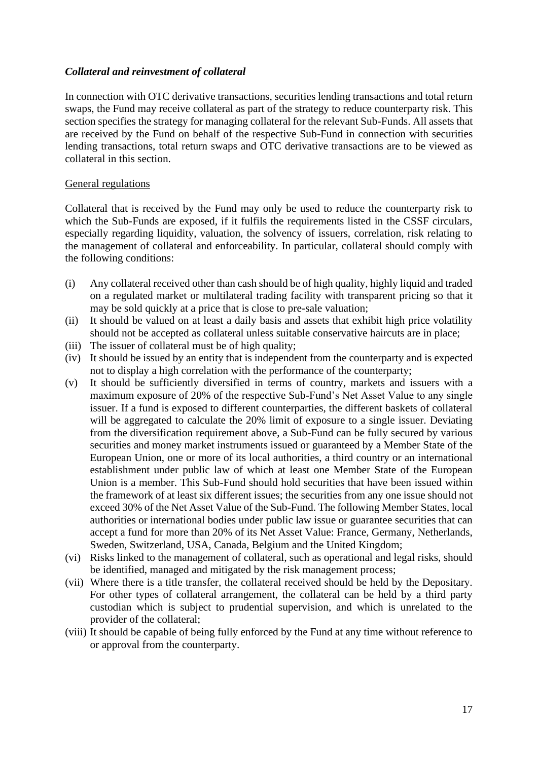# *Collateral and reinvestment of collateral*

In connection with OTC derivative transactions, securities lending transactions and total return swaps, the Fund may receive collateral as part of the strategy to reduce counterparty risk. This section specifies the strategy for managing collateral for the relevant Sub-Funds. All assets that are received by the Fund on behalf of the respective Sub-Fund in connection with securities lending transactions, total return swaps and OTC derivative transactions are to be viewed as collateral in this section.

### General regulations

Collateral that is received by the Fund may only be used to reduce the counterparty risk to which the Sub-Funds are exposed, if it fulfils the requirements listed in the CSSF circulars, especially regarding liquidity, valuation, the solvency of issuers, correlation, risk relating to the management of collateral and enforceability. In particular, collateral should comply with the following conditions:

- (i) Any collateral received other than cash should be of high quality, highly liquid and traded on a regulated market or multilateral trading facility with transparent pricing so that it may be sold quickly at a price that is close to pre-sale valuation;
- (ii) It should be valued on at least a daily basis and assets that exhibit high price volatility should not be accepted as collateral unless suitable conservative haircuts are in place;
- (iii) The issuer of collateral must be of high quality;
- (iv) It should be issued by an entity that is independent from the counterparty and is expected not to display a high correlation with the performance of the counterparty;
- (v) It should be sufficiently diversified in terms of country, markets and issuers with a maximum exposure of 20% of the respective Sub-Fund's Net Asset Value to any single issuer. If a fund is exposed to different counterparties, the different baskets of collateral will be aggregated to calculate the 20% limit of exposure to a single issuer. Deviating from the diversification requirement above, a Sub-Fund can be fully secured by various securities and money market instruments issued or guaranteed by a Member State of the European Union, one or more of its local authorities, a third country or an international establishment under public law of which at least one Member State of the European Union is a member. This Sub-Fund should hold securities that have been issued within the framework of at least six different issues; the securities from any one issue should not exceed 30% of the Net Asset Value of the Sub-Fund. The following Member States, local authorities or international bodies under public law issue or guarantee securities that can accept a fund for more than 20% of its Net Asset Value: France, Germany, Netherlands, Sweden, Switzerland, USA, Canada, Belgium and the United Kingdom;
- (vi) Risks linked to the management of collateral, such as operational and legal risks, should be identified, managed and mitigated by the risk management process;
- (vii) Where there is a title transfer, the collateral received should be held by the Depositary. For other types of collateral arrangement, the collateral can be held by a third party custodian which is subject to prudential supervision, and which is unrelated to the provider of the collateral;
- (viii) It should be capable of being fully enforced by the Fund at any time without reference to or approval from the counterparty.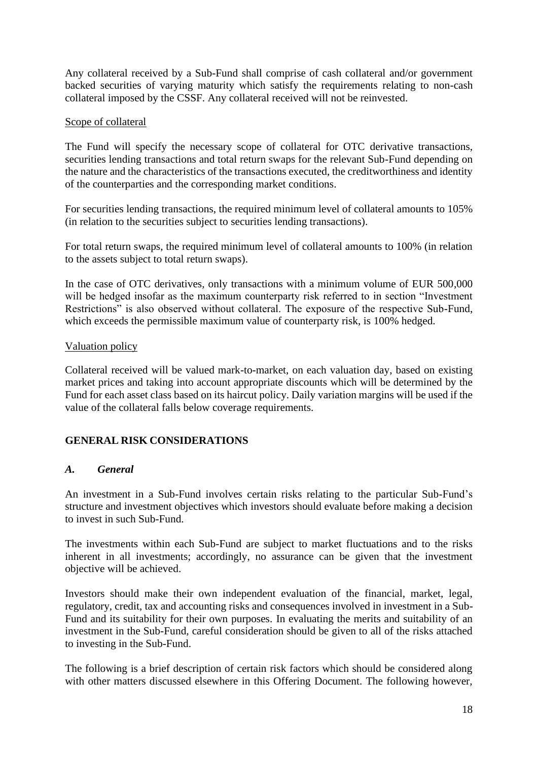Any collateral received by a Sub-Fund shall comprise of cash collateral and/or government backed securities of varying maturity which satisfy the requirements relating to non-cash collateral imposed by the CSSF. Any collateral received will not be reinvested.

### Scope of collateral

The Fund will specify the necessary scope of collateral for OTC derivative transactions, securities lending transactions and total return swaps for the relevant Sub-Fund depending on the nature and the characteristics of the transactions executed, the creditworthiness and identity of the counterparties and the corresponding market conditions.

For securities lending transactions, the required minimum level of collateral amounts to 105% (in relation to the securities subject to securities lending transactions).

For total return swaps, the required minimum level of collateral amounts to 100% (in relation to the assets subject to total return swaps).

In the case of OTC derivatives, only transactions with a minimum volume of EUR 500,000 will be hedged insofar as the maximum counterparty risk referred to in section "Investment Restrictions" is also observed without collateral. The exposure of the respective Sub-Fund, which exceeds the permissible maximum value of counterparty risk, is 100% hedged.

## Valuation policy

Collateral received will be valued mark-to-market, on each valuation day, based on existing market prices and taking into account appropriate discounts which will be determined by the Fund for each asset class based on its haircut policy. Daily variation margins will be used if the value of the collateral falls below coverage requirements.

# <span id="page-17-0"></span>**GENERAL RISK CONSIDERATIONS**

### <span id="page-17-1"></span>*A. General*

An investment in a Sub-Fund involves certain risks relating to the particular Sub-Fund's structure and investment objectives which investors should evaluate before making a decision to invest in such Sub-Fund.

The investments within each Sub-Fund are subject to market fluctuations and to the risks inherent in all investments; accordingly, no assurance can be given that the investment objective will be achieved.

Investors should make their own independent evaluation of the financial, market, legal, regulatory, credit, tax and accounting risks and consequences involved in investment in a Sub-Fund and its suitability for their own purposes. In evaluating the merits and suitability of an investment in the Sub-Fund, careful consideration should be given to all of the risks attached to investing in the Sub-Fund.

The following is a brief description of certain risk factors which should be considered along with other matters discussed elsewhere in this Offering Document. The following however,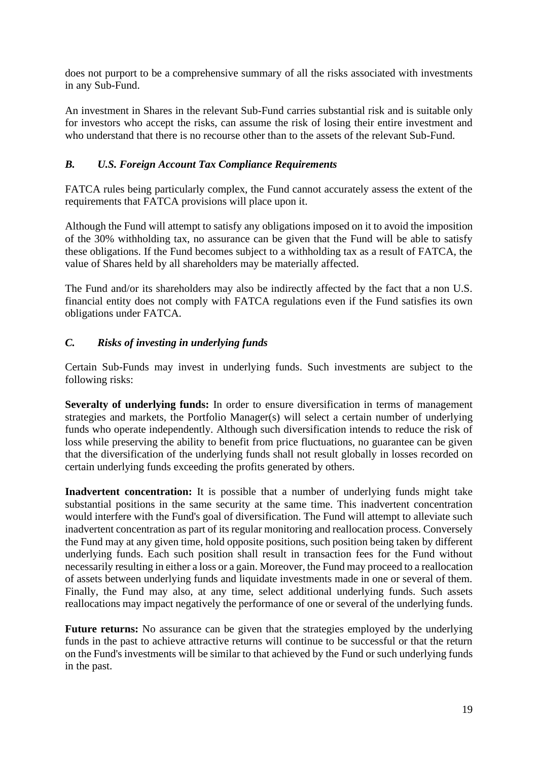does not purport to be a comprehensive summary of all the risks associated with investments in any Sub-Fund.

An investment in Shares in the relevant Sub-Fund carries substantial risk and is suitable only for investors who accept the risks, can assume the risk of losing their entire investment and who understand that there is no recourse other than to the assets of the relevant Sub-Fund.

# <span id="page-18-0"></span>*B. U.S. Foreign Account Tax Compliance Requirements*

FATCA rules being particularly complex, the Fund cannot accurately assess the extent of the requirements that FATCA provisions will place upon it.

Although the Fund will attempt to satisfy any obligations imposed on it to avoid the imposition of the 30% withholding tax, no assurance can be given that the Fund will be able to satisfy these obligations. If the Fund becomes subject to a withholding tax as a result of FATCA, the value of Shares held by all shareholders may be materially affected.

The Fund and/or its shareholders may also be indirectly affected by the fact that a non U.S. financial entity does not comply with FATCA regulations even if the Fund satisfies its own obligations under FATCA.

# <span id="page-18-1"></span>*C. Risks of investing in underlying funds*

Certain Sub-Funds may invest in underlying funds. Such investments are subject to the following risks:

**Severalty of underlying funds:** In order to ensure diversification in terms of management strategies and markets, the Portfolio Manager(s) will select a certain number of underlying funds who operate independently. Although such diversification intends to reduce the risk of loss while preserving the ability to benefit from price fluctuations, no guarantee can be given that the diversification of the underlying funds shall not result globally in losses recorded on certain underlying funds exceeding the profits generated by others.

**Inadvertent concentration:** It is possible that a number of underlying funds might take substantial positions in the same security at the same time. This inadvertent concentration would interfere with the Fund's goal of diversification. The Fund will attempt to alleviate such inadvertent concentration as part of its regular monitoring and reallocation process. Conversely the Fund may at any given time, hold opposite positions, such position being taken by different underlying funds. Each such position shall result in transaction fees for the Fund without necessarily resulting in either a loss or a gain. Moreover, the Fund may proceed to a reallocation of assets between underlying funds and liquidate investments made in one or several of them. Finally, the Fund may also, at any time, select additional underlying funds. Such assets reallocations may impact negatively the performance of one or several of the underlying funds.

**Future returns:** No assurance can be given that the strategies employed by the underlying funds in the past to achieve attractive returns will continue to be successful or that the return on the Fund's investments will be similar to that achieved by the Fund or such underlying funds in the past.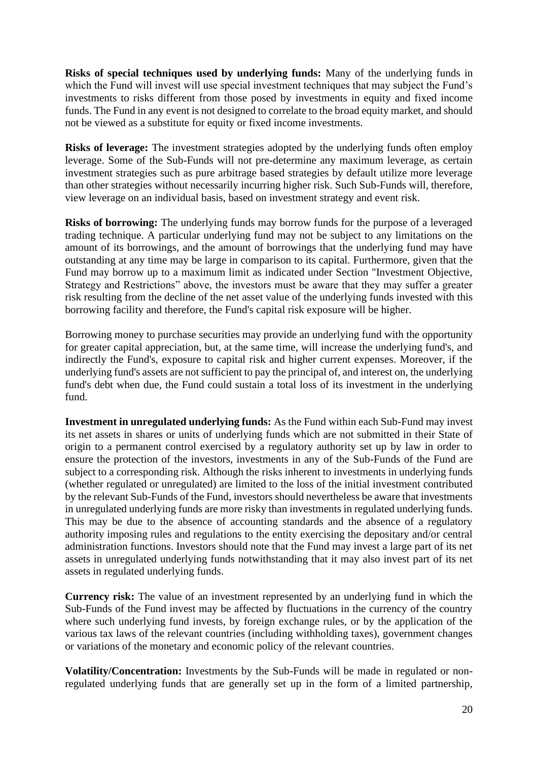**Risks of special techniques used by underlying funds:** Many of the underlying funds in which the Fund will invest will use special investment techniques that may subject the Fund's investments to risks different from those posed by investments in equity and fixed income funds. The Fund in any event is not designed to correlate to the broad equity market, and should not be viewed as a substitute for equity or fixed income investments.

**Risks of leverage:** The investment strategies adopted by the underlying funds often employ leverage. Some of the Sub-Funds will not pre-determine any maximum leverage, as certain investment strategies such as pure arbitrage based strategies by default utilize more leverage than other strategies without necessarily incurring higher risk. Such Sub-Funds will, therefore, view leverage on an individual basis, based on investment strategy and event risk.

**Risks of borrowing:** The underlying funds may borrow funds for the purpose of a leveraged trading technique. A particular underlying fund may not be subject to any limitations on the amount of its borrowings, and the amount of borrowings that the underlying fund may have outstanding at any time may be large in comparison to its capital. Furthermore, given that the Fund may borrow up to a maximum limit as indicated under Section "Investment Objective, Strategy and Restrictions" above, the investors must be aware that they may suffer a greater risk resulting from the decline of the net asset value of the underlying funds invested with this borrowing facility and therefore, the Fund's capital risk exposure will be higher.

Borrowing money to purchase securities may provide an underlying fund with the opportunity for greater capital appreciation, but, at the same time, will increase the underlying fund's, and indirectly the Fund's, exposure to capital risk and higher current expenses. Moreover, if the underlying fund's assets are not sufficient to pay the principal of, and interest on, the underlying fund's debt when due, the Fund could sustain a total loss of its investment in the underlying fund.

**Investment in unregulated underlying funds:** As the Fund within each Sub-Fund may invest its net assets in shares or units of underlying funds which are not submitted in their State of origin to a permanent control exercised by a regulatory authority set up by law in order to ensure the protection of the investors, investments in any of the Sub-Funds of the Fund are subject to a corresponding risk. Although the risks inherent to investments in underlying funds (whether regulated or unregulated) are limited to the loss of the initial investment contributed by the relevant Sub-Funds of the Fund, investors should nevertheless be aware that investments in unregulated underlying funds are more risky than investments in regulated underlying funds. This may be due to the absence of accounting standards and the absence of a regulatory authority imposing rules and regulations to the entity exercising the depositary and/or central administration functions. Investors should note that the Fund may invest a large part of its net assets in unregulated underlying funds notwithstanding that it may also invest part of its net assets in regulated underlying funds.

**Currency risk:** The value of an investment represented by an underlying fund in which the Sub-Funds of the Fund invest may be affected by fluctuations in the currency of the country where such underlying fund invests, by foreign exchange rules, or by the application of the various tax laws of the relevant countries (including withholding taxes), government changes or variations of the monetary and economic policy of the relevant countries.

**Volatility/Concentration:** Investments by the Sub-Funds will be made in regulated or nonregulated underlying funds that are generally set up in the form of a limited partnership,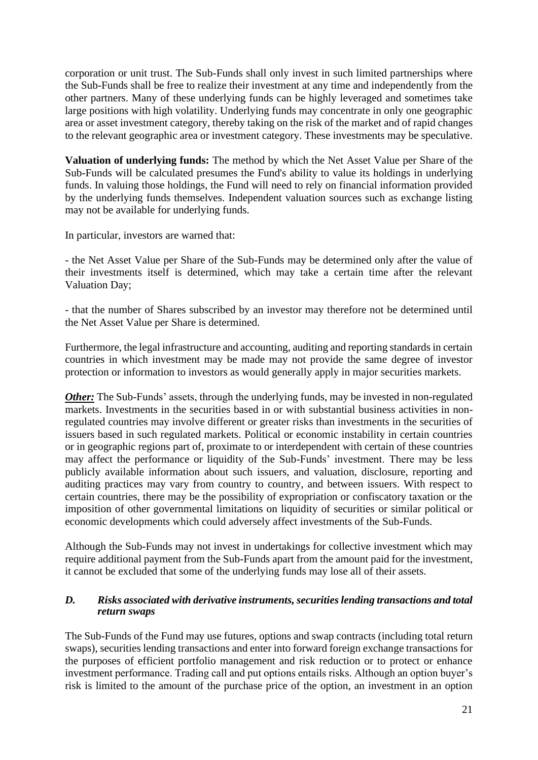corporation or unit trust. The Sub-Funds shall only invest in such limited partnerships where the Sub-Funds shall be free to realize their investment at any time and independently from the other partners. Many of these underlying funds can be highly leveraged and sometimes take large positions with high volatility. Underlying funds may concentrate in only one geographic area or asset investment category, thereby taking on the risk of the market and of rapid changes to the relevant geographic area or investment category. These investments may be speculative.

**Valuation of underlying funds:** The method by which the Net Asset Value per Share of the Sub-Funds will be calculated presumes the Fund's ability to value its holdings in underlying funds. In valuing those holdings, the Fund will need to rely on financial information provided by the underlying funds themselves. Independent valuation sources such as exchange listing may not be available for underlying funds.

In particular, investors are warned that:

- the Net Asset Value per Share of the Sub-Funds may be determined only after the value of their investments itself is determined, which may take a certain time after the relevant Valuation Day;

- that the number of Shares subscribed by an investor may therefore not be determined until the Net Asset Value per Share is determined.

Furthermore, the legal infrastructure and accounting, auditing and reporting standards in certain countries in which investment may be made may not provide the same degree of investor protection or information to investors as would generally apply in major securities markets.

*Other:* The Sub-Funds' assets, through the underlying funds, may be invested in non-regulated markets. Investments in the securities based in or with substantial business activities in nonregulated countries may involve different or greater risks than investments in the securities of issuers based in such regulated markets. Political or economic instability in certain countries or in geographic regions part of, proximate to or interdependent with certain of these countries may affect the performance or liquidity of the Sub-Funds' investment. There may be less publicly available information about such issuers, and valuation, disclosure, reporting and auditing practices may vary from country to country, and between issuers. With respect to certain countries, there may be the possibility of expropriation or confiscatory taxation or the imposition of other governmental limitations on liquidity of securities or similar political or economic developments which could adversely affect investments of the Sub-Funds.

Although the Sub-Funds may not invest in undertakings for collective investment which may require additional payment from the Sub-Funds apart from the amount paid for the investment, it cannot be excluded that some of the underlying funds may lose all of their assets.

## <span id="page-20-0"></span>*D. Risks associated with derivative instruments, securities lending transactions and total return swaps*

The Sub-Funds of the Fund may use futures, options and swap contracts (including total return swaps), securities lending transactions and enter into forward foreign exchange transactions for the purposes of efficient portfolio management and risk reduction or to protect or enhance investment performance. Trading call and put options entails risks. Although an option buyer's risk is limited to the amount of the purchase price of the option, an investment in an option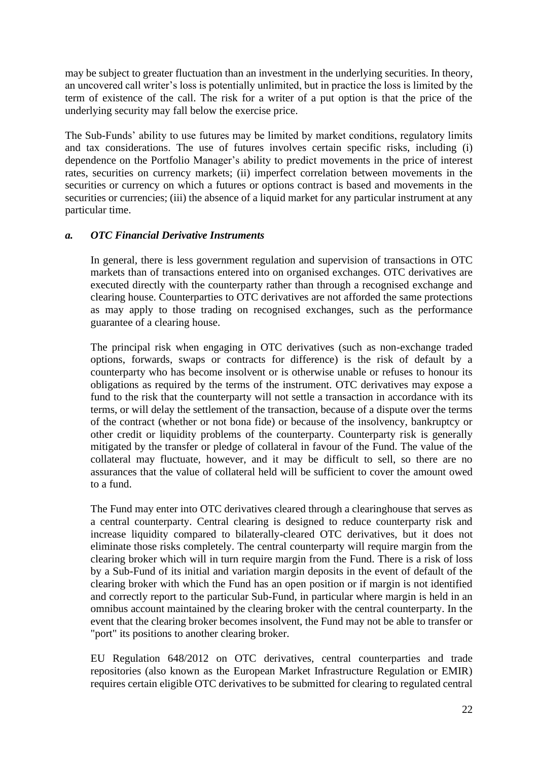may be subject to greater fluctuation than an investment in the underlying securities. In theory, an uncovered call writer's loss is potentially unlimited, but in practice the loss is limited by the term of existence of the call. The risk for a writer of a put option is that the price of the underlying security may fall below the exercise price.

The Sub-Funds' ability to use futures may be limited by market conditions, regulatory limits and tax considerations. The use of futures involves certain specific risks, including (i) dependence on the Portfolio Manager's ability to predict movements in the price of interest rates, securities on currency markets; (ii) imperfect correlation between movements in the securities or currency on which a futures or options contract is based and movements in the securities or currencies; (iii) the absence of a liquid market for any particular instrument at any particular time.

## *a. OTC Financial Derivative Instruments*

In general, there is less government regulation and supervision of transactions in OTC markets than of transactions entered into on organised exchanges. OTC derivatives are executed directly with the counterparty rather than through a recognised exchange and clearing house. Counterparties to OTC derivatives are not afforded the same protections as may apply to those trading on recognised exchanges, such as the performance guarantee of a clearing house.

The principal risk when engaging in OTC derivatives (such as non-exchange traded options, forwards, swaps or contracts for difference) is the risk of default by a counterparty who has become insolvent or is otherwise unable or refuses to honour its obligations as required by the terms of the instrument. OTC derivatives may expose a fund to the risk that the counterparty will not settle a transaction in accordance with its terms, or will delay the settlement of the transaction, because of a dispute over the terms of the contract (whether or not bona fide) or because of the insolvency, bankruptcy or other credit or liquidity problems of the counterparty. Counterparty risk is generally mitigated by the transfer or pledge of collateral in favour of the Fund. The value of the collateral may fluctuate, however, and it may be difficult to sell, so there are no assurances that the value of collateral held will be sufficient to cover the amount owed to a fund.

The Fund may enter into OTC derivatives cleared through a clearinghouse that serves as a central counterparty. Central clearing is designed to reduce counterparty risk and increase liquidity compared to bilaterally-cleared OTC derivatives, but it does not eliminate those risks completely. The central counterparty will require margin from the clearing broker which will in turn require margin from the Fund. There is a risk of loss by a Sub-Fund of its initial and variation margin deposits in the event of default of the clearing broker with which the Fund has an open position or if margin is not identified and correctly report to the particular Sub-Fund, in particular where margin is held in an omnibus account maintained by the clearing broker with the central counterparty. In the event that the clearing broker becomes insolvent, the Fund may not be able to transfer or "port" its positions to another clearing broker.

EU Regulation 648/2012 on OTC derivatives, central counterparties and trade repositories (also known as the European Market Infrastructure Regulation or EMIR) requires certain eligible OTC derivatives to be submitted for clearing to regulated central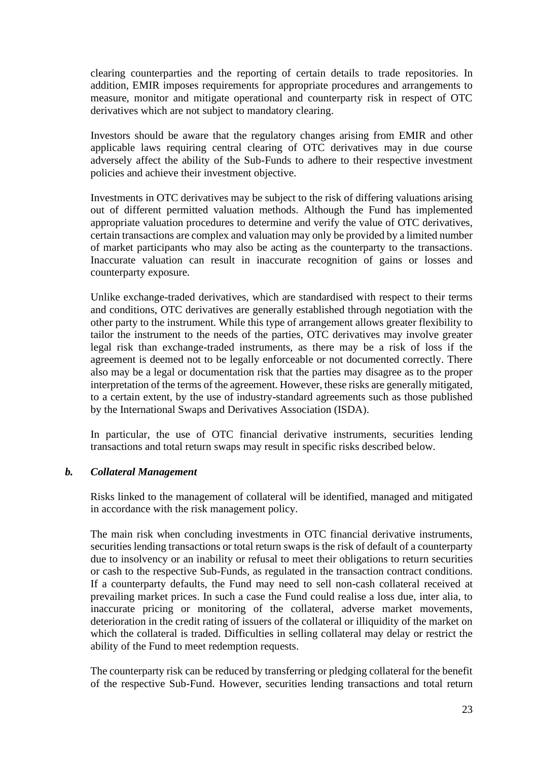clearing counterparties and the reporting of certain details to trade repositories. In addition, EMIR imposes requirements for appropriate procedures and arrangements to measure, monitor and mitigate operational and counterparty risk in respect of OTC derivatives which are not subject to mandatory clearing.

Investors should be aware that the regulatory changes arising from EMIR and other applicable laws requiring central clearing of OTC derivatives may in due course adversely affect the ability of the Sub-Funds to adhere to their respective investment policies and achieve their investment objective.

Investments in OTC derivatives may be subject to the risk of differing valuations arising out of different permitted valuation methods. Although the Fund has implemented appropriate valuation procedures to determine and verify the value of OTC derivatives, certain transactions are complex and valuation may only be provided by a limited number of market participants who may also be acting as the counterparty to the transactions. Inaccurate valuation can result in inaccurate recognition of gains or losses and counterparty exposure.

Unlike exchange-traded derivatives, which are standardised with respect to their terms and conditions, OTC derivatives are generally established through negotiation with the other party to the instrument. While this type of arrangement allows greater flexibility to tailor the instrument to the needs of the parties, OTC derivatives may involve greater legal risk than exchange-traded instruments, as there may be a risk of loss if the agreement is deemed not to be legally enforceable or not documented correctly. There also may be a legal or documentation risk that the parties may disagree as to the proper interpretation of the terms of the agreement. However, these risks are generally mitigated, to a certain extent, by the use of industry-standard agreements such as those published by the International Swaps and Derivatives Association (ISDA).

In particular, the use of OTC financial derivative instruments, securities lending transactions and total return swaps may result in specific risks described below.

### *b. Collateral Management*

Risks linked to the management of collateral will be identified, managed and mitigated in accordance with the risk management policy.

The main risk when concluding investments in OTC financial derivative instruments, securities lending transactions or total return swaps is the risk of default of a counterparty due to insolvency or an inability or refusal to meet their obligations to return securities or cash to the respective Sub-Funds, as regulated in the transaction contract conditions. If a counterparty defaults, the Fund may need to sell non-cash collateral received at prevailing market prices. In such a case the Fund could realise a loss due, inter alia, to inaccurate pricing or monitoring of the collateral, adverse market movements, deterioration in the credit rating of issuers of the collateral or illiquidity of the market on which the collateral is traded. Difficulties in selling collateral may delay or restrict the ability of the Fund to meet redemption requests.

The counterparty risk can be reduced by transferring or pledging collateral for the benefit of the respective Sub-Fund. However, securities lending transactions and total return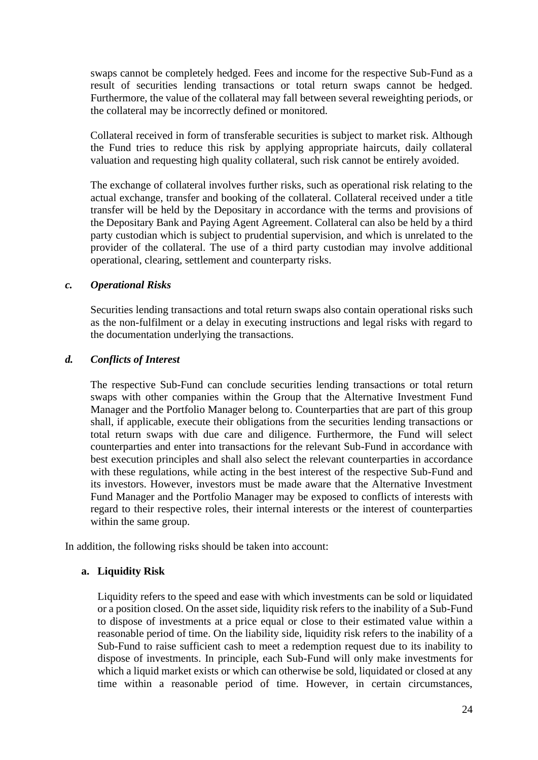swaps cannot be completely hedged. Fees and income for the respective Sub-Fund as a result of securities lending transactions or total return swaps cannot be hedged. Furthermore, the value of the collateral may fall between several reweighting periods, or the collateral may be incorrectly defined or monitored.

Collateral received in form of transferable securities is subject to market risk. Although the Fund tries to reduce this risk by applying appropriate haircuts, daily collateral valuation and requesting high quality collateral, such risk cannot be entirely avoided.

The exchange of collateral involves further risks, such as operational risk relating to the actual exchange, transfer and booking of the collateral. Collateral received under a title transfer will be held by the Depositary in accordance with the terms and provisions of the Depositary Bank and Paying Agent Agreement. Collateral can also be held by a third party custodian which is subject to prudential supervision, and which is unrelated to the provider of the collateral. The use of a third party custodian may involve additional operational, clearing, settlement and counterparty risks.

#### *c. Operational Risks*

Securities lending transactions and total return swaps also contain operational risks such as the non-fulfilment or a delay in executing instructions and legal risks with regard to the documentation underlying the transactions.

#### *d. Conflicts of Interest*

The respective Sub-Fund can conclude securities lending transactions or total return swaps with other companies within the Group that the Alternative Investment Fund Manager and the Portfolio Manager belong to. Counterparties that are part of this group shall, if applicable, execute their obligations from the securities lending transactions or total return swaps with due care and diligence. Furthermore, the Fund will select counterparties and enter into transactions for the relevant Sub-Fund in accordance with best execution principles and shall also select the relevant counterparties in accordance with these regulations, while acting in the best interest of the respective Sub-Fund and its investors. However, investors must be made aware that the Alternative Investment Fund Manager and the Portfolio Manager may be exposed to conflicts of interests with regard to their respective roles, their internal interests or the interest of counterparties within the same group.

In addition, the following risks should be taken into account:

### **a. Liquidity Risk**

Liquidity refers to the speed and ease with which investments can be sold or liquidated or a position closed. On the asset side, liquidity risk refers to the inability of a Sub-Fund to dispose of investments at a price equal or close to their estimated value within a reasonable period of time. On the liability side, liquidity risk refers to the inability of a Sub-Fund to raise sufficient cash to meet a redemption request due to its inability to dispose of investments. In principle, each Sub-Fund will only make investments for which a liquid market exists or which can otherwise be sold, liquidated or closed at any time within a reasonable period of time. However, in certain circumstances,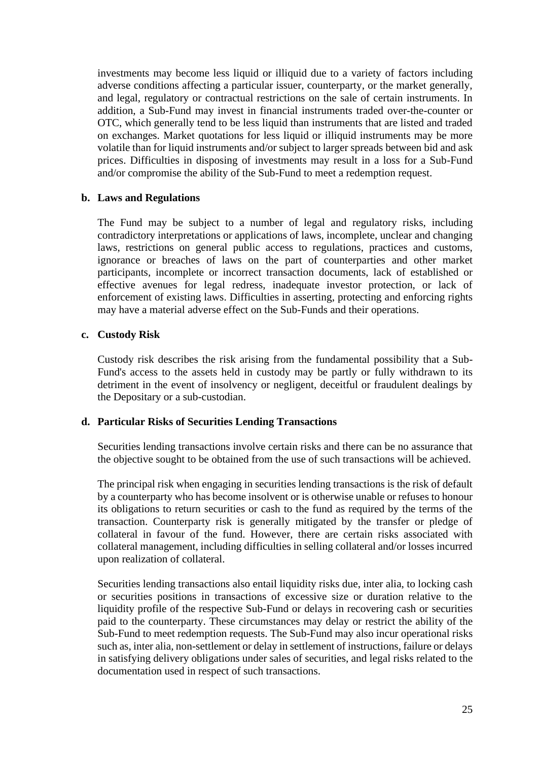investments may become less liquid or illiquid due to a variety of factors including adverse conditions affecting a particular issuer, counterparty, or the market generally, and legal, regulatory or contractual restrictions on the sale of certain instruments. In addition, a Sub-Fund may invest in financial instruments traded over-the-counter or OTC, which generally tend to be less liquid than instruments that are listed and traded on exchanges. Market quotations for less liquid or illiquid instruments may be more volatile than for liquid instruments and/or subject to larger spreads between bid and ask prices. Difficulties in disposing of investments may result in a loss for a Sub-Fund and/or compromise the ability of the Sub-Fund to meet a redemption request.

### **b. Laws and Regulations**

The Fund may be subject to a number of legal and regulatory risks, including contradictory interpretations or applications of laws, incomplete, unclear and changing laws, restrictions on general public access to regulations, practices and customs, ignorance or breaches of laws on the part of counterparties and other market participants, incomplete or incorrect transaction documents, lack of established or effective avenues for legal redress, inadequate investor protection, or lack of enforcement of existing laws. Difficulties in asserting, protecting and enforcing rights may have a material adverse effect on the Sub-Funds and their operations.

### **c. Custody Risk**

Custody risk describes the risk arising from the fundamental possibility that a Sub-Fund's access to the assets held in custody may be partly or fully withdrawn to its detriment in the event of insolvency or negligent, deceitful or fraudulent dealings by the Depositary or a sub-custodian.

### **d. Particular Risks of Securities Lending Transactions**

Securities lending transactions involve certain risks and there can be no assurance that the objective sought to be obtained from the use of such transactions will be achieved.

The principal risk when engaging in securities lending transactions is the risk of default by a counterparty who has become insolvent or is otherwise unable or refuses to honour its obligations to return securities or cash to the fund as required by the terms of the transaction. Counterparty risk is generally mitigated by the transfer or pledge of collateral in favour of the fund. However, there are certain risks associated with collateral management, including difficulties in selling collateral and/or losses incurred upon realization of collateral.

Securities lending transactions also entail liquidity risks due, inter alia, to locking cash or securities positions in transactions of excessive size or duration relative to the liquidity profile of the respective Sub-Fund or delays in recovering cash or securities paid to the counterparty. These circumstances may delay or restrict the ability of the Sub-Fund to meet redemption requests. The Sub-Fund may also incur operational risks such as, inter alia, non-settlement or delay in settlement of instructions, failure or delays in satisfying delivery obligations under sales of securities, and legal risks related to the documentation used in respect of such transactions.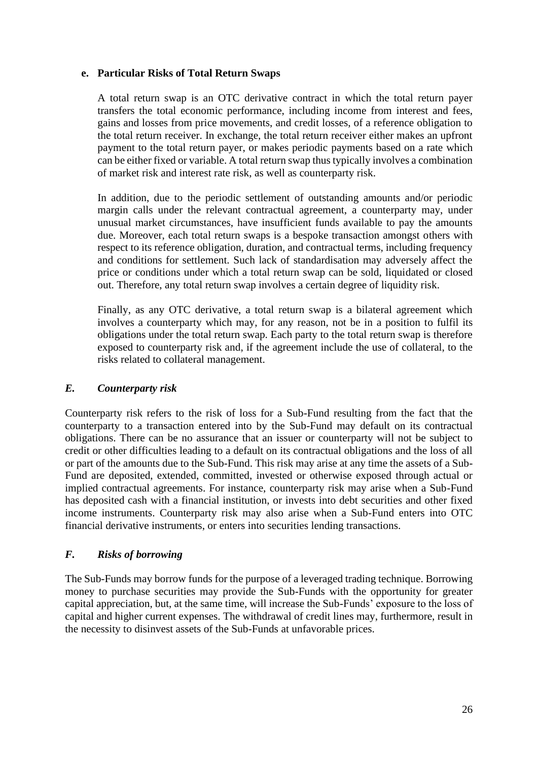## **e. Particular Risks of Total Return Swaps**

A total return swap is an OTC derivative contract in which the total return payer transfers the total economic performance, including income from interest and fees, gains and losses from price movements, and credit losses, of a reference obligation to the total return receiver. In exchange, the total return receiver either makes an upfront payment to the total return payer, or makes periodic payments based on a rate which can be either fixed or variable. A total return swap thus typically involves a combination of market risk and interest rate risk, as well as counterparty risk.

In addition, due to the periodic settlement of outstanding amounts and/or periodic margin calls under the relevant contractual agreement, a counterparty may, under unusual market circumstances, have insufficient funds available to pay the amounts due. Moreover, each total return swaps is a bespoke transaction amongst others with respect to its reference obligation, duration, and contractual terms, including frequency and conditions for settlement. Such lack of standardisation may adversely affect the price or conditions under which a total return swap can be sold, liquidated or closed out. Therefore, any total return swap involves a certain degree of liquidity risk.

Finally, as any OTC derivative, a total return swap is a bilateral agreement which involves a counterparty which may, for any reason, not be in a position to fulfil its obligations under the total return swap. Each party to the total return swap is therefore exposed to counterparty risk and, if the agreement include the use of collateral, to the risks related to collateral management.

# <span id="page-25-0"></span>*E. Counterparty risk*

Counterparty risk refers to the risk of loss for a Sub-Fund resulting from the fact that the counterparty to a transaction entered into by the Sub-Fund may default on its contractual obligations. There can be no assurance that an issuer or counterparty will not be subject to credit or other difficulties leading to a default on its contractual obligations and the loss of all or part of the amounts due to the Sub-Fund. This risk may arise at any time the assets of a Sub-Fund are deposited, extended, committed, invested or otherwise exposed through actual or implied contractual agreements. For instance, counterparty risk may arise when a Sub-Fund has deposited cash with a financial institution, or invests into debt securities and other fixed income instruments. Counterparty risk may also arise when a Sub-Fund enters into OTC financial derivative instruments, or enters into securities lending transactions.

# <span id="page-25-1"></span>*F. Risks of borrowing*

<span id="page-25-2"></span>The Sub-Funds may borrow funds for the purpose of a leveraged trading technique. Borrowing money to purchase securities may provide the Sub-Funds with the opportunity for greater capital appreciation, but, at the same time, will increase the Sub-Funds' exposure to the loss of capital and higher current expenses. The withdrawal of credit lines may, furthermore, result in the necessity to disinvest assets of the Sub-Funds at unfavorable prices.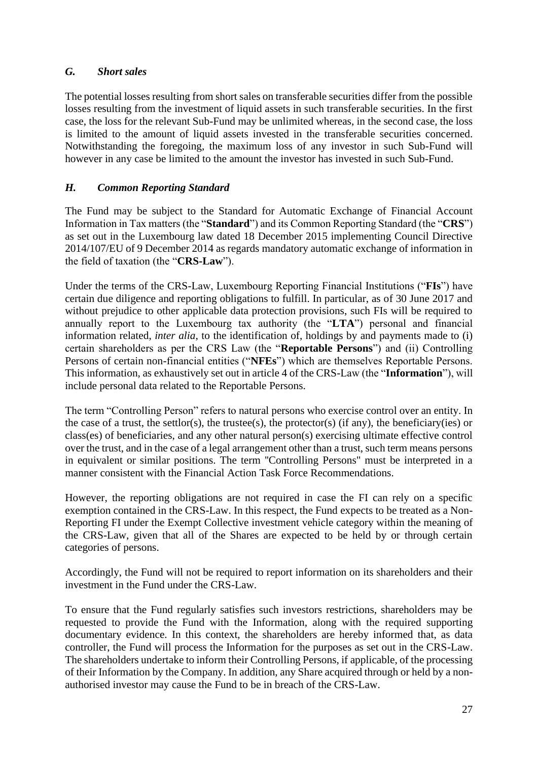# *G. Short sales*

The potential losses resulting from short sales on transferable securities differ from the possible losses resulting from the investment of liquid assets in such transferable securities. In the first case, the loss for the relevant Sub-Fund may be unlimited whereas, in the second case, the loss is limited to the amount of liquid assets invested in the transferable securities concerned. Notwithstanding the foregoing, the maximum loss of any investor in such Sub-Fund will however in any case be limited to the amount the investor has invested in such Sub-Fund.

# <span id="page-26-0"></span>*H. Common Reporting Standard*

The Fund may be subject to the Standard for Automatic Exchange of Financial Account Information in Tax matters (the "**Standard**") and its Common Reporting Standard (the "**CRS**") as set out in the Luxembourg law dated 18 December 2015 implementing Council Directive 2014/107/EU of 9 December 2014 as regards mandatory automatic exchange of information in the field of taxation (the "**CRS-Law**").

Under the terms of the CRS-Law, Luxembourg Reporting Financial Institutions ("**FIs**") have certain due diligence and reporting obligations to fulfill. In particular, as of 30 June 2017 and without prejudice to other applicable data protection provisions, such FIs will be required to annually report to the Luxembourg tax authority (the "**LTA**") personal and financial information related, *inter alia*, to the identification of, holdings by and payments made to (i) certain shareholders as per the CRS Law (the "**Reportable Persons**") and (ii) Controlling Persons of certain non-financial entities ("**NFEs**") which are themselves Reportable Persons. This information, as exhaustively set out in article 4 of the CRS-Law (the "**Information**"), will include personal data related to the Reportable Persons.

The term "Controlling Person" refers to natural persons who exercise control over an entity. In the case of a trust, the settlor(s), the trustee(s), the protector(s) (if any), the beneficiary(ies) or class(es) of beneficiaries, and any other natural person(s) exercising ultimate effective control over the trust, and in the case of a legal arrangement other than a trust, such term means persons in equivalent or similar positions. The term ''Controlling Persons" must be interpreted in a manner consistent with the Financial Action Task Force Recommendations.

However, the reporting obligations are not required in case the FI can rely on a specific exemption contained in the CRS-Law. In this respect, the Fund expects to be treated as a Non-Reporting FI under the Exempt Collective investment vehicle category within the meaning of the CRS-Law, given that all of the Shares are expected to be held by or through certain categories of persons.

Accordingly, the Fund will not be required to report information on its shareholders and their investment in the Fund under the CRS-Law.

To ensure that the Fund regularly satisfies such investors restrictions, shareholders may be requested to provide the Fund with the Information, along with the required supporting documentary evidence. In this context, the shareholders are hereby informed that, as data controller, the Fund will process the Information for the purposes as set out in the CRS-Law. The shareholders undertake to inform their Controlling Persons, if applicable, of the processing of their Information by the Company. In addition, any Share acquired through or held by a nonauthorised investor may cause the Fund to be in breach of the CRS-Law.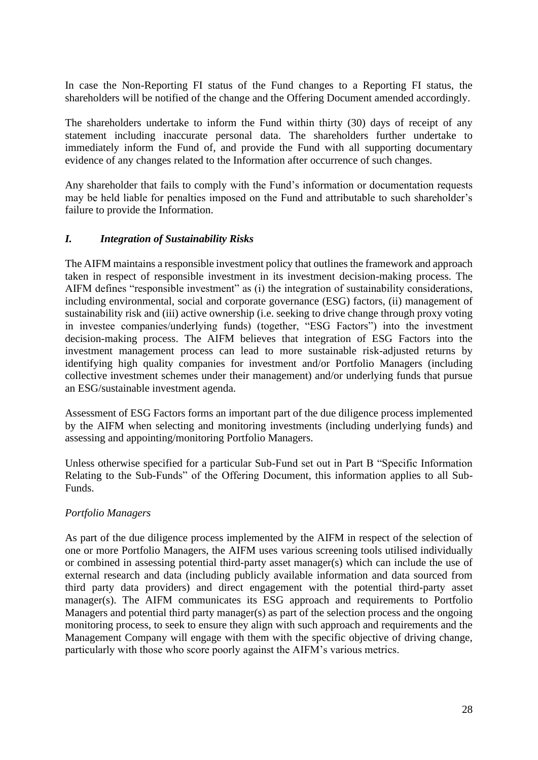In case the Non-Reporting FI status of the Fund changes to a Reporting FI status, the shareholders will be notified of the change and the Offering Document amended accordingly.

The shareholders undertake to inform the Fund within thirty (30) days of receipt of any statement including inaccurate personal data. The shareholders further undertake to immediately inform the Fund of, and provide the Fund with all supporting documentary evidence of any changes related to the Information after occurrence of such changes.

Any shareholder that fails to comply with the Fund's information or documentation requests may be held liable for penalties imposed on the Fund and attributable to such shareholder's failure to provide the Information.

# <span id="page-27-0"></span>*I. Integration of Sustainability Risks*

The AIFM maintains a responsible investment policy that outlines the framework and approach taken in respect of responsible investment in its investment decision-making process. The AIFM defines "responsible investment" as (i) the integration of sustainability considerations, including environmental, social and corporate governance (ESG) factors, (ii) management of sustainability risk and (iii) active ownership (i.e. seeking to drive change through proxy voting in investee companies/underlying funds) (together, "ESG Factors") into the investment decision-making process. The AIFM believes that integration of ESG Factors into the investment management process can lead to more sustainable risk-adjusted returns by identifying high quality companies for investment and/or Portfolio Managers (including collective investment schemes under their management) and/or underlying funds that pursue an ESG/sustainable investment agenda.

Assessment of ESG Factors forms an important part of the due diligence process implemented by the AIFM when selecting and monitoring investments (including underlying funds) and assessing and appointing/monitoring Portfolio Managers.

Unless otherwise specified for a particular Sub-Fund set out in Part B "Specific Information Relating to the Sub-Funds" of the Offering Document, this information applies to all Sub-Funds.

# *Portfolio Managers*

As part of the due diligence process implemented by the AIFM in respect of the selection of one or more Portfolio Managers, the AIFM uses various screening tools utilised individually or combined in assessing potential third-party asset manager(s) which can include the use of external research and data (including publicly available information and data sourced from third party data providers) and direct engagement with the potential third-party asset manager(s). The AIFM communicates its ESG approach and requirements to Portfolio Managers and potential third party manager(s) as part of the selection process and the ongoing monitoring process, to seek to ensure they align with such approach and requirements and the Management Company will engage with them with the specific objective of driving change, particularly with those who score poorly against the AIFM's various metrics.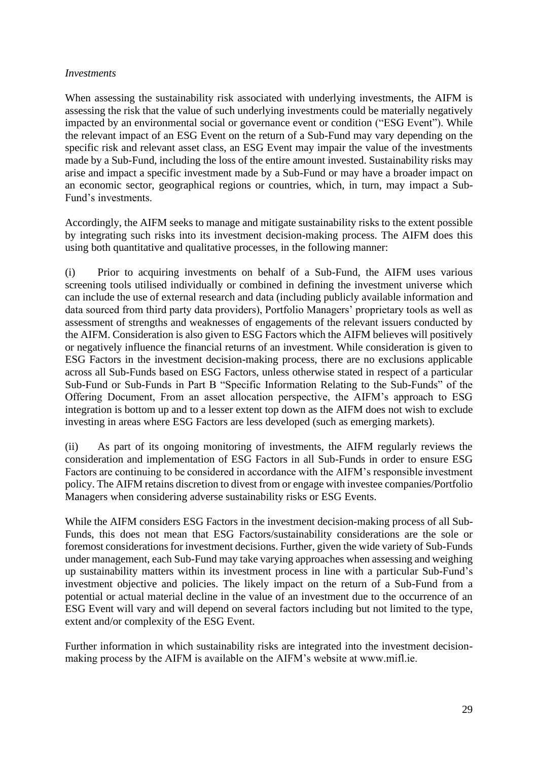### *Investments*

When assessing the sustainability risk associated with underlying investments, the AIFM is assessing the risk that the value of such underlying investments could be materially negatively impacted by an environmental social or governance event or condition ("ESG Event"). While the relevant impact of an ESG Event on the return of a Sub-Fund may vary depending on the specific risk and relevant asset class, an ESG Event may impair the value of the investments made by a Sub-Fund, including the loss of the entire amount invested. Sustainability risks may arise and impact a specific investment made by a Sub-Fund or may have a broader impact on an economic sector, geographical regions or countries, which, in turn, may impact a Sub-Fund's investments.

Accordingly, the AIFM seeks to manage and mitigate sustainability risks to the extent possible by integrating such risks into its investment decision-making process. The AIFM does this using both quantitative and qualitative processes, in the following manner:

(i) Prior to acquiring investments on behalf of a Sub-Fund, the AIFM uses various screening tools utilised individually or combined in defining the investment universe which can include the use of external research and data (including publicly available information and data sourced from third party data providers), Portfolio Managers' proprietary tools as well as assessment of strengths and weaknesses of engagements of the relevant issuers conducted by the AIFM. Consideration is also given to ESG Factors which the AIFM believes will positively or negatively influence the financial returns of an investment. While consideration is given to ESG Factors in the investment decision-making process, there are no exclusions applicable across all Sub-Funds based on ESG Factors, unless otherwise stated in respect of a particular Sub-Fund or Sub-Funds in Part B "Specific Information Relating to the Sub-Funds" of the Offering Document, From an asset allocation perspective, the AIFM's approach to ESG integration is bottom up and to a lesser extent top down as the AIFM does not wish to exclude investing in areas where ESG Factors are less developed (such as emerging markets).

(ii) As part of its ongoing monitoring of investments, the AIFM regularly reviews the consideration and implementation of ESG Factors in all Sub-Funds in order to ensure ESG Factors are continuing to be considered in accordance with the AIFM's responsible investment policy. The AIFM retains discretion to divest from or engage with investee companies/Portfolio Managers when considering adverse sustainability risks or ESG Events.

While the AIFM considers ESG Factors in the investment decision-making process of all Sub-Funds, this does not mean that ESG Factors/sustainability considerations are the sole or foremost considerations for investment decisions. Further, given the wide variety of Sub-Funds under management, each Sub-Fund may take varying approaches when assessing and weighing up sustainability matters within its investment process in line with a particular Sub-Fund's investment objective and policies. The likely impact on the return of a Sub-Fund from a potential or actual material decline in the value of an investment due to the occurrence of an ESG Event will vary and will depend on several factors including but not limited to the type, extent and/or complexity of the ESG Event.

Further information in which sustainability risks are integrated into the investment decisionmaking process by the AIFM is available on the AIFM's website at www.mifl.ie.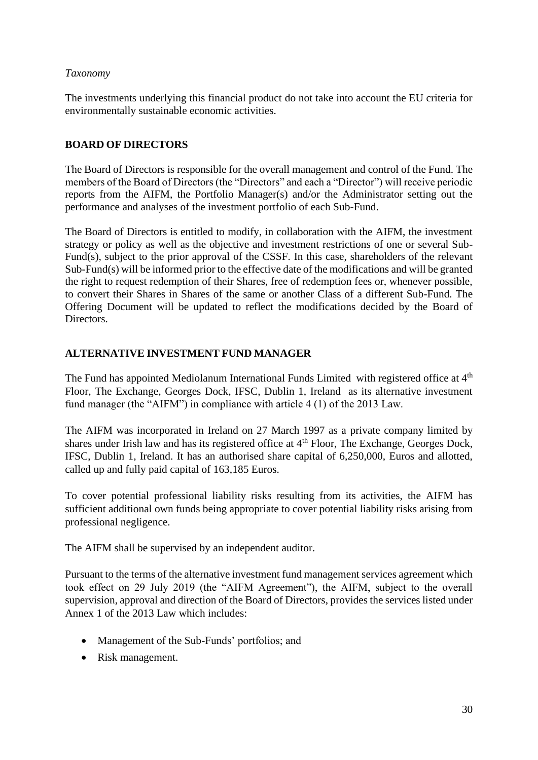# *Taxonomy*

The investments underlying this financial product do not take into account the EU criteria for environmentally sustainable economic activities.

# <span id="page-29-0"></span>**BOARD OF DIRECTORS**

The Board of Directors is responsible for the overall management and control of the Fund. The members of the Board of Directors (the "Directors" and each a "Director") will receive periodic reports from the AIFM, the Portfolio Manager(s) and/or the Administrator setting out the performance and analyses of the investment portfolio of each Sub-Fund.

The Board of Directors is entitled to modify, in collaboration with the AIFM, the investment strategy or policy as well as the objective and investment restrictions of one or several Sub-Fund(s), subject to the prior approval of the CSSF. In this case, shareholders of the relevant Sub-Fund(s) will be informed prior to the effective date of the modifications and will be granted the right to request redemption of their Shares, free of redemption fees or, whenever possible, to convert their Shares in Shares of the same or another Class of a different Sub-Fund. The Offering Document will be updated to reflect the modifications decided by the Board of Directors.

# <span id="page-29-1"></span>**ALTERNATIVE INVESTMENT FUND MANAGER**

The Fund has appointed Mediolanum International Funds Limited with registered office at 4<sup>th</sup> Floor, The Exchange, Georges Dock, IFSC, Dublin 1, Ireland as its alternative investment fund manager (the "AIFM") in compliance with article 4 (1) of the 2013 Law.

The AIFM was incorporated in Ireland on 27 March 1997 as a private company limited by shares under Irish law and has its registered office at 4th Floor, The Exchange, Georges Dock, IFSC, Dublin 1, Ireland. It has an authorised share capital of 6,250,000, Euros and allotted, called up and fully paid capital of 163,185 Euros.

To cover potential professional liability risks resulting from its activities, the AIFM has sufficient additional own funds being appropriate to cover potential liability risks arising from professional negligence.

The AIFM shall be supervised by an independent auditor.

Pursuant to the terms of the alternative investment fund management services agreement which took effect on 29 July 2019 (the "AIFM Agreement"), the AIFM, subject to the overall supervision, approval and direction of the Board of Directors, provides the services listed under Annex 1 of the 2013 Law which includes:

- Management of the Sub-Funds' portfolios; and
- Risk management.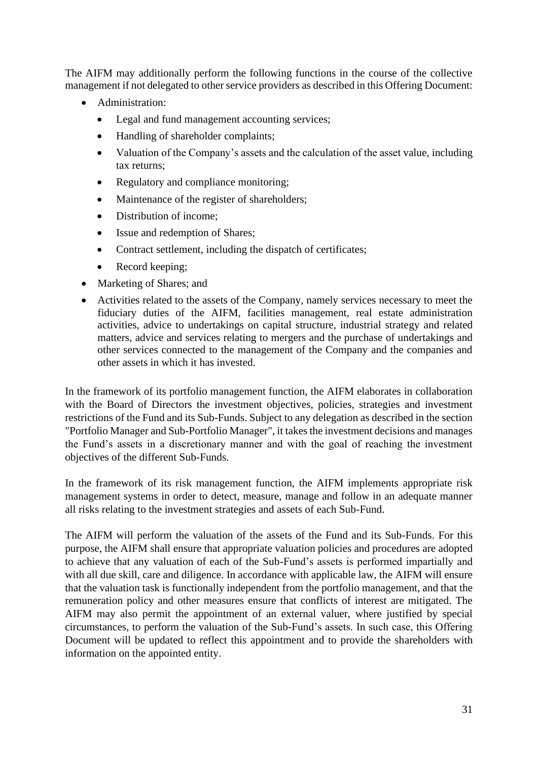The AIFM may additionally perform the following functions in the course of the collective management if not delegated to other service providers as described in this Offering Document:

- Administration:
	- Legal and fund management accounting services;
	- Handling of shareholder complaints;
	- Valuation of the Company's assets and the calculation of the asset value, including tax returns;
	- Regulatory and compliance monitoring;
	- Maintenance of the register of shareholders;
	- Distribution of income:
	- Issue and redemption of Shares;
	- Contract settlement, including the dispatch of certificates;
	- Record keeping;
- Marketing of Shares; and
- Activities related to the assets of the Company, namely services necessary to meet the fiduciary duties of the AIFM, facilities management, real estate administration activities, advice to undertakings on capital structure, industrial strategy and related matters, advice and services relating to mergers and the purchase of undertakings and other services connected to the management of the Company and the companies and other assets in which it has invested.

In the framework of its portfolio management function, the AIFM elaborates in collaboration with the Board of Directors the investment objectives, policies, strategies and investment restrictions of the Fund and its Sub-Funds. Subject to any delegation as described in the section "Portfolio Manager and Sub-Portfolio Manager", it takes the investment decisions and manages the Fund's assets in a discretionary manner and with the goal of reaching the investment objectives of the different Sub-Funds.

In the framework of its risk management function, the AIFM implements appropriate risk management systems in order to detect, measure, manage and follow in an adequate manner all risks relating to the investment strategies and assets of each Sub-Fund.

The AIFM will perform the valuation of the assets of the Fund and its Sub-Funds. For this purpose, the AIFM shall ensure that appropriate valuation policies and procedures are adopted to achieve that any valuation of each of the Sub-Fund's assets is performed impartially and with all due skill, care and diligence. In accordance with applicable law, the AIFM will ensure that the valuation task is functionally independent from the portfolio management, and that the remuneration policy and other measures ensure that conflicts of interest are mitigated. The AIFM may also permit the appointment of an external valuer, where justified by special circumstances, to perform the valuation of the Sub-Fund's assets. In such case, this Offering Document will be updated to reflect this appointment and to provide the shareholders with information on the appointed entity.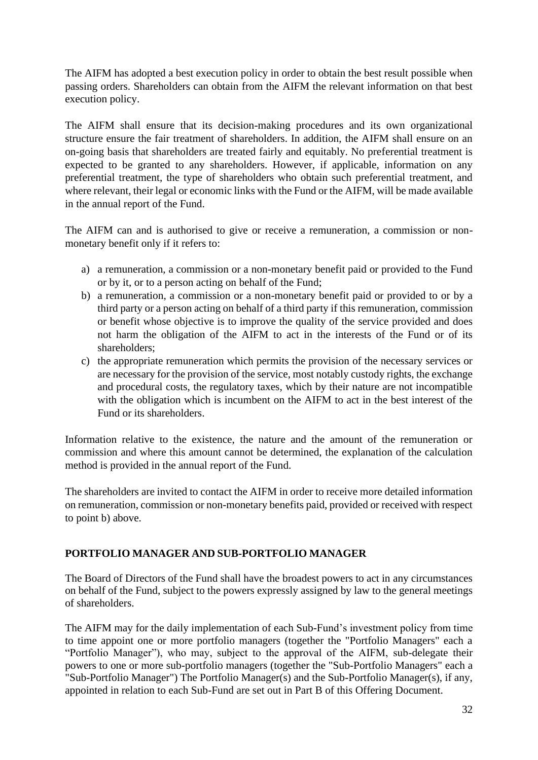The AIFM has adopted a best execution policy in order to obtain the best result possible when passing orders. Shareholders can obtain from the AIFM the relevant information on that best execution policy.

The AIFM shall ensure that its decision-making procedures and its own organizational structure ensure the fair treatment of shareholders. In addition, the AIFM shall ensure on an on-going basis that shareholders are treated fairly and equitably. No preferential treatment is expected to be granted to any shareholders. However, if applicable, information on any preferential treatment, the type of shareholders who obtain such preferential treatment, and where relevant, their legal or economic links with the Fund or the AIFM, will be made available in the annual report of the Fund.

The AIFM can and is authorised to give or receive a remuneration, a commission or nonmonetary benefit only if it refers to:

- a) a remuneration, a commission or a non-monetary benefit paid or provided to the Fund or by it, or to a person acting on behalf of the Fund;
- b) a remuneration, a commission or a non-monetary benefit paid or provided to or by a third party or a person acting on behalf of a third party if this remuneration, commission or benefit whose objective is to improve the quality of the service provided and does not harm the obligation of the AIFM to act in the interests of the Fund or of its shareholders;
- c) the appropriate remuneration which permits the provision of the necessary services or are necessary for the provision of the service, most notably custody rights, the exchange and procedural costs, the regulatory taxes, which by their nature are not incompatible with the obligation which is incumbent on the AIFM to act in the best interest of the Fund or its shareholders.

Information relative to the existence, the nature and the amount of the remuneration or commission and where this amount cannot be determined, the explanation of the calculation method is provided in the annual report of the Fund.

The shareholders are invited to contact the AIFM in order to receive more detailed information on remuneration, commission or non-monetary benefits paid, provided or received with respect to point b) above.

# <span id="page-31-0"></span>**PORTFOLIO MANAGER AND SUB-PORTFOLIO MANAGER**

The Board of Directors of the Fund shall have the broadest powers to act in any circumstances on behalf of the Fund, subject to the powers expressly assigned by law to the general meetings of shareholders.

The AIFM may for the daily implementation of each Sub-Fund's investment policy from time to time appoint one or more portfolio managers (together the "Portfolio Managers" each a "Portfolio Manager"), who may, subject to the approval of the AIFM, sub-delegate their powers to one or more sub-portfolio managers (together the "Sub-Portfolio Managers" each a "Sub-Portfolio Manager") The Portfolio Manager(s) and the Sub-Portfolio Manager(s), if any, appointed in relation to each Sub-Fund are set out in Part B of this Offering Document.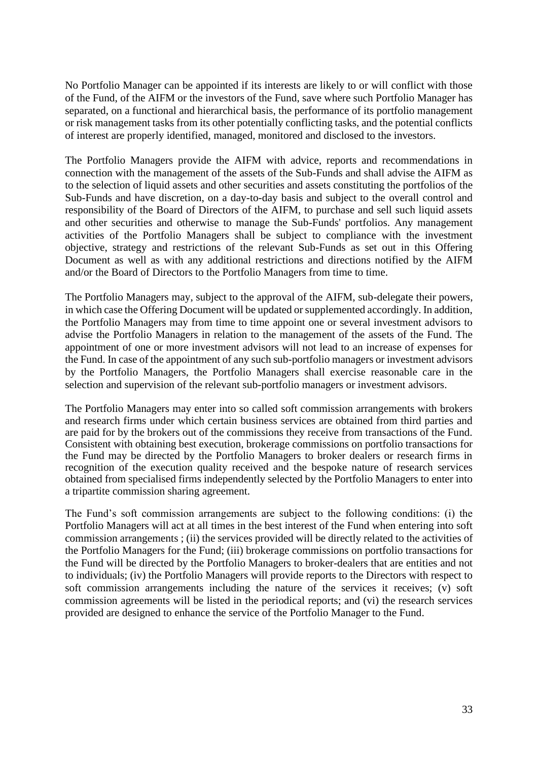No Portfolio Manager can be appointed if its interests are likely to or will conflict with those of the Fund, of the AIFM or the investors of the Fund, save where such Portfolio Manager has separated, on a functional and hierarchical basis, the performance of its portfolio management or risk management tasks from its other potentially conflicting tasks, and the potential conflicts of interest are properly identified, managed, monitored and disclosed to the investors.

The Portfolio Managers provide the AIFM with advice, reports and recommendations in connection with the management of the assets of the Sub-Funds and shall advise the AIFM as to the selection of liquid assets and other securities and assets constituting the portfolios of the Sub-Funds and have discretion, on a day-to-day basis and subject to the overall control and responsibility of the Board of Directors of the AIFM, to purchase and sell such liquid assets and other securities and otherwise to manage the Sub-Funds' portfolios. Any management activities of the Portfolio Managers shall be subject to compliance with the investment objective, strategy and restrictions of the relevant Sub-Funds as set out in this Offering Document as well as with any additional restrictions and directions notified by the AIFM and/or the Board of Directors to the Portfolio Managers from time to time.

The Portfolio Managers may, subject to the approval of the AIFM, sub-delegate their powers, in which case the Offering Document will be updated or supplemented accordingly. In addition, the Portfolio Managers may from time to time appoint one or several investment advisors to advise the Portfolio Managers in relation to the management of the assets of the Fund. The appointment of one or more investment advisors will not lead to an increase of expenses for the Fund. In case of the appointment of any such sub-portfolio managers or investment advisors by the Portfolio Managers, the Portfolio Managers shall exercise reasonable care in the selection and supervision of the relevant sub-portfolio managers or investment advisors.

The Portfolio Managers may enter into so called soft commission arrangements with brokers and research firms under which certain business services are obtained from third parties and are paid for by the brokers out of the commissions they receive from transactions of the Fund. Consistent with obtaining best execution, brokerage commissions on portfolio transactions for the Fund may be directed by the Portfolio Managers to broker dealers or research firms in recognition of the execution quality received and the bespoke nature of research services obtained from specialised firms independently selected by the Portfolio Managers to enter into a tripartite commission sharing agreement.

<span id="page-32-0"></span>The Fund's soft commission arrangements are subject to the following conditions: (i) the Portfolio Managers will act at all times in the best interest of the Fund when entering into soft commission arrangements ; (ii) the services provided will be directly related to the activities of the Portfolio Managers for the Fund; (iii) brokerage commissions on portfolio transactions for the Fund will be directed by the Portfolio Managers to broker-dealers that are entities and not to individuals; (iv) the Portfolio Managers will provide reports to the Directors with respect to soft commission arrangements including the nature of the services it receives; (v) soft commission agreements will be listed in the periodical reports; and (vi) the research services provided are designed to enhance the service of the Portfolio Manager to the Fund.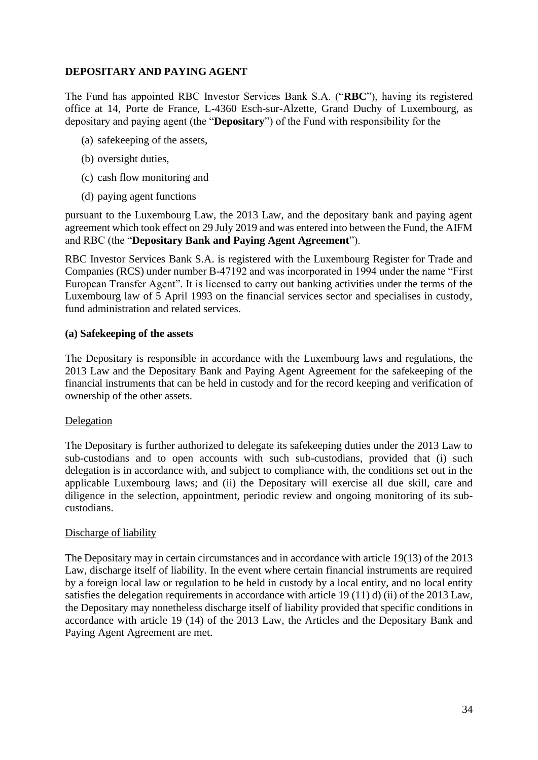# **DEPOSITARY AND PAYING AGENT**

The Fund has appointed RBC Investor Services Bank S.A. ("**RBC**"), having its registered office at 14, Porte de France, L-4360 Esch-sur-Alzette, Grand Duchy of Luxembourg, as depositary and paying agent (the "**Depositary**") of the Fund with responsibility for the

- (a) safekeeping of the assets,
- (b) oversight duties,
- (c) cash flow monitoring and
- (d) paying agent functions

pursuant to the Luxembourg Law, the 2013 Law, and the depositary bank and paying agent agreement which took effect on 29 July 2019 and was entered into between the Fund, the AIFM and RBC (the "**Depositary Bank and Paying Agent Agreement**").

RBC Investor Services Bank S.A. is registered with the Luxembourg Register for Trade and Companies (RCS) under number B-47192 and was incorporated in 1994 under the name "First European Transfer Agent". It is licensed to carry out banking activities under the terms of the Luxembourg law of 5 April 1993 on the financial services sector and specialises in custody, fund administration and related services.

## **(a) Safekeeping of the assets**

The Depositary is responsible in accordance with the Luxembourg laws and regulations, the 2013 Law and the Depositary Bank and Paying Agent Agreement for the safekeeping of the financial instruments that can be held in custody and for the record keeping and verification of ownership of the other assets.

### Delegation

The Depositary is further authorized to delegate its safekeeping duties under the 2013 Law to sub-custodians and to open accounts with such sub-custodians, provided that (i) such delegation is in accordance with, and subject to compliance with, the conditions set out in the applicable Luxembourg laws; and (ii) the Depositary will exercise all due skill, care and diligence in the selection, appointment, periodic review and ongoing monitoring of its subcustodians.

### Discharge of liability

The Depositary may in certain circumstances and in accordance with article 19(13) of the 2013 Law, discharge itself of liability. In the event where certain financial instruments are required by a foreign local law or regulation to be held in custody by a local entity, and no local entity satisfies the delegation requirements in accordance with article 19 (11) d) (ii) of the 2013 Law, the Depositary may nonetheless discharge itself of liability provided that specific conditions in accordance with article 19 (14) of the 2013 Law, the Articles and the Depositary Bank and Paying Agent Agreement are met.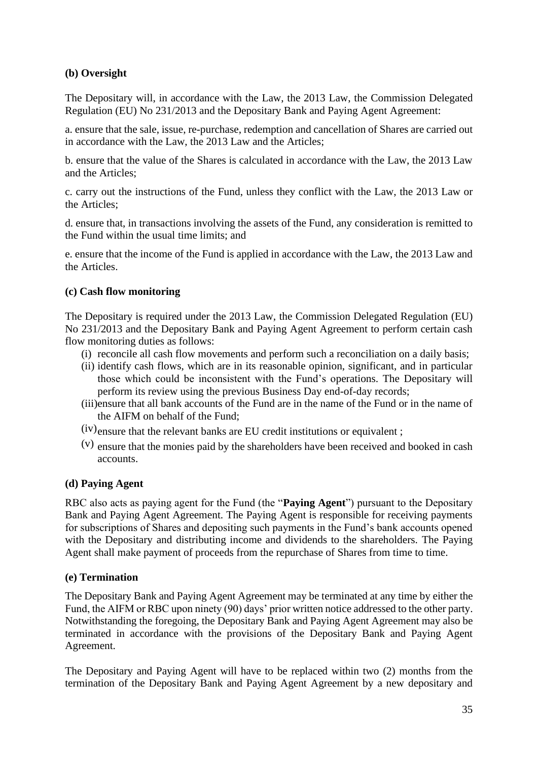# **(b) Oversight**

The Depositary will, in accordance with the Law, the 2013 Law, the Commission Delegated Regulation (EU) No 231/2013 and the Depositary Bank and Paying Agent Agreement:

a. ensure that the sale, issue, re-purchase, redemption and cancellation of Shares are carried out in accordance with the Law, the 2013 Law and the Articles;

b. ensure that the value of the Shares is calculated in accordance with the Law, the 2013 Law and the Articles;

c. carry out the instructions of the Fund, unless they conflict with the Law, the 2013 Law or the Articles;

d. ensure that, in transactions involving the assets of the Fund, any consideration is remitted to the Fund within the usual time limits; and

e. ensure that the income of the Fund is applied in accordance with the Law, the 2013 Law and the Articles.

## **(c) Cash flow monitoring**

The Depositary is required under the 2013 Law, the Commission Delegated Regulation (EU) No 231/2013 and the Depositary Bank and Paying Agent Agreement to perform certain cash flow monitoring duties as follows:

- (i) reconcile all cash flow movements and perform such a reconciliation on a daily basis;
- (ii) identify cash flows, which are in its reasonable opinion, significant, and in particular those which could be inconsistent with the Fund's operations. The Depositary will perform its review using the previous Business Day end-of-day records;
- (iii)ensure that all bank accounts of the Fund are in the name of the Fund or in the name of the AIFM on behalf of the Fund;
- (iv)ensure that the relevant banks are EU credit institutions or equivalent ;
- (v) ensure that the monies paid by the shareholders have been received and booked in cash accounts.

### **(d) Paying Agent**

RBC also acts as paying agent for the Fund (the "**Paying Agent**") pursuant to the Depositary Bank and Paying Agent Agreement. The Paying Agent is responsible for receiving payments for subscriptions of Shares and depositing such payments in the Fund's bank accounts opened with the Depositary and distributing income and dividends to the shareholders. The Paying Agent shall make payment of proceeds from the repurchase of Shares from time to time.

# **(e) Termination**

The Depositary Bank and Paying Agent Agreement may be terminated at any time by either the Fund, the AIFM or RBC upon ninety (90) days' prior written notice addressed to the other party. Notwithstanding the foregoing, the Depositary Bank and Paying Agent Agreement may also be terminated in accordance with the provisions of the Depositary Bank and Paying Agent Agreement.

The Depositary and Paying Agent will have to be replaced within two (2) months from the termination of the Depositary Bank and Paying Agent Agreement by a new depositary and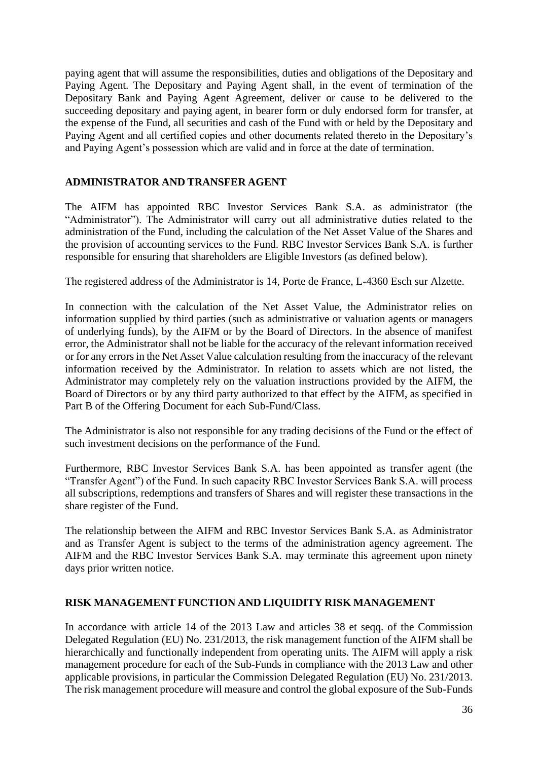paying agent that will assume the responsibilities, duties and obligations of the Depositary and Paying Agent. The Depositary and Paying Agent shall, in the event of termination of the Depositary Bank and Paying Agent Agreement, deliver or cause to be delivered to the succeeding depositary and paying agent, in bearer form or duly endorsed form for transfer, at the expense of the Fund, all securities and cash of the Fund with or held by the Depositary and Paying Agent and all certified copies and other documents related thereto in the Depositary's and Paying Agent's possession which are valid and in force at the date of termination.

# <span id="page-35-0"></span>**ADMINISTRATOR AND TRANSFER AGENT**

The AIFM has appointed RBC Investor Services Bank S.A. as administrator (the "Administrator"). The Administrator will carry out all administrative duties related to the administration of the Fund, including the calculation of the Net Asset Value of the Shares and the provision of accounting services to the Fund. RBC Investor Services Bank S.A. is further responsible for ensuring that shareholders are Eligible Investors (as defined below).

The registered address of the Administrator is 14, Porte de France, L-4360 Esch sur Alzette.

In connection with the calculation of the Net Asset Value, the Administrator relies on information supplied by third parties (such as administrative or valuation agents or managers of underlying funds), by the AIFM or by the Board of Directors. In the absence of manifest error, the Administrator shall not be liable for the accuracy of the relevant information received or for any errors in the Net Asset Value calculation resulting from the inaccuracy of the relevant information received by the Administrator. In relation to assets which are not listed, the Administrator may completely rely on the valuation instructions provided by the AIFM, the Board of Directors or by any third party authorized to that effect by the AIFM, as specified in Part B of the Offering Document for each Sub-Fund/Class.

The Administrator is also not responsible for any trading decisions of the Fund or the effect of such investment decisions on the performance of the Fund.

Furthermore, RBC Investor Services Bank S.A. has been appointed as transfer agent (the "Transfer Agent") of the Fund. In such capacity RBC Investor Services Bank S.A. will process all subscriptions, redemptions and transfers of Shares and will register these transactions in the share register of the Fund.

The relationship between the AIFM and RBC Investor Services Bank S.A. as Administrator and as Transfer Agent is subject to the terms of the administration agency agreement. The AIFM and the RBC Investor Services Bank S.A. may terminate this agreement upon ninety days prior written notice.

# <span id="page-35-1"></span>**RISK MANAGEMENT FUNCTION AND LIQUIDITY RISK MANAGEMENT**

In accordance with article 14 of the 2013 Law and articles 38 et seqq. of the Commission Delegated Regulation (EU) No. 231/2013, the risk management function of the AIFM shall be hierarchically and functionally independent from operating units. The AIFM will apply a risk management procedure for each of the Sub-Funds in compliance with the 2013 Law and other applicable provisions, in particular the Commission Delegated Regulation (EU) No. 231/2013. The risk management procedure will measure and control the global exposure of the Sub-Funds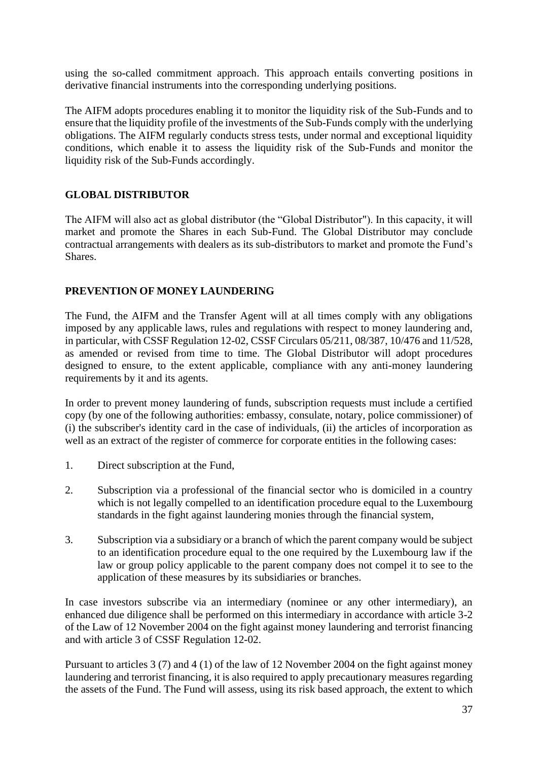using the so-called commitment approach. This approach entails converting positions in derivative financial instruments into the corresponding underlying positions.

The AIFM adopts procedures enabling it to monitor the liquidity risk of the Sub-Funds and to ensure that the liquidity profile of the investments of the Sub-Funds comply with the underlying obligations. The AIFM regularly conducts stress tests, under normal and exceptional liquidity conditions, which enable it to assess the liquidity risk of the Sub-Funds and monitor the liquidity risk of the Sub-Funds accordingly.

# **GLOBAL DISTRIBUTOR**

The AIFM will also act as global distributor (the "Global Distributor"). In this capacity, it will market and promote the Shares in each Sub-Fund. The Global Distributor may conclude contractual arrangements with dealers as its sub-distributors to market and promote the Fund's Shares.

## **PREVENTION OF MONEY LAUNDERING**

The Fund, the AIFM and the Transfer Agent will at all times comply with any obligations imposed by any applicable laws, rules and regulations with respect to money laundering and, in particular, with CSSF Regulation 12-02, CSSF Circulars 05/211, 08/387, 10/476 and 11/528, as amended or revised from time to time. The Global Distributor will adopt procedures designed to ensure, to the extent applicable, compliance with any anti-money laundering requirements by it and its agents.

In order to prevent money laundering of funds, subscription requests must include a certified copy (by one of the following authorities: embassy, consulate, notary, police commissioner) of (i) the subscriber's identity card in the case of individuals, (ii) the articles of incorporation as well as an extract of the register of commerce for corporate entities in the following cases:

- 1. Direct subscription at the Fund,
- 2. Subscription via a professional of the financial sector who is domiciled in a country which is not legally compelled to an identification procedure equal to the Luxembourg standards in the fight against laundering monies through the financial system,
- 3. Subscription via a subsidiary or a branch of which the parent company would be subject to an identification procedure equal to the one required by the Luxembourg law if the law or group policy applicable to the parent company does not compel it to see to the application of these measures by its subsidiaries or branches.

In case investors subscribe via an intermediary (nominee or any other intermediary), an enhanced due diligence shall be performed on this intermediary in accordance with article 3-2 of the Law of 12 November 2004 on the fight against money laundering and terrorist financing and with article 3 of CSSF Regulation 12-02.

Pursuant to articles 3 (7) and 4 (1) of the law of 12 November 2004 on the fight against money laundering and terrorist financing, it is also required to apply precautionary measures regarding the assets of the Fund. The Fund will assess, using its risk based approach, the extent to which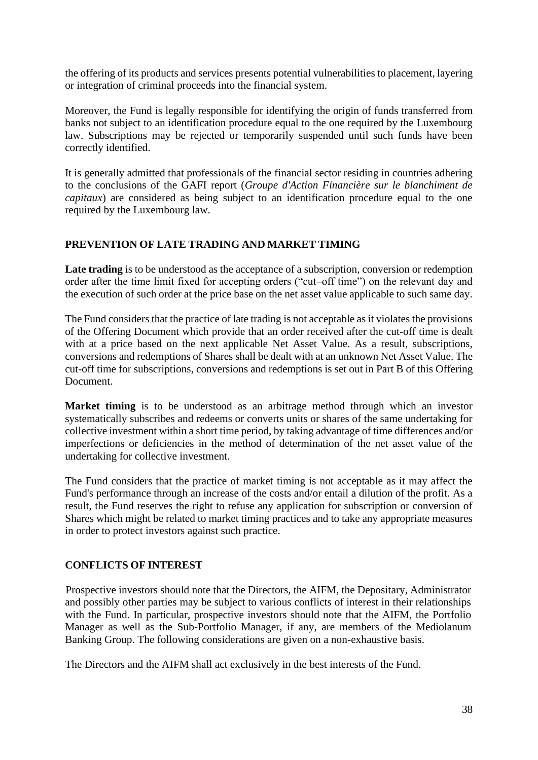the offering of its products and services presents potential vulnerabilities to placement, layering or integration of criminal proceeds into the financial system.

Moreover, the Fund is legally responsible for identifying the origin of funds transferred from banks not subject to an identification procedure equal to the one required by the Luxembourg law. Subscriptions may be rejected or temporarily suspended until such funds have been correctly identified.

It is generally admitted that professionals of the financial sector residing in countries adhering to the conclusions of the GAFI report (*Groupe d'Action Financière sur le blanchiment de capitaux*) are considered as being subject to an identification procedure equal to the one required by the Luxembourg law.

# **PREVENTION OF LATE TRADING AND MARKET TIMING**

**Late trading** is to be understood as the acceptance of a subscription, conversion or redemption order after the time limit fixed for accepting orders ("cut–off time") on the relevant day and the execution of such order at the price base on the net asset value applicable to such same day.

The Fund considers that the practice of late trading is not acceptable as it violates the provisions of the Offering Document which provide that an order received after the cut-off time is dealt with at a price based on the next applicable Net Asset Value. As a result, subscriptions, conversions and redemptions of Shares shall be dealt with at an unknown Net Asset Value. The cut-off time for subscriptions, conversions and redemptions is set out in Part B of this Offering Document.

**Market timing** is to be understood as an arbitrage method through which an investor systematically subscribes and redeems or converts units or shares of the same undertaking for collective investment within a short time period, by taking advantage of time differences and/or imperfections or deficiencies in the method of determination of the net asset value of the undertaking for collective investment.

The Fund considers that the practice of market timing is not acceptable as it may affect the Fund's performance through an increase of the costs and/or entail a dilution of the profit. As a result, the Fund reserves the right to refuse any application for subscription or conversion of Shares which might be related to market timing practices and to take any appropriate measures in order to protect investors against such practice.

# **CONFLICTS OF INTEREST**

Prospective investors should note that the Directors, the AIFM, the Depositary, Administrator and possibly other parties may be subject to various conflicts of interest in their relationships with the Fund. In particular, prospective investors should note that the AIFM, the Portfolio Manager as well as the Sub-Portfolio Manager, if any, are members of the Mediolanum Banking Group. The following considerations are given on a non-exhaustive basis.

The Directors and the AIFM shall act exclusively in the best interests of the Fund.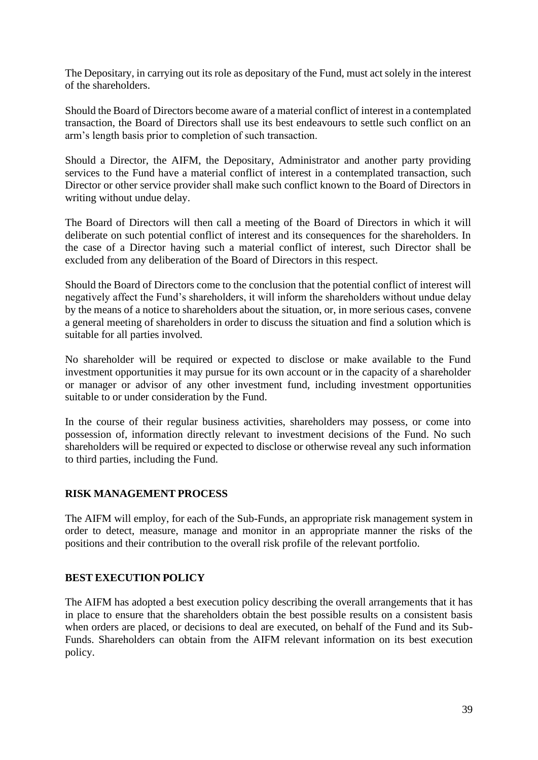The Depositary, in carrying out its role as depositary of the Fund, must act solely in the interest of the shareholders.

Should the Board of Directors become aware of a material conflict of interest in a contemplated transaction, the Board of Directors shall use its best endeavours to settle such conflict on an arm's length basis prior to completion of such transaction.

Should a Director, the AIFM, the Depositary, Administrator and another party providing services to the Fund have a material conflict of interest in a contemplated transaction, such Director or other service provider shall make such conflict known to the Board of Directors in writing without undue delay.

The Board of Directors will then call a meeting of the Board of Directors in which it will deliberate on such potential conflict of interest and its consequences for the shareholders. In the case of a Director having such a material conflict of interest, such Director shall be excluded from any deliberation of the Board of Directors in this respect.

Should the Board of Directors come to the conclusion that the potential conflict of interest will negatively affect the Fund's shareholders, it will inform the shareholders without undue delay by the means of a notice to shareholders about the situation, or, in more serious cases, convene a general meeting of shareholders in order to discuss the situation and find a solution which is suitable for all parties involved.

No shareholder will be required or expected to disclose or make available to the Fund investment opportunities it may pursue for its own account or in the capacity of a shareholder or manager or advisor of any other investment fund, including investment opportunities suitable to or under consideration by the Fund.

In the course of their regular business activities, shareholders may possess, or come into possession of, information directly relevant to investment decisions of the Fund. No such shareholders will be required or expected to disclose or otherwise reveal any such information to third parties, including the Fund.

#### **RISK MANAGEMENT PROCESS**

The AIFM will employ, for each of the Sub-Funds, an appropriate risk management system in order to detect, measure, manage and monitor in an appropriate manner the risks of the positions and their contribution to the overall risk profile of the relevant portfolio.

#### **BEST EXECUTION POLICY**

The AIFM has adopted a best execution policy describing the overall arrangements that it has in place to ensure that the shareholders obtain the best possible results on a consistent basis when orders are placed, or decisions to deal are executed, on behalf of the Fund and its Sub-Funds. Shareholders can obtain from the AIFM relevant information on its best execution policy.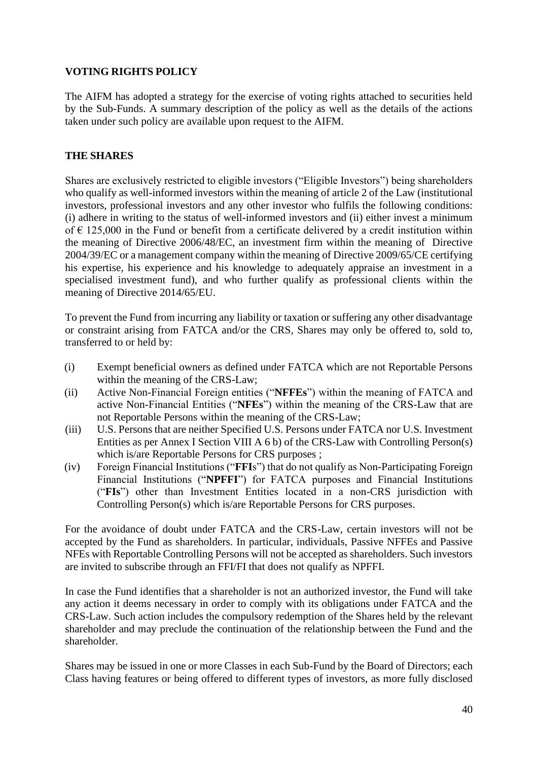# **VOTING RIGHTS POLICY**

The AIFM has adopted a strategy for the exercise of voting rights attached to securities held by the Sub-Funds. A summary description of the policy as well as the details of the actions taken under such policy are available upon request to the AIFM.

# **THE SHARES**

Shares are exclusively restricted to eligible investors ("Eligible Investors") being shareholders who qualify as well-informed investors within the meaning of article 2 of the Law (institutional investors, professional investors and any other investor who fulfils the following conditions: (i) adhere in writing to the status of well-informed investors and (ii) either invest a minimum of  $\epsilon$  125,000 in the Fund or benefit from a certificate delivered by a credit institution within the meaning of Directive 2006/48/EC, an investment firm within the meaning of Directive 2004/39/EC or a management company within the meaning of Directive 2009/65/CE certifying his expertise, his experience and his knowledge to adequately appraise an investment in a specialised investment fund), and who further qualify as professional clients within the meaning of Directive 2014/65/EU.

To prevent the Fund from incurring any liability or taxation or suffering any other disadvantage or constraint arising from FATCA and/or the CRS, Shares may only be offered to, sold to, transferred to or held by:

- (i) Exempt beneficial owners as defined under FATCA which are not Reportable Persons within the meaning of the CRS-Law;
- (ii) Active Non-Financial Foreign entities ("**NFFEs**") within the meaning of FATCA and active Non-Financial Entities ("**NFEs**") within the meaning of the CRS-Law that are not Reportable Persons within the meaning of the CRS-Law;
- (iii) U.S. Persons that are neither Specified U.S. Persons under FATCA nor U.S. Investment Entities as per Annex I Section VIII A 6 b) of the CRS-Law with Controlling Person(s) which is/are Reportable Persons for CRS purposes ;
- (iv) Foreign Financial Institutions ("**FFI**s") that do not qualify as Non-Participating Foreign Financial Institutions ("**NPFFI**") for FATCA purposes and Financial Institutions ("**FIs**") other than Investment Entities located in a non-CRS jurisdiction with Controlling Person(s) which is/are Reportable Persons for CRS purposes.

For the avoidance of doubt under FATCA and the CRS-Law, certain investors will not be accepted by the Fund as shareholders. In particular, individuals, Passive NFFEs and Passive NFEs with Reportable Controlling Persons will not be accepted as shareholders. Such investors are invited to subscribe through an FFI/FI that does not qualify as NPFFI.

In case the Fund identifies that a shareholder is not an authorized investor, the Fund will take any action it deems necessary in order to comply with its obligations under FATCA and the CRS-Law. Such action includes the compulsory redemption of the Shares held by the relevant shareholder and may preclude the continuation of the relationship between the Fund and the shareholder.

Shares may be issued in one or more Classes in each Sub-Fund by the Board of Directors; each Class having features or being offered to different types of investors, as more fully disclosed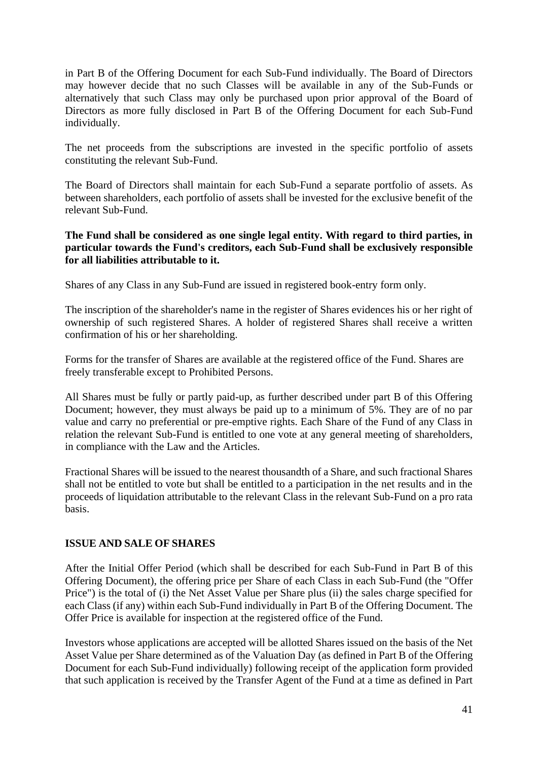in Part B of the Offering Document for each Sub-Fund individually. The Board of Directors may however decide that no such Classes will be available in any of the Sub-Funds or alternatively that such Class may only be purchased upon prior approval of the Board of Directors as more fully disclosed in Part B of the Offering Document for each Sub-Fund individually.

The net proceeds from the subscriptions are invested in the specific portfolio of assets constituting the relevant Sub-Fund.

The Board of Directors shall maintain for each Sub-Fund a separate portfolio of assets. As between shareholders, each portfolio of assets shall be invested for the exclusive benefit of the relevant Sub-Fund.

## **The Fund shall be considered as one single legal entity. With regard to third parties, in particular towards the Fund's creditors, each Sub-Fund shall be exclusively responsible for all liabilities attributable to it.**

Shares of any Class in any Sub-Fund are issued in registered book-entry form only.

The inscription of the shareholder's name in the register of Shares evidences his or her right of ownership of such registered Shares. A holder of registered Shares shall receive a written confirmation of his or her shareholding.

Forms for the transfer of Shares are available at the registered office of the Fund. Shares are freely transferable except to Prohibited Persons.

All Shares must be fully or partly paid-up, as further described under part B of this Offering Document; however, they must always be paid up to a minimum of 5%. They are of no par value and carry no preferential or pre-emptive rights. Each Share of the Fund of any Class in relation the relevant Sub-Fund is entitled to one vote at any general meeting of shareholders, in compliance with the Law and the Articles.

Fractional Shares will be issued to the nearest thousandth of a Share, and such fractional Shares shall not be entitled to vote but shall be entitled to a participation in the net results and in the proceeds of liquidation attributable to the relevant Class in the relevant Sub-Fund on a pro rata basis.

# **ISSUE AND SALE OF SHARES**

After the Initial Offer Period (which shall be described for each Sub-Fund in Part B of this Offering Document), the offering price per Share of each Class in each Sub-Fund (the "Offer Price") is the total of (i) the Net Asset Value per Share plus (ii) the sales charge specified for each Class (if any) within each Sub-Fund individually in Part B of the Offering Document. The Offer Price is available for inspection at the registered office of the Fund.

Investors whose applications are accepted will be allotted Shares issued on the basis of the Net Asset Value per Share determined as of the Valuation Day (as defined in Part B of the Offering Document for each Sub-Fund individually) following receipt of the application form provided that such application is received by the Transfer Agent of the Fund at a time as defined in Part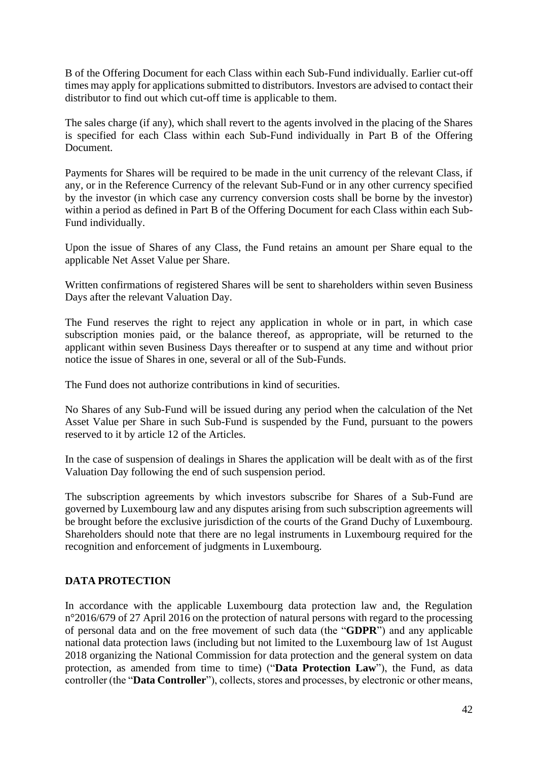B of the Offering Document for each Class within each Sub-Fund individually. Earlier cut-off times may apply for applications submitted to distributors. Investors are advised to contact their distributor to find out which cut-off time is applicable to them.

The sales charge (if any), which shall revert to the agents involved in the placing of the Shares is specified for each Class within each Sub-Fund individually in Part B of the Offering Document.

Payments for Shares will be required to be made in the unit currency of the relevant Class, if any, or in the Reference Currency of the relevant Sub-Fund or in any other currency specified by the investor (in which case any currency conversion costs shall be borne by the investor) within a period as defined in Part B of the Offering Document for each Class within each Sub-Fund individually.

Upon the issue of Shares of any Class, the Fund retains an amount per Share equal to the applicable Net Asset Value per Share.

Written confirmations of registered Shares will be sent to shareholders within seven Business Days after the relevant Valuation Day.

The Fund reserves the right to reject any application in whole or in part, in which case subscription monies paid, or the balance thereof, as appropriate, will be returned to the applicant within seven Business Days thereafter or to suspend at any time and without prior notice the issue of Shares in one, several or all of the Sub-Funds.

The Fund does not authorize contributions in kind of securities.

No Shares of any Sub-Fund will be issued during any period when the calculation of the Net Asset Value per Share in such Sub-Fund is suspended by the Fund, pursuant to the powers reserved to it by article 12 of the Articles.

In the case of suspension of dealings in Shares the application will be dealt with as of the first Valuation Day following the end of such suspension period.

The subscription agreements by which investors subscribe for Shares of a Sub-Fund are governed by Luxembourg law and any disputes arising from such subscription agreements will be brought before the exclusive jurisdiction of the courts of the Grand Duchy of Luxembourg. Shareholders should note that there are no legal instruments in Luxembourg required for the recognition and enforcement of judgments in Luxembourg.

# **DATA PROTECTION**

In accordance with the applicable Luxembourg data protection law and, the Regulation n°2016/679 of 27 April 2016 on the protection of natural persons with regard to the processing of personal data and on the free movement of such data (the "**GDPR**") and any applicable national data protection laws (including but not limited to the Luxembourg law of 1st August 2018 organizing the National Commission for data protection and the general system on data protection, as amended from time to time) ("**Data Protection Law**"), the Fund, as data controller (the "**Data Controller**"), collects, stores and processes, by electronic or other means,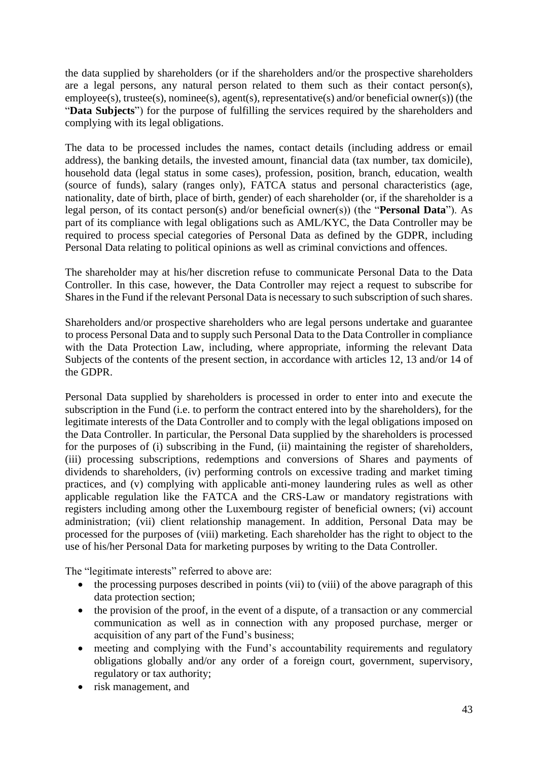the data supplied by shareholders (or if the shareholders and/or the prospective shareholders are a legal persons, any natural person related to them such as their contact person(s), employee(s), trustee(s), nominee(s), agent(s), representative(s) and/or beneficial owner(s)) (the "**Data Subjects**") for the purpose of fulfilling the services required by the shareholders and complying with its legal obligations.

The data to be processed includes the names, contact details (including address or email address), the banking details, the invested amount, financial data (tax number, tax domicile), household data (legal status in some cases), profession, position, branch, education, wealth (source of funds), salary (ranges only), FATCA status and personal characteristics (age, nationality, date of birth, place of birth, gender) of each shareholder (or, if the shareholder is a legal person, of its contact person(s) and/or beneficial owner(s)) (the "**Personal Data**"). As part of its compliance with legal obligations such as AML/KYC, the Data Controller may be required to process special categories of Personal Data as defined by the GDPR, including Personal Data relating to political opinions as well as criminal convictions and offences.

The shareholder may at his/her discretion refuse to communicate Personal Data to the Data Controller. In this case, however, the Data Controller may reject a request to subscribe for Shares in the Fund if the relevant Personal Data is necessary to such subscription of such shares.

Shareholders and/or prospective shareholders who are legal persons undertake and guarantee to process Personal Data and to supply such Personal Data to the Data Controller in compliance with the Data Protection Law, including, where appropriate, informing the relevant Data Subjects of the contents of the present section, in accordance with articles 12, 13 and/or 14 of the GDPR.

Personal Data supplied by shareholders is processed in order to enter into and execute the subscription in the Fund (i.e. to perform the contract entered into by the shareholders), for the legitimate interests of the Data Controller and to comply with the legal obligations imposed on the Data Controller. In particular, the Personal Data supplied by the shareholders is processed for the purposes of (i) subscribing in the Fund, (ii) maintaining the register of shareholders, (iii) processing subscriptions, redemptions and conversions of Shares and payments of dividends to shareholders, (iv) performing controls on excessive trading and market timing practices, and (v) complying with applicable anti-money laundering rules as well as other applicable regulation like the FATCA and the CRS-Law or mandatory registrations with registers including among other the Luxembourg register of beneficial owners; (vi) account administration; (vii) client relationship management. In addition, Personal Data may be processed for the purposes of (viii) marketing. Each shareholder has the right to object to the use of his/her Personal Data for marketing purposes by writing to the Data Controller.

The "legitimate interests" referred to above are:

- the processing purposes described in points (vii) to (viii) of the above paragraph of this data protection section;
- the provision of the proof, in the event of a dispute, of a transaction or any commercial communication as well as in connection with any proposed purchase, merger or acquisition of any part of the Fund's business;
- meeting and complying with the Fund's accountability requirements and regulatory obligations globally and/or any order of a foreign court, government, supervisory, regulatory or tax authority;
- risk management, and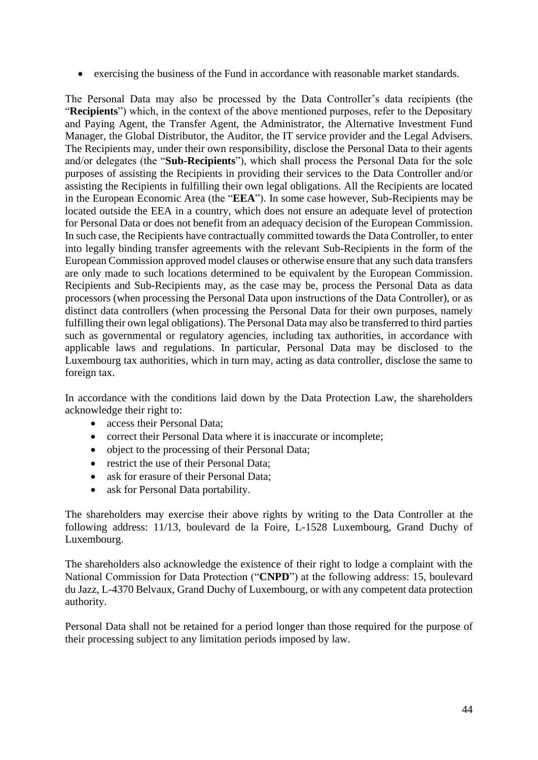• exercising the business of the Fund in accordance with reasonable market standards.

The Personal Data may also be processed by the Data Controller's data recipients (the "**Recipients**") which, in the context of the above mentioned purposes, refer to the Depositary and Paying Agent, the Transfer Agent, the Administrator, the Alternative Investment Fund Manager, the Global Distributor, the Auditor, the IT service provider and the Legal Advisers. The Recipients may, under their own responsibility, disclose the Personal Data to their agents and/or delegates (the "**Sub-Recipients**"), which shall process the Personal Data for the sole purposes of assisting the Recipients in providing their services to the Data Controller and/or assisting the Recipients in fulfilling their own legal obligations. All the Recipients are located in the European Economic Area (the "**EEA**"). In some case however, Sub-Recipients may be located outside the EEA in a country, which does not ensure an adequate level of protection for Personal Data or does not benefit from an adequacy decision of the European Commission. In such case, the Recipients have contractually committed towards the Data Controller, to enter into legally binding transfer agreements with the relevant Sub-Recipients in the form of the European Commission approved model clauses or otherwise ensure that any such data transfers are only made to such locations determined to be equivalent by the European Commission. Recipients and Sub-Recipients may, as the case may be, process the Personal Data as data processors (when processing the Personal Data upon instructions of the Data Controller), or as distinct data controllers (when processing the Personal Data for their own purposes, namely fulfilling their own legal obligations). The Personal Data may also be transferred to third parties such as governmental or regulatory agencies, including tax authorities, in accordance with applicable laws and regulations. In particular, Personal Data may be disclosed to the Luxembourg tax authorities, which in turn may, acting as data controller, disclose the same to foreign tax.

In accordance with the conditions laid down by the Data Protection Law, the shareholders acknowledge their right to:

- access their Personal Data:
- correct their Personal Data where it is inaccurate or incomplete;
- object to the processing of their Personal Data;
- restrict the use of their Personal Data;
- ask for erasure of their Personal Data;
- ask for Personal Data portability.

The shareholders may exercise their above rights by writing to the Data Controller at the following address: 11/13, boulevard de la Foire, L-1528 Luxembourg, Grand Duchy of Luxembourg.

The shareholders also acknowledge the existence of their right to lodge a complaint with the National Commission for Data Protection ("**CNPD**") at the following address: 15, boulevard du Jazz, L-4370 Belvaux, Grand Duchy of Luxembourg, or with any competent data protection authority.

Personal Data shall not be retained for a period longer than those required for the purpose of their processing subject to any limitation periods imposed by law.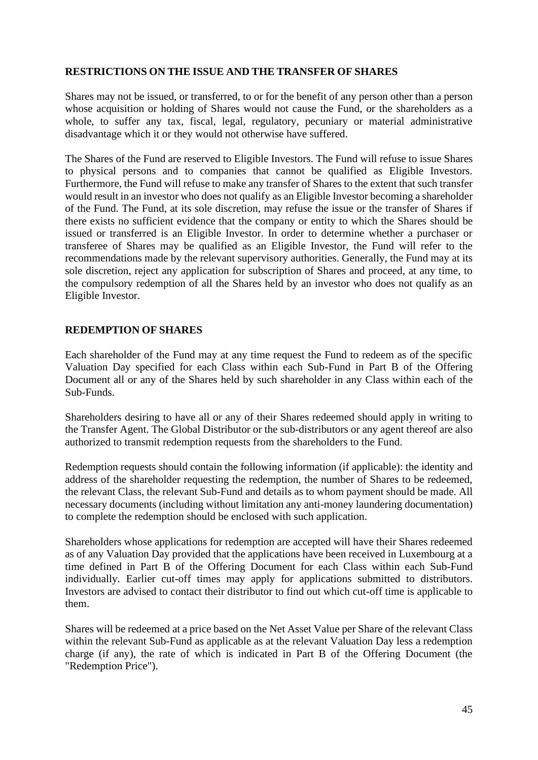## **RESTRICTIONS ON THE ISSUE AND THE TRANSFER OF SHARES**

Shares may not be issued, or transferred, to or for the benefit of any person other than a person whose acquisition or holding of Shares would not cause the Fund, or the shareholders as a whole, to suffer any tax, fiscal, legal, regulatory, pecuniary or material administrative disadvantage which it or they would not otherwise have suffered.

The Shares of the Fund are reserved to Eligible Investors. The Fund will refuse to issue Shares to physical persons and to companies that cannot be qualified as Eligible Investors. Furthermore, the Fund will refuse to make any transfer of Shares to the extent that such transfer would result in an investor who does not qualify as an Eligible Investor becoming a shareholder of the Fund. The Fund, at its sole discretion, may refuse the issue or the transfer of Shares if there exists no sufficient evidence that the company or entity to which the Shares should be issued or transferred is an Eligible Investor. In order to determine whether a purchaser or transferee of Shares may be qualified as an Eligible Investor, the Fund will refer to the recommendations made by the relevant supervisory authorities. Generally, the Fund may at its sole discretion, reject any application for subscription of Shares and proceed, at any time, to the compulsory redemption of all the Shares held by an investor who does not qualify as an Eligible Investor.

#### **REDEMPTION OF SHARES**

Each shareholder of the Fund may at any time request the Fund to redeem as of the specific Valuation Day specified for each Class within each Sub-Fund in Part B of the Offering Document all or any of the Shares held by such shareholder in any Class within each of the Sub-Funds.

Shareholders desiring to have all or any of their Shares redeemed should apply in writing to the Transfer Agent. The Global Distributor or the sub-distributors or any agent thereof are also authorized to transmit redemption requests from the shareholders to the Fund.

Redemption requests should contain the following information (if applicable): the identity and address of the shareholder requesting the redemption, the number of Shares to be redeemed, the relevant Class, the relevant Sub-Fund and details as to whom payment should be made. All necessary documents (including without limitation any anti-money laundering documentation) to complete the redemption should be enclosed with such application.

Shareholders whose applications for redemption are accepted will have their Shares redeemed as of any Valuation Day provided that the applications have been received in Luxembourg at a time defined in Part B of the Offering Document for each Class within each Sub-Fund individually. Earlier cut-off times may apply for applications submitted to distributors. Investors are advised to contact their distributor to find out which cut-off time is applicable to them.

Shares will be redeemed at a price based on the Net Asset Value per Share of the relevant Class within the relevant Sub-Fund as applicable as at the relevant Valuation Day less a redemption charge (if any), the rate of which is indicated in Part B of the Offering Document (the "Redemption Price").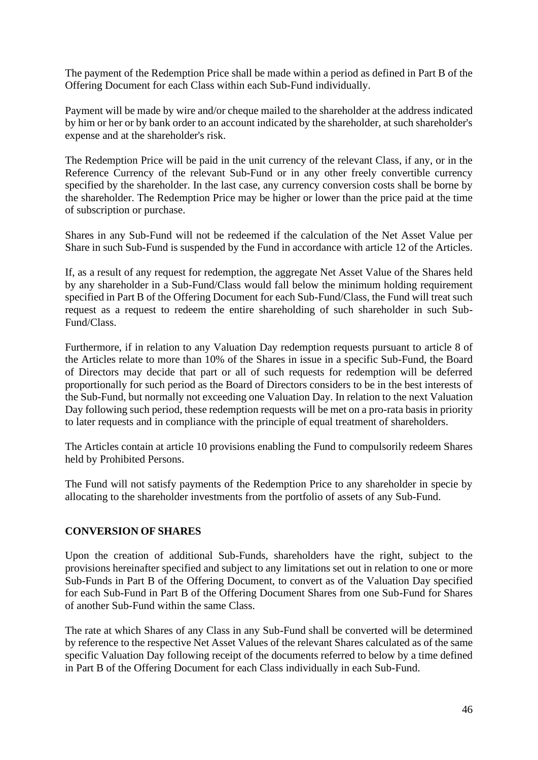The payment of the Redemption Price shall be made within a period as defined in Part B of the Offering Document for each Class within each Sub-Fund individually.

Payment will be made by wire and/or cheque mailed to the shareholder at the address indicated by him or her or by bank order to an account indicated by the shareholder, at such shareholder's expense and at the shareholder's risk.

The Redemption Price will be paid in the unit currency of the relevant Class, if any, or in the Reference Currency of the relevant Sub-Fund or in any other freely convertible currency specified by the shareholder. In the last case, any currency conversion costs shall be borne by the shareholder. The Redemption Price may be higher or lower than the price paid at the time of subscription or purchase.

Shares in any Sub-Fund will not be redeemed if the calculation of the Net Asset Value per Share in such Sub-Fund is suspended by the Fund in accordance with article 12 of the Articles.

If, as a result of any request for redemption, the aggregate Net Asset Value of the Shares held by any shareholder in a Sub-Fund/Class would fall below the minimum holding requirement specified in Part B of the Offering Document for each Sub-Fund/Class, the Fund will treat such request as a request to redeem the entire shareholding of such shareholder in such Sub-Fund/Class.

Furthermore, if in relation to any Valuation Day redemption requests pursuant to article 8 of the Articles relate to more than 10% of the Shares in issue in a specific Sub-Fund, the Board of Directors may decide that part or all of such requests for redemption will be deferred proportionally for such period as the Board of Directors considers to be in the best interests of the Sub-Fund, but normally not exceeding one Valuation Day. In relation to the next Valuation Day following such period, these redemption requests will be met on a pro-rata basis in priority to later requests and in compliance with the principle of equal treatment of shareholders.

The Articles contain at article 10 provisions enabling the Fund to compulsorily redeem Shares held by Prohibited Persons.

The Fund will not satisfy payments of the Redemption Price to any shareholder in specie by allocating to the shareholder investments from the portfolio of assets of any Sub-Fund.

#### **CONVERSION OF SHARES**

Upon the creation of additional Sub-Funds, shareholders have the right, subject to the provisions hereinafter specified and subject to any limitations set out in relation to one or more Sub-Funds in Part B of the Offering Document, to convert as of the Valuation Day specified for each Sub-Fund in Part B of the Offering Document Shares from one Sub-Fund for Shares of another Sub-Fund within the same Class.

The rate at which Shares of any Class in any Sub-Fund shall be converted will be determined by reference to the respective Net Asset Values of the relevant Shares calculated as of the same specific Valuation Day following receipt of the documents referred to below by a time defined in Part B of the Offering Document for each Class individually in each Sub-Fund.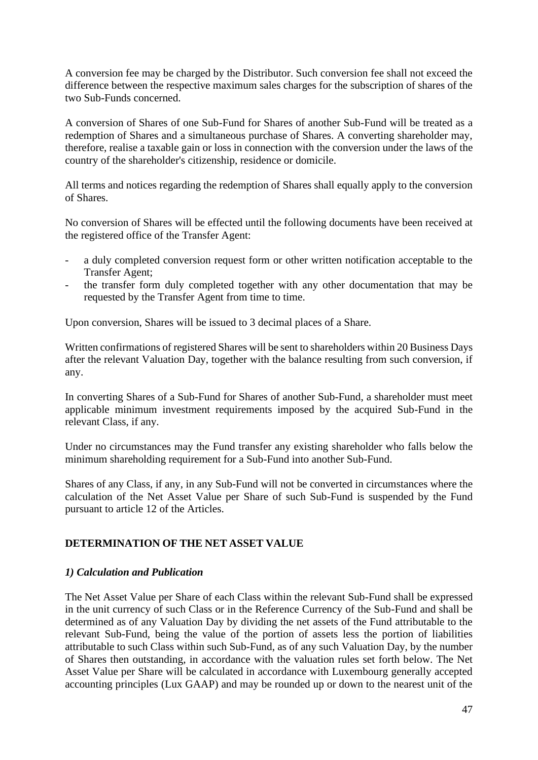A conversion fee may be charged by the Distributor. Such conversion fee shall not exceed the difference between the respective maximum sales charges for the subscription of shares of the two Sub-Funds concerned.

A conversion of Shares of one Sub-Fund for Shares of another Sub-Fund will be treated as a redemption of Shares and a simultaneous purchase of Shares. A converting shareholder may, therefore, realise a taxable gain or loss in connection with the conversion under the laws of the country of the shareholder's citizenship, residence or domicile.

All terms and notices regarding the redemption of Shares shall equally apply to the conversion of Shares.

No conversion of Shares will be effected until the following documents have been received at the registered office of the Transfer Agent:

- a duly completed conversion request form or other written notification acceptable to the Transfer Agent;
- the transfer form duly completed together with any other documentation that may be requested by the Transfer Agent from time to time.

Upon conversion, Shares will be issued to 3 decimal places of a Share.

Written confirmations of registered Shares will be sent to shareholders within 20 Business Days after the relevant Valuation Day, together with the balance resulting from such conversion, if any.

In converting Shares of a Sub-Fund for Shares of another Sub-Fund, a shareholder must meet applicable minimum investment requirements imposed by the acquired Sub-Fund in the relevant Class, if any.

Under no circumstances may the Fund transfer any existing shareholder who falls below the minimum shareholding requirement for a Sub-Fund into another Sub-Fund.

Shares of any Class, if any, in any Sub-Fund will not be converted in circumstances where the calculation of the Net Asset Value per Share of such Sub-Fund is suspended by the Fund pursuant to article 12 of the Articles.

# **DETERMINATION OF THE NET ASSET VALUE**

# *1) Calculation and Publication*

The Net Asset Value per Share of each Class within the relevant Sub-Fund shall be expressed in the unit currency of such Class or in the Reference Currency of the Sub-Fund and shall be determined as of any Valuation Day by dividing the net assets of the Fund attributable to the relevant Sub-Fund, being the value of the portion of assets less the portion of liabilities attributable to such Class within such Sub-Fund, as of any such Valuation Day, by the number of Shares then outstanding, in accordance with the valuation rules set forth below. The Net Asset Value per Share will be calculated in accordance with Luxembourg generally accepted accounting principles (Lux GAAP) and may be rounded up or down to the nearest unit of the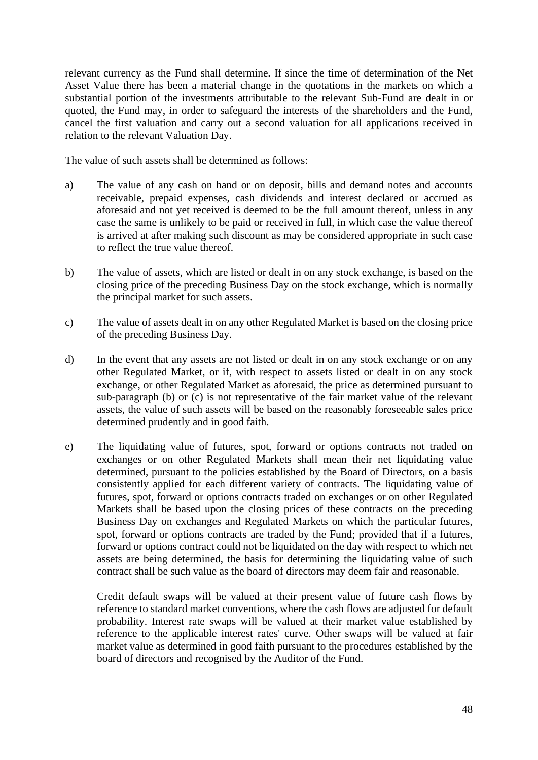relevant currency as the Fund shall determine. If since the time of determination of the Net Asset Value there has been a material change in the quotations in the markets on which a substantial portion of the investments attributable to the relevant Sub-Fund are dealt in or quoted, the Fund may, in order to safeguard the interests of the shareholders and the Fund, cancel the first valuation and carry out a second valuation for all applications received in relation to the relevant Valuation Day.

The value of such assets shall be determined as follows:

- a) The value of any cash on hand or on deposit, bills and demand notes and accounts receivable, prepaid expenses, cash dividends and interest declared or accrued as aforesaid and not yet received is deemed to be the full amount thereof, unless in any case the same is unlikely to be paid or received in full, in which case the value thereof is arrived at after making such discount as may be considered appropriate in such case to reflect the true value thereof.
- b) The value of assets, which are listed or dealt in on any stock exchange, is based on the closing price of the preceding Business Day on the stock exchange, which is normally the principal market for such assets.
- c) The value of assets dealt in on any other Regulated Market is based on the closing price of the preceding Business Day.
- d) In the event that any assets are not listed or dealt in on any stock exchange or on any other Regulated Market, or if, with respect to assets listed or dealt in on any stock exchange, or other Regulated Market as aforesaid, the price as determined pursuant to sub-paragraph (b) or (c) is not representative of the fair market value of the relevant assets, the value of such assets will be based on the reasonably foreseeable sales price determined prudently and in good faith.
- e) The liquidating value of futures, spot, forward or options contracts not traded on exchanges or on other Regulated Markets shall mean their net liquidating value determined, pursuant to the policies established by the Board of Directors, on a basis consistently applied for each different variety of contracts. The liquidating value of futures, spot, forward or options contracts traded on exchanges or on other Regulated Markets shall be based upon the closing prices of these contracts on the preceding Business Day on exchanges and Regulated Markets on which the particular futures, spot, forward or options contracts are traded by the Fund; provided that if a futures, forward or options contract could not be liquidated on the day with respect to which net assets are being determined, the basis for determining the liquidating value of such contract shall be such value as the board of directors may deem fair and reasonable.

Credit default swaps will be valued at their present value of future cash flows by reference to standard market conventions, where the cash flows are adjusted for default probability. Interest rate swaps will be valued at their market value established by reference to the applicable interest rates' curve. Other swaps will be valued at fair market value as determined in good faith pursuant to the procedures established by the board of directors and recognised by the Auditor of the Fund.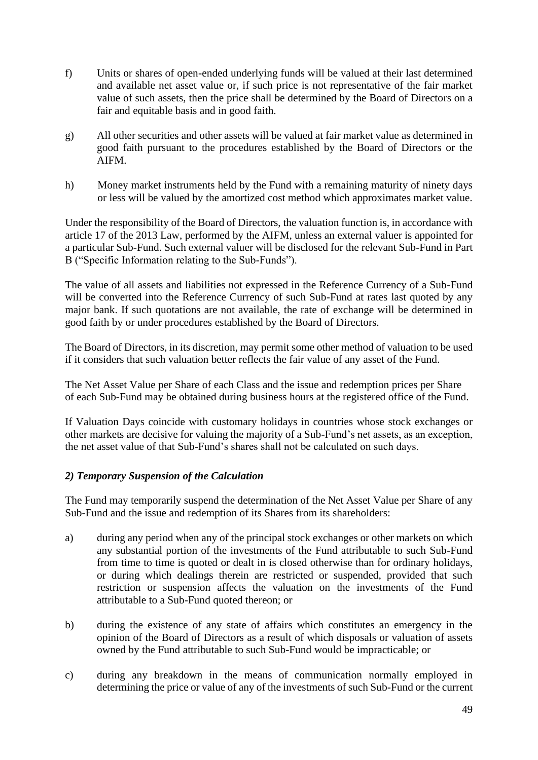- f) Units or shares of open-ended underlying funds will be valued at their last determined and available net asset value or, if such price is not representative of the fair market value of such assets, then the price shall be determined by the Board of Directors on a fair and equitable basis and in good faith.
- g) All other securities and other assets will be valued at fair market value as determined in good faith pursuant to the procedures established by the Board of Directors or the AIFM.
- h) Money market instruments held by the Fund with a remaining maturity of ninety days or less will be valued by the amortized cost method which approximates market value.

Under the responsibility of the Board of Directors, the valuation function is, in accordance with article 17 of the 2013 Law, performed by the AIFM, unless an external valuer is appointed for a particular Sub-Fund. Such external valuer will be disclosed for the relevant Sub-Fund in Part B ("Specific Information relating to the Sub-Funds").

The value of all assets and liabilities not expressed in the Reference Currency of a Sub-Fund will be converted into the Reference Currency of such Sub-Fund at rates last quoted by any major bank. If such quotations are not available, the rate of exchange will be determined in good faith by or under procedures established by the Board of Directors.

The Board of Directors, in its discretion, may permit some other method of valuation to be used if it considers that such valuation better reflects the fair value of any asset of the Fund.

The Net Asset Value per Share of each Class and the issue and redemption prices per Share of each Sub-Fund may be obtained during business hours at the registered office of the Fund.

If Valuation Days coincide with customary holidays in countries whose stock exchanges or other markets are decisive for valuing the majority of a Sub-Fund's net assets, as an exception, the net asset value of that Sub-Fund's shares shall not be calculated on such days.

# *2) Temporary Suspension of the Calculation*

The Fund may temporarily suspend the determination of the Net Asset Value per Share of any Sub-Fund and the issue and redemption of its Shares from its shareholders:

- a) during any period when any of the principal stock exchanges or other markets on which any substantial portion of the investments of the Fund attributable to such Sub-Fund from time to time is quoted or dealt in is closed otherwise than for ordinary holidays, or during which dealings therein are restricted or suspended, provided that such restriction or suspension affects the valuation on the investments of the Fund attributable to a Sub-Fund quoted thereon; or
- b) during the existence of any state of affairs which constitutes an emergency in the opinion of the Board of Directors as a result of which disposals or valuation of assets owned by the Fund attributable to such Sub-Fund would be impracticable; or
- c) during any breakdown in the means of communication normally employed in determining the price or value of any of the investments of such Sub-Fund or the current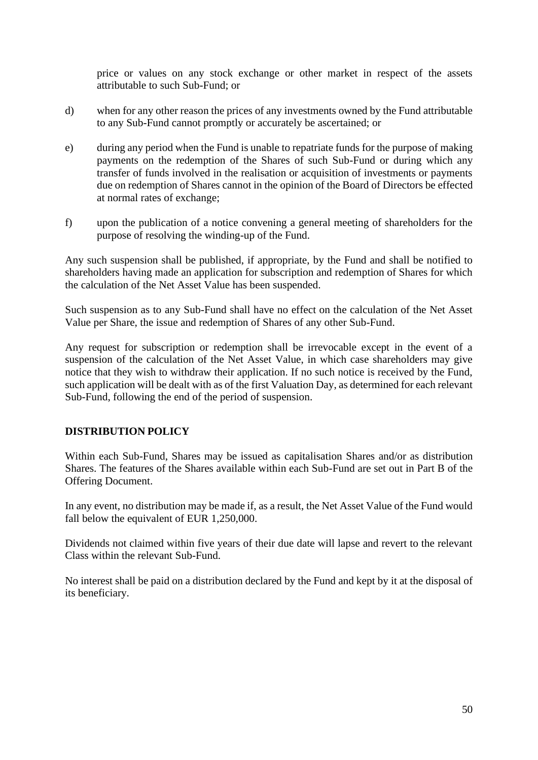price or values on any stock exchange or other market in respect of the assets attributable to such Sub-Fund; or

- d) when for any other reason the prices of any investments owned by the Fund attributable to any Sub-Fund cannot promptly or accurately be ascertained; or
- e) during any period when the Fund is unable to repatriate funds for the purpose of making payments on the redemption of the Shares of such Sub-Fund or during which any transfer of funds involved in the realisation or acquisition of investments or payments due on redemption of Shares cannot in the opinion of the Board of Directors be effected at normal rates of exchange;
- f) upon the publication of a notice convening a general meeting of shareholders for the purpose of resolving the winding-up of the Fund.

Any such suspension shall be published, if appropriate, by the Fund and shall be notified to shareholders having made an application for subscription and redemption of Shares for which the calculation of the Net Asset Value has been suspended.

Such suspension as to any Sub-Fund shall have no effect on the calculation of the Net Asset Value per Share, the issue and redemption of Shares of any other Sub-Fund.

Any request for subscription or redemption shall be irrevocable except in the event of a suspension of the calculation of the Net Asset Value, in which case shareholders may give notice that they wish to withdraw their application. If no such notice is received by the Fund, such application will be dealt with as of the first Valuation Day, as determined for each relevant Sub-Fund, following the end of the period of suspension.

# **DISTRIBUTION POLICY**

Within each Sub-Fund, Shares may be issued as capitalisation Shares and/or as distribution Shares. The features of the Shares available within each Sub-Fund are set out in Part B of the Offering Document.

In any event, no distribution may be made if, as a result, the Net Asset Value of the Fund would fall below the equivalent of EUR 1,250,000.

Dividends not claimed within five years of their due date will lapse and revert to the relevant Class within the relevant Sub-Fund.

No interest shall be paid on a distribution declared by the Fund and kept by it at the disposal of its beneficiary.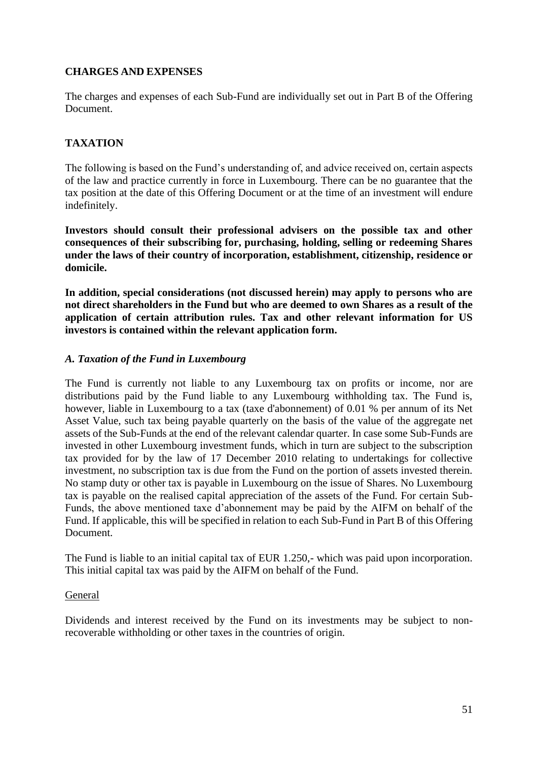# **CHARGES AND EXPENSES**

The charges and expenses of each Sub-Fund are individually set out in Part B of the Offering Document.

# **TAXATION**

The following is based on the Fund's understanding of, and advice received on, certain aspects of the law and practice currently in force in Luxembourg. There can be no guarantee that the tax position at the date of this Offering Document or at the time of an investment will endure indefinitely.

**Investors should consult their professional advisers on the possible tax and other consequences of their subscribing for, purchasing, holding, selling or redeeming Shares under the laws of their country of incorporation, establishment, citizenship, residence or domicile.**

**In addition, special considerations (not discussed herein) may apply to persons who are not direct shareholders in the Fund but who are deemed to own Shares as a result of the application of certain attribution rules. Tax and other relevant information for US investors is contained within the relevant application form.**

# *A. Taxation of the Fund in Luxembourg*

The Fund is currently not liable to any Luxembourg tax on profits or income, nor are distributions paid by the Fund liable to any Luxembourg withholding tax. The Fund is, however, liable in Luxembourg to a tax (taxe d'abonnement) of 0.01 % per annum of its Net Asset Value, such tax being payable quarterly on the basis of the value of the aggregate net assets of the Sub-Funds at the end of the relevant calendar quarter. In case some Sub-Funds are invested in other Luxembourg investment funds, which in turn are subject to the subscription tax provided for by the law of 17 December 2010 relating to undertakings for collective investment, no subscription tax is due from the Fund on the portion of assets invested therein. No stamp duty or other tax is payable in Luxembourg on the issue of Shares. No Luxembourg tax is payable on the realised capital appreciation of the assets of the Fund. For certain Sub-Funds, the above mentioned taxe d'abonnement may be paid by the AIFM on behalf of the Fund. If applicable, this will be specified in relation to each Sub-Fund in Part B of this Offering Document.

The Fund is liable to an initial capital tax of EUR 1.250,- which was paid upon incorporation. This initial capital tax was paid by the AIFM on behalf of the Fund.

#### General

Dividends and interest received by the Fund on its investments may be subject to nonrecoverable withholding or other taxes in the countries of origin.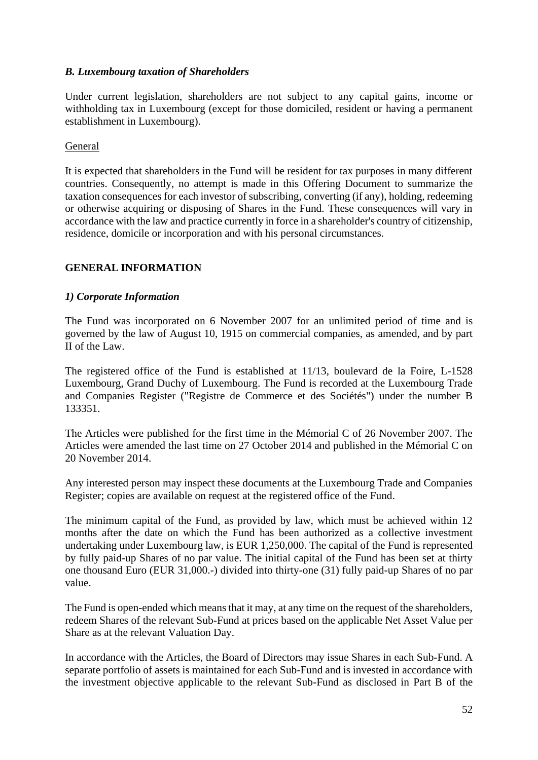# *B. Luxembourg taxation of Shareholders*

Under current legislation, shareholders are not subject to any capital gains, income or withholding tax in Luxembourg (except for those domiciled, resident or having a permanent establishment in Luxembourg).

# General

It is expected that shareholders in the Fund will be resident for tax purposes in many different countries. Consequently, no attempt is made in this Offering Document to summarize the taxation consequences for each investor of subscribing, converting (if any), holding, redeeming or otherwise acquiring or disposing of Shares in the Fund. These consequences will vary in accordance with the law and practice currently in force in a shareholder's country of citizenship, residence, domicile or incorporation and with his personal circumstances.

# **GENERAL INFORMATION**

## *1) Corporate Information*

The Fund was incorporated on 6 November 2007 for an unlimited period of time and is governed by the law of August 10, 1915 on commercial companies, as amended, and by part II of the Law.

The registered office of the Fund is established at 11/13, boulevard de la Foire, L-1528 Luxembourg, Grand Duchy of Luxembourg. The Fund is recorded at the Luxembourg Trade and Companies Register ("Registre de Commerce et des Sociétés") under the number B 133351.

The Articles were published for the first time in the Mémorial C of 26 November 2007. The Articles were amended the last time on 27 October 2014 and published in the Mémorial C on 20 November 2014.

Any interested person may inspect these documents at the Luxembourg Trade and Companies Register; copies are available on request at the registered office of the Fund.

The minimum capital of the Fund, as provided by law, which must be achieved within 12 months after the date on which the Fund has been authorized as a collective investment undertaking under Luxembourg law, is EUR 1,250,000. The capital of the Fund is represented by fully paid-up Shares of no par value. The initial capital of the Fund has been set at thirty one thousand Euro (EUR 31,000.-) divided into thirty-one (31) fully paid-up Shares of no par value.

The Fund is open-ended which means that it may, at any time on the request of the shareholders, redeem Shares of the relevant Sub-Fund at prices based on the applicable Net Asset Value per Share as at the relevant Valuation Day.

In accordance with the Articles, the Board of Directors may issue Shares in each Sub-Fund. A separate portfolio of assets is maintained for each Sub-Fund and is invested in accordance with the investment objective applicable to the relevant Sub-Fund as disclosed in Part B of the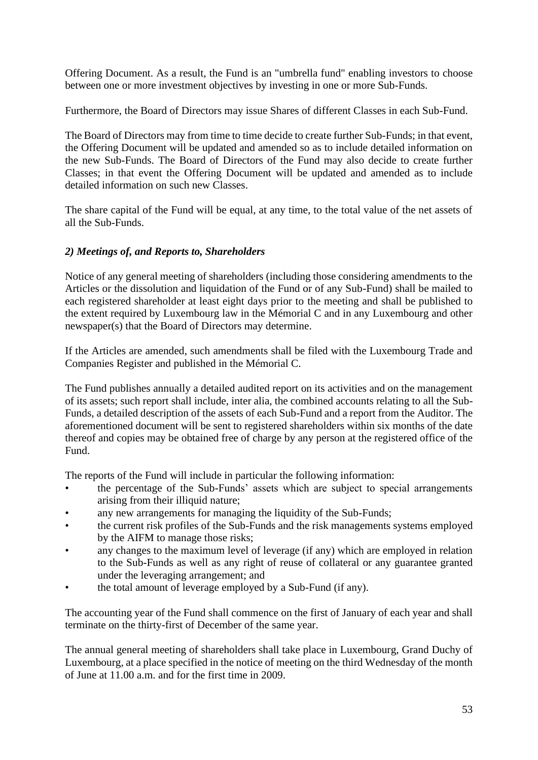Offering Document. As a result, the Fund is an "umbrella fund" enabling investors to choose between one or more investment objectives by investing in one or more Sub-Funds.

Furthermore, the Board of Directors may issue Shares of different Classes in each Sub-Fund.

The Board of Directors may from time to time decide to create further Sub-Funds; in that event, the Offering Document will be updated and amended so as to include detailed information on the new Sub-Funds. The Board of Directors of the Fund may also decide to create further Classes; in that event the Offering Document will be updated and amended as to include detailed information on such new Classes.

The share capital of the Fund will be equal, at any time, to the total value of the net assets of all the Sub-Funds.

# *2) Meetings of, and Reports to, Shareholders*

Notice of any general meeting of shareholders (including those considering amendments to the Articles or the dissolution and liquidation of the Fund or of any Sub-Fund) shall be mailed to each registered shareholder at least eight days prior to the meeting and shall be published to the extent required by Luxembourg law in the Mémorial C and in any Luxembourg and other newspaper(s) that the Board of Directors may determine.

If the Articles are amended, such amendments shall be filed with the Luxembourg Trade and Companies Register and published in the Mémorial C.

The Fund publishes annually a detailed audited report on its activities and on the management of its assets; such report shall include, inter alia, the combined accounts relating to all the Sub-Funds, a detailed description of the assets of each Sub-Fund and a report from the Auditor. The aforementioned document will be sent to registered shareholders within six months of the date thereof and copies may be obtained free of charge by any person at the registered office of the Fund.

The reports of the Fund will include in particular the following information:

- the percentage of the Sub-Funds' assets which are subject to special arrangements arising from their illiquid nature;
- any new arrangements for managing the liquidity of the Sub-Funds;
- the current risk profiles of the Sub-Funds and the risk managements systems employed by the AIFM to manage those risks;
- any changes to the maximum level of leverage (if any) which are employed in relation to the Sub-Funds as well as any right of reuse of collateral or any guarantee granted under the leveraging arrangement; and
- the total amount of leverage employed by a Sub-Fund (if any).

The accounting year of the Fund shall commence on the first of January of each year and shall terminate on the thirty-first of December of the same year.

The annual general meeting of shareholders shall take place in Luxembourg, Grand Duchy of Luxembourg, at a place specified in the notice of meeting on the third Wednesday of the month of June at 11.00 a.m. and for the first time in 2009.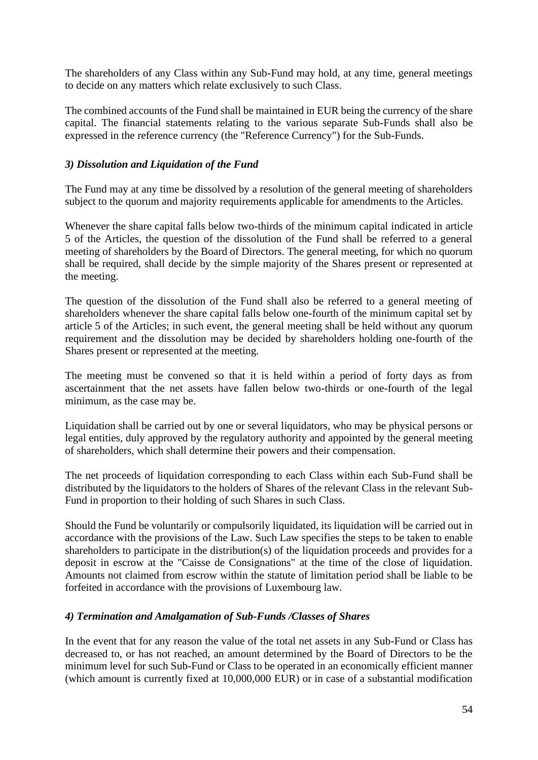The shareholders of any Class within any Sub-Fund may hold, at any time, general meetings to decide on any matters which relate exclusively to such Class.

The combined accounts of the Fund shall be maintained in EUR being the currency of the share capital. The financial statements relating to the various separate Sub-Funds shall also be expressed in the reference currency (the "Reference Currency") for the Sub-Funds.

## *3) Dissolution and Liquidation of the Fund*

The Fund may at any time be dissolved by a resolution of the general meeting of shareholders subject to the quorum and majority requirements applicable for amendments to the Articles.

Whenever the share capital falls below two-thirds of the minimum capital indicated in article 5 of the Articles, the question of the dissolution of the Fund shall be referred to a general meeting of shareholders by the Board of Directors. The general meeting, for which no quorum shall be required, shall decide by the simple majority of the Shares present or represented at the meeting.

The question of the dissolution of the Fund shall also be referred to a general meeting of shareholders whenever the share capital falls below one-fourth of the minimum capital set by article 5 of the Articles; in such event, the general meeting shall be held without any quorum requirement and the dissolution may be decided by shareholders holding one-fourth of the Shares present or represented at the meeting.

The meeting must be convened so that it is held within a period of forty days as from ascertainment that the net assets have fallen below two-thirds or one-fourth of the legal minimum, as the case may be.

Liquidation shall be carried out by one or several liquidators, who may be physical persons or legal entities, duly approved by the regulatory authority and appointed by the general meeting of shareholders, which shall determine their powers and their compensation.

The net proceeds of liquidation corresponding to each Class within each Sub-Fund shall be distributed by the liquidators to the holders of Shares of the relevant Class in the relevant Sub-Fund in proportion to their holding of such Shares in such Class.

Should the Fund be voluntarily or compulsorily liquidated, its liquidation will be carried out in accordance with the provisions of the Law. Such Law specifies the steps to be taken to enable shareholders to participate in the distribution(s) of the liquidation proceeds and provides for a deposit in escrow at the "Caisse de Consignations" at the time of the close of liquidation. Amounts not claimed from escrow within the statute of limitation period shall be liable to be forfeited in accordance with the provisions of Luxembourg law.

#### *4) Termination and Amalgamation of Sub-Funds /Classes of Shares*

In the event that for any reason the value of the total net assets in any Sub-Fund or Class has decreased to, or has not reached, an amount determined by the Board of Directors to be the minimum level for such Sub-Fund or Class to be operated in an economically efficient manner (which amount is currently fixed at 10,000,000 EUR) or in case of a substantial modification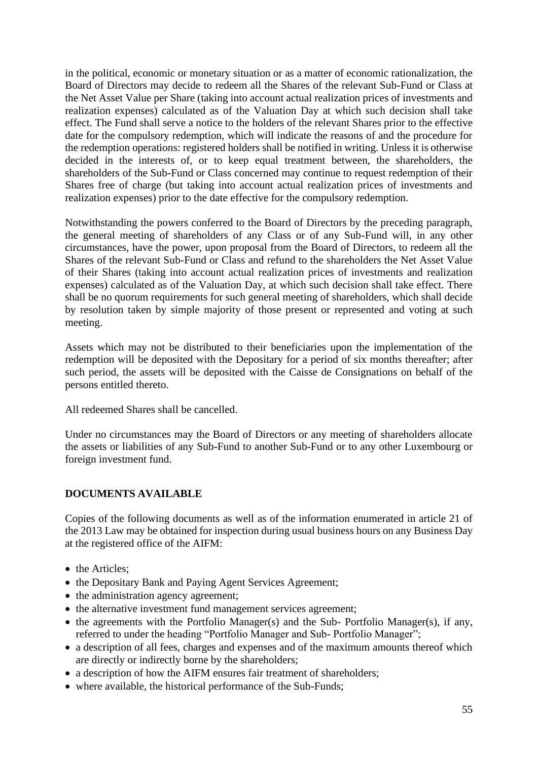in the political, economic or monetary situation or as a matter of economic rationalization, the Board of Directors may decide to redeem all the Shares of the relevant Sub-Fund or Class at the Net Asset Value per Share (taking into account actual realization prices of investments and realization expenses) calculated as of the Valuation Day at which such decision shall take effect. The Fund shall serve a notice to the holders of the relevant Shares prior to the effective date for the compulsory redemption, which will indicate the reasons of and the procedure for the redemption operations: registered holders shall be notified in writing. Unless it is otherwise decided in the interests of, or to keep equal treatment between, the shareholders, the shareholders of the Sub-Fund or Class concerned may continue to request redemption of their Shares free of charge (but taking into account actual realization prices of investments and realization expenses) prior to the date effective for the compulsory redemption.

Notwithstanding the powers conferred to the Board of Directors by the preceding paragraph, the general meeting of shareholders of any Class or of any Sub-Fund will, in any other circumstances, have the power, upon proposal from the Board of Directors, to redeem all the Shares of the relevant Sub-Fund or Class and refund to the shareholders the Net Asset Value of their Shares (taking into account actual realization prices of investments and realization expenses) calculated as of the Valuation Day, at which such decision shall take effect. There shall be no quorum requirements for such general meeting of shareholders, which shall decide by resolution taken by simple majority of those present or represented and voting at such meeting.

Assets which may not be distributed to their beneficiaries upon the implementation of the redemption will be deposited with the Depositary for a period of six months thereafter; after such period, the assets will be deposited with the Caisse de Consignations on behalf of the persons entitled thereto.

All redeemed Shares shall be cancelled.

Under no circumstances may the Board of Directors or any meeting of shareholders allocate the assets or liabilities of any Sub-Fund to another Sub-Fund or to any other Luxembourg or foreign investment fund.

# **DOCUMENTS AVAILABLE**

Copies of the following documents as well as of the information enumerated in article 21 of the 2013 Law may be obtained for inspection during usual business hours on any Business Day at the registered office of the AIFM:

- the Articles:
- the Depositary Bank and Paying Agent Services Agreement;
- the administration agency agreement;
- the alternative investment fund management services agreement;
- the agreements with the Portfolio Manager(s) and the Sub- Portfolio Manager(s), if any, referred to under the heading "Portfolio Manager and Sub- Portfolio Manager";
- a description of all fees, charges and expenses and of the maximum amounts thereof which are directly or indirectly borne by the shareholders;
- a description of how the AIFM ensures fair treatment of shareholders;
- where available, the historical performance of the Sub-Funds;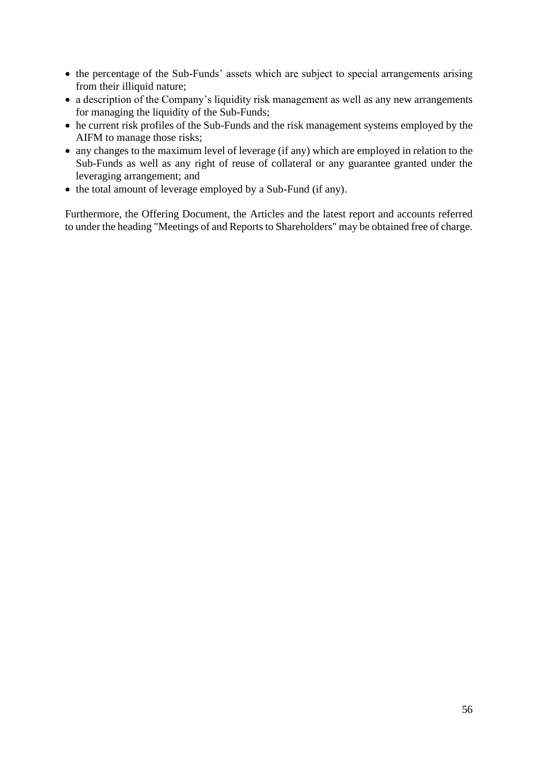- the percentage of the Sub-Funds' assets which are subject to special arrangements arising from their illiquid nature;
- a description of the Company's liquidity risk management as well as any new arrangements for managing the liquidity of the Sub-Funds;
- he current risk profiles of the Sub-Funds and the risk management systems employed by the AIFM to manage those risks;
- any changes to the maximum level of leverage (if any) which are employed in relation to the Sub-Funds as well as any right of reuse of collateral or any guarantee granted under the leveraging arrangement; and
- the total amount of leverage employed by a Sub-Fund (if any).

Furthermore, the Offering Document, the Articles and the latest report and accounts referred to under the heading "Meetings of and Reports to Shareholders" may be obtained free of charge.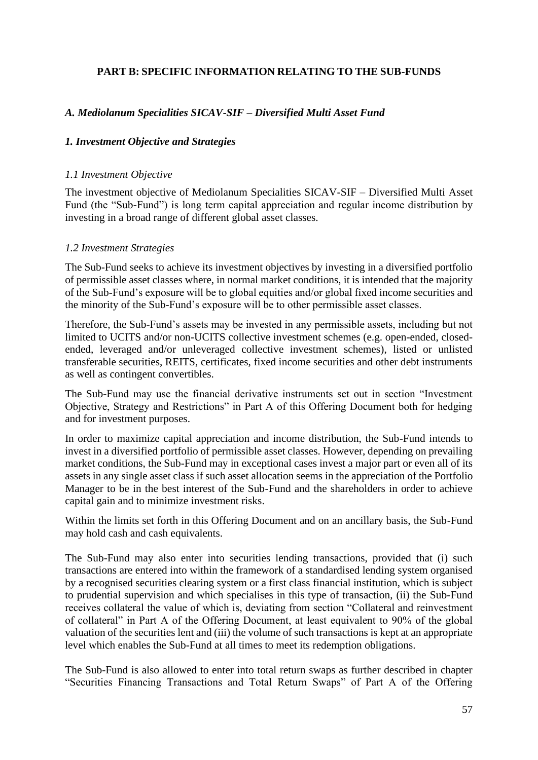# **PART B: SPECIFIC INFORMATION RELATING TO THE SUB-FUNDS**

# *A. Mediolanum Specialities SICAV-SIF – Diversified Multi Asset Fund*

## *1. Investment Objective and Strategies*

#### *1.1 Investment Objective*

The investment objective of Mediolanum Specialities SICAV-SIF – Diversified Multi Asset Fund (the "Sub-Fund") is long term capital appreciation and regular income distribution by investing in a broad range of different global asset classes.

## *1.2 Investment Strategies*

The Sub-Fund seeks to achieve its investment objectives by investing in a diversified portfolio of permissible asset classes where, in normal market conditions, it is intended that the majority of the Sub-Fund's exposure will be to global equities and/or global fixed income securities and the minority of the Sub-Fund's exposure will be to other permissible asset classes.

Therefore, the Sub-Fund's assets may be invested in any permissible assets, including but not limited to UCITS and/or non-UCITS collective investment schemes (e.g. open-ended, closedended, leveraged and/or unleveraged collective investment schemes), listed or unlisted transferable securities, REITS, certificates, fixed income securities and other debt instruments as well as contingent convertibles.

The Sub-Fund may use the financial derivative instruments set out in section "Investment Objective, Strategy and Restrictions" in Part A of this Offering Document both for hedging and for investment purposes.

In order to maximize capital appreciation and income distribution, the Sub-Fund intends to invest in a diversified portfolio of permissible asset classes. However, depending on prevailing market conditions, the Sub-Fund may in exceptional cases invest a major part or even all of its assets in any single asset class if such asset allocation seems in the appreciation of the Portfolio Manager to be in the best interest of the Sub-Fund and the shareholders in order to achieve capital gain and to minimize investment risks.

Within the limits set forth in this Offering Document and on an ancillary basis, the Sub-Fund may hold cash and cash equivalents.

The Sub-Fund may also enter into securities lending transactions, provided that (i) such transactions are entered into within the framework of a standardised lending system organised by a recognised securities clearing system or a first class financial institution, which is subject to prudential supervision and which specialises in this type of transaction, (ii) the Sub-Fund receives collateral the value of which is, deviating from section "Collateral and reinvestment of collateral" in Part A of the Offering Document, at least equivalent to 90% of the global valuation of the securities lent and (iii) the volume of such transactions is kept at an appropriate level which enables the Sub-Fund at all times to meet its redemption obligations.

The Sub-Fund is also allowed to enter into total return swaps as further described in chapter "Securities Financing Transactions and Total Return Swaps" of Part A of the Offering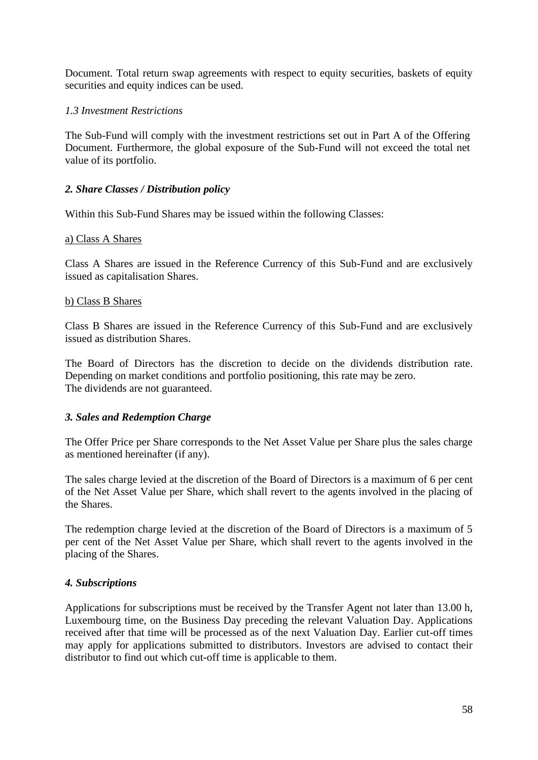Document. Total return swap agreements with respect to equity securities, baskets of equity securities and equity indices can be used.

## *1.3 Investment Restrictions*

The Sub-Fund will comply with the investment restrictions set out in Part A of the Offering Document. Furthermore, the global exposure of the Sub-Fund will not exceed the total net value of its portfolio.

## *2. Share Classes / Distribution policy*

Within this Sub-Fund Shares may be issued within the following Classes:

#### a) Class A Shares

Class A Shares are issued in the Reference Currency of this Sub-Fund and are exclusively issued as capitalisation Shares.

#### b) Class B Shares

Class B Shares are issued in the Reference Currency of this Sub-Fund and are exclusively issued as distribution Shares.

The Board of Directors has the discretion to decide on the dividends distribution rate. Depending on market conditions and portfolio positioning, this rate may be zero. The dividends are not guaranteed.

#### *3. Sales and Redemption Charge*

The Offer Price per Share corresponds to the Net Asset Value per Share plus the sales charge as mentioned hereinafter (if any).

The sales charge levied at the discretion of the Board of Directors is a maximum of 6 per cent of the Net Asset Value per Share, which shall revert to the agents involved in the placing of the Shares.

The redemption charge levied at the discretion of the Board of Directors is a maximum of 5 per cent of the Net Asset Value per Share, which shall revert to the agents involved in the placing of the Shares.

#### *4. Subscriptions*

Applications for subscriptions must be received by the Transfer Agent not later than 13.00 h, Luxembourg time, on the Business Day preceding the relevant Valuation Day. Applications received after that time will be processed as of the next Valuation Day. Earlier cut-off times may apply for applications submitted to distributors. Investors are advised to contact their distributor to find out which cut-off time is applicable to them.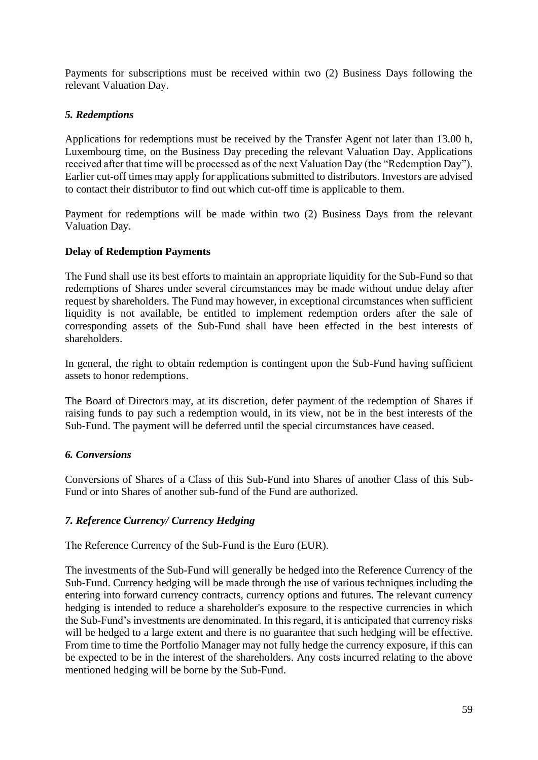Payments for subscriptions must be received within two (2) Business Days following the relevant Valuation Day.

# *5. Redemptions*

Applications for redemptions must be received by the Transfer Agent not later than 13.00 h, Luxembourg time, on the Business Day preceding the relevant Valuation Day. Applications received after that time will be processed as of the next Valuation Day (the "Redemption Day"). Earlier cut-off times may apply for applications submitted to distributors. Investors are advised to contact their distributor to find out which cut-off time is applicable to them.

Payment for redemptions will be made within two (2) Business Days from the relevant Valuation Day.

# **Delay of Redemption Payments**

The Fund shall use its best efforts to maintain an appropriate liquidity for the Sub-Fund so that redemptions of Shares under several circumstances may be made without undue delay after request by shareholders. The Fund may however, in exceptional circumstances when sufficient liquidity is not available, be entitled to implement redemption orders after the sale of corresponding assets of the Sub-Fund shall have been effected in the best interests of shareholders.

In general, the right to obtain redemption is contingent upon the Sub-Fund having sufficient assets to honor redemptions.

The Board of Directors may, at its discretion, defer payment of the redemption of Shares if raising funds to pay such a redemption would, in its view, not be in the best interests of the Sub-Fund. The payment will be deferred until the special circumstances have ceased.

# *6. Conversions*

Conversions of Shares of a Class of this Sub-Fund into Shares of another Class of this Sub-Fund or into Shares of another sub-fund of the Fund are authorized.

# *7. Reference Currency/ Currency Hedging*

The Reference Currency of the Sub-Fund is the Euro (EUR).

The investments of the Sub-Fund will generally be hedged into the Reference Currency of the Sub-Fund. Currency hedging will be made through the use of various techniques including the entering into forward currency contracts, currency options and futures. The relevant currency hedging is intended to reduce a shareholder's exposure to the respective currencies in which the Sub-Fund's investments are denominated. In this regard, it is anticipated that currency risks will be hedged to a large extent and there is no guarantee that such hedging will be effective. From time to time the Portfolio Manager may not fully hedge the currency exposure, if this can be expected to be in the interest of the shareholders. Any costs incurred relating to the above mentioned hedging will be borne by the Sub-Fund.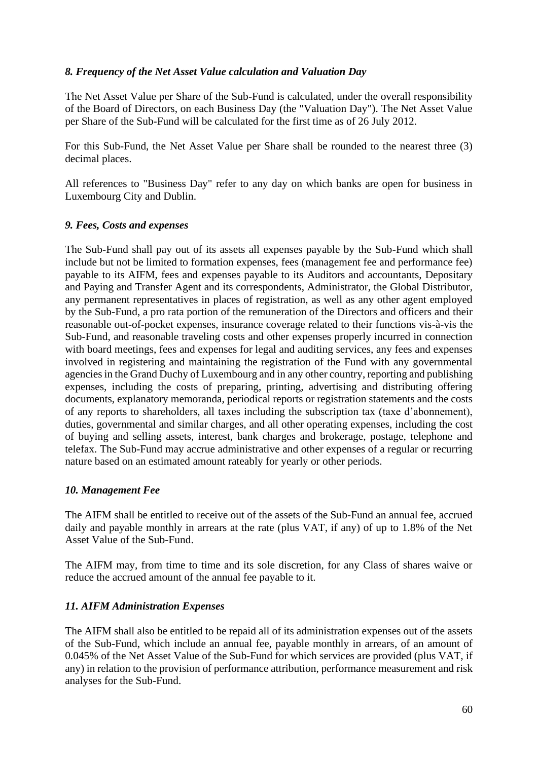# *8. Frequency of the Net Asset Value calculation and Valuation Day*

The Net Asset Value per Share of the Sub-Fund is calculated, under the overall responsibility of the Board of Directors, on each Business Day (the "Valuation Day"). The Net Asset Value per Share of the Sub-Fund will be calculated for the first time as of 26 July 2012.

For this Sub-Fund, the Net Asset Value per Share shall be rounded to the nearest three (3) decimal places.

All references to "Business Day" refer to any day on which banks are open for business in Luxembourg City and Dublin.

## *9. Fees, Costs and expenses*

The Sub-Fund shall pay out of its assets all expenses payable by the Sub-Fund which shall include but not be limited to formation expenses, fees (management fee and performance fee) payable to its AIFM, fees and expenses payable to its Auditors and accountants, Depositary and Paying and Transfer Agent and its correspondents, Administrator, the Global Distributor, any permanent representatives in places of registration, as well as any other agent employed by the Sub-Fund, a pro rata portion of the remuneration of the Directors and officers and their reasonable out-of-pocket expenses, insurance coverage related to their functions vis-à-vis the Sub-Fund, and reasonable traveling costs and other expenses properly incurred in connection with board meetings, fees and expenses for legal and auditing services, any fees and expenses involved in registering and maintaining the registration of the Fund with any governmental agencies in the Grand Duchy of Luxembourg and in any other country, reporting and publishing expenses, including the costs of preparing, printing, advertising and distributing offering documents, explanatory memoranda, periodical reports or registration statements and the costs of any reports to shareholders, all taxes including the subscription tax (taxe d'abonnement), duties, governmental and similar charges, and all other operating expenses, including the cost of buying and selling assets, interest, bank charges and brokerage, postage, telephone and telefax. The Sub-Fund may accrue administrative and other expenses of a regular or recurring nature based on an estimated amount rateably for yearly or other periods.

#### *10. Management Fee*

The AIFM shall be entitled to receive out of the assets of the Sub-Fund an annual fee, accrued daily and payable monthly in arrears at the rate (plus VAT, if any) of up to 1.8% of the Net Asset Value of the Sub-Fund.

The AIFM may, from time to time and its sole discretion, for any Class of shares waive or reduce the accrued amount of the annual fee payable to it.

# *11. AIFM Administration Expenses*

The AIFM shall also be entitled to be repaid all of its administration expenses out of the assets of the Sub-Fund, which include an annual fee, payable monthly in arrears, of an amount of 0.045% of the Net Asset Value of the Sub-Fund for which services are provided (plus VAT, if any) in relation to the provision of performance attribution, performance measurement and risk analyses for the Sub-Fund.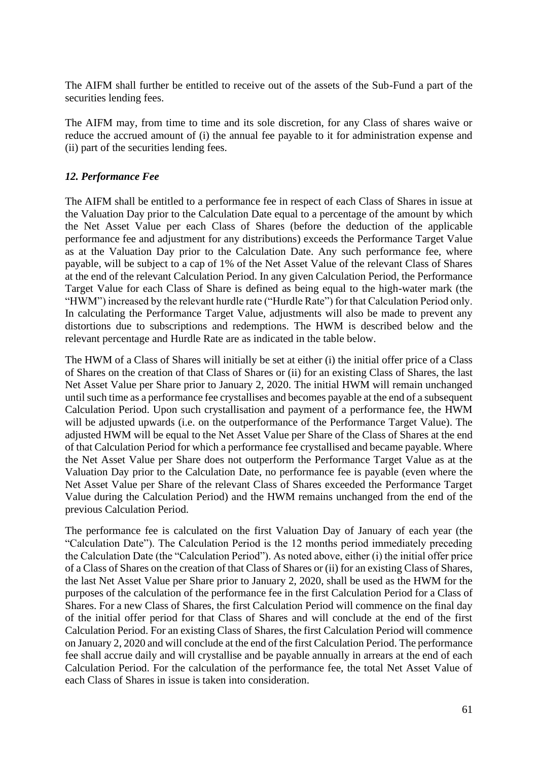The AIFM shall further be entitled to receive out of the assets of the Sub-Fund a part of the securities lending fees.

The AIFM may, from time to time and its sole discretion, for any Class of shares waive or reduce the accrued amount of (i) the annual fee payable to it for administration expense and (ii) part of the securities lending fees.

# *12. Performance Fee*

The AIFM shall be entitled to a performance fee in respect of each Class of Shares in issue at the Valuation Day prior to the Calculation Date equal to a percentage of the amount by which the Net Asset Value per each Class of Shares (before the deduction of the applicable performance fee and adjustment for any distributions) exceeds the Performance Target Value as at the Valuation Day prior to the Calculation Date. Any such performance fee, where payable, will be subject to a cap of 1% of the Net Asset Value of the relevant Class of Shares at the end of the relevant Calculation Period. In any given Calculation Period, the Performance Target Value for each Class of Share is defined as being equal to the high-water mark (the "HWM") increased by the relevant hurdle rate ("Hurdle Rate") for that Calculation Period only. In calculating the Performance Target Value, adjustments will also be made to prevent any distortions due to subscriptions and redemptions. The HWM is described below and the relevant percentage and Hurdle Rate are as indicated in the table below.

The HWM of a Class of Shares will initially be set at either (i) the initial offer price of a Class of Shares on the creation of that Class of Shares or (ii) for an existing Class of Shares, the last Net Asset Value per Share prior to January 2, 2020. The initial HWM will remain unchanged until such time as a performance fee crystallises and becomes payable at the end of a subsequent Calculation Period. Upon such crystallisation and payment of a performance fee, the HWM will be adjusted upwards (i.e. on the outperformance of the Performance Target Value). The adjusted HWM will be equal to the Net Asset Value per Share of the Class of Shares at the end of that Calculation Period for which a performance fee crystallised and became payable. Where the Net Asset Value per Share does not outperform the Performance Target Value as at the Valuation Day prior to the Calculation Date, no performance fee is payable (even where the Net Asset Value per Share of the relevant Class of Shares exceeded the Performance Target Value during the Calculation Period) and the HWM remains unchanged from the end of the previous Calculation Period.

The performance fee is calculated on the first Valuation Day of January of each year (the "Calculation Date"). The Calculation Period is the 12 months period immediately preceding the Calculation Date (the "Calculation Period"). As noted above, either (i) the initial offer price of a Class of Shares on the creation of that Class of Shares or (ii) for an existing Class of Shares, the last Net Asset Value per Share prior to January 2, 2020, shall be used as the HWM for the purposes of the calculation of the performance fee in the first Calculation Period for a Class of Shares. For a new Class of Shares, the first Calculation Period will commence on the final day of the initial offer period for that Class of Shares and will conclude at the end of the first Calculation Period. For an existing Class of Shares, the first Calculation Period will commence on January 2, 2020 and will conclude at the end of the first Calculation Period. The performance fee shall accrue daily and will crystallise and be payable annually in arrears at the end of each Calculation Period. For the calculation of the performance fee, the total Net Asset Value of each Class of Shares in issue is taken into consideration.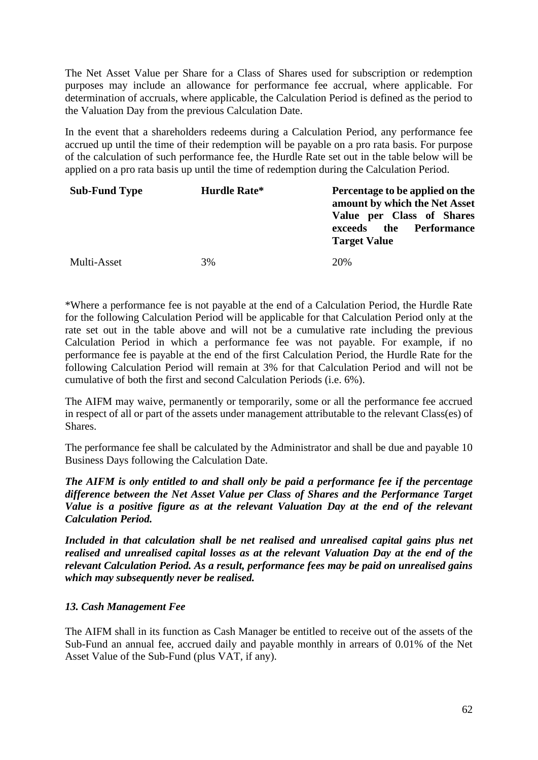The Net Asset Value per Share for a Class of Shares used for subscription or redemption purposes may include an allowance for performance fee accrual, where applicable. For determination of accruals, where applicable, the Calculation Period is defined as the period to the Valuation Day from the previous Calculation Date.

In the event that a shareholders redeems during a Calculation Period, any performance fee accrued up until the time of their redemption will be payable on a pro rata basis. For purpose of the calculation of such performance fee, the Hurdle Rate set out in the table below will be applied on a pro rata basis up until the time of redemption during the Calculation Period.

| <b>Sub-Fund Type</b> | Hurdle Rate* | Percentage to be applied on the<br>amount by which the Net Asset<br>Value per Class of Shares<br>the Performance<br>exceeds<br><b>Target Value</b> |
|----------------------|--------------|----------------------------------------------------------------------------------------------------------------------------------------------------|
| Multi-Asset          | 3%           | 20%                                                                                                                                                |

\*Where a performance fee is not payable at the end of a Calculation Period, the Hurdle Rate for the following Calculation Period will be applicable for that Calculation Period only at the rate set out in the table above and will not be a cumulative rate including the previous Calculation Period in which a performance fee was not payable. For example, if no performance fee is payable at the end of the first Calculation Period, the Hurdle Rate for the following Calculation Period will remain at 3% for that Calculation Period and will not be cumulative of both the first and second Calculation Periods (i.e. 6%).

The AIFM may waive, permanently or temporarily, some or all the performance fee accrued in respect of all or part of the assets under management attributable to the relevant Class(es) of Shares.

The performance fee shall be calculated by the Administrator and shall be due and payable 10 Business Days following the Calculation Date.

*The AIFM is only entitled to and shall only be paid a performance fee if the percentage difference between the Net Asset Value per Class of Shares and the Performance Target Value is a positive figure as at the relevant Valuation Day at the end of the relevant Calculation Period.* 

*Included in that calculation shall be net realised and unrealised capital gains plus net realised and unrealised capital losses as at the relevant Valuation Day at the end of the relevant Calculation Period. As a result, performance fees may be paid on unrealised gains which may subsequently never be realised.*

# *13. Cash Management Fee*

The AIFM shall in its function as Cash Manager be entitled to receive out of the assets of the Sub-Fund an annual fee, accrued daily and payable monthly in arrears of 0.01% of the Net Asset Value of the Sub-Fund (plus VAT, if any).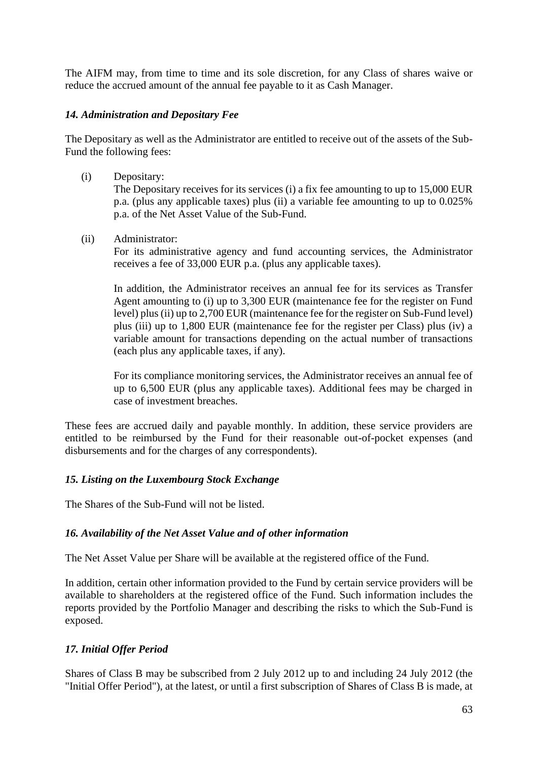The AIFM may, from time to time and its sole discretion, for any Class of shares waive or reduce the accrued amount of the annual fee payable to it as Cash Manager.

## *14. Administration and Depositary Fee*

The Depositary as well as the Administrator are entitled to receive out of the assets of the Sub-Fund the following fees:

(i) Depositary:

The Depositary receives for its services (i) a fix fee amounting to up to 15,000 EUR p.a. (plus any applicable taxes) plus (ii) a variable fee amounting to up to 0.025% p.a. of the Net Asset Value of the Sub-Fund.

(ii) Administrator:

For its administrative agency and fund accounting services, the Administrator receives a fee of 33,000 EUR p.a. (plus any applicable taxes).

In addition, the Administrator receives an annual fee for its services as Transfer Agent amounting to (i) up to 3,300 EUR (maintenance fee for the register on Fund level) plus (ii) up to 2,700 EUR (maintenance fee for the register on Sub-Fund level) plus (iii) up to 1,800 EUR (maintenance fee for the register per Class) plus (iv) a variable amount for transactions depending on the actual number of transactions (each plus any applicable taxes, if any).

For its compliance monitoring services, the Administrator receives an annual fee of up to 6,500 EUR (plus any applicable taxes). Additional fees may be charged in case of investment breaches.

These fees are accrued daily and payable monthly. In addition, these service providers are entitled to be reimbursed by the Fund for their reasonable out-of-pocket expenses (and disbursements and for the charges of any correspondents).

### *15. Listing on the Luxembourg Stock Exchange*

The Shares of the Sub-Fund will not be listed.

#### *16. Availability of the Net Asset Value and of other information*

The Net Asset Value per Share will be available at the registered office of the Fund.

In addition, certain other information provided to the Fund by certain service providers will be available to shareholders at the registered office of the Fund. Such information includes the reports provided by the Portfolio Manager and describing the risks to which the Sub-Fund is exposed.

#### *17. Initial Offer Period*

Shares of Class B may be subscribed from 2 July 2012 up to and including 24 July 2012 (the "Initial Offer Period"), at the latest, or until a first subscription of Shares of Class B is made, at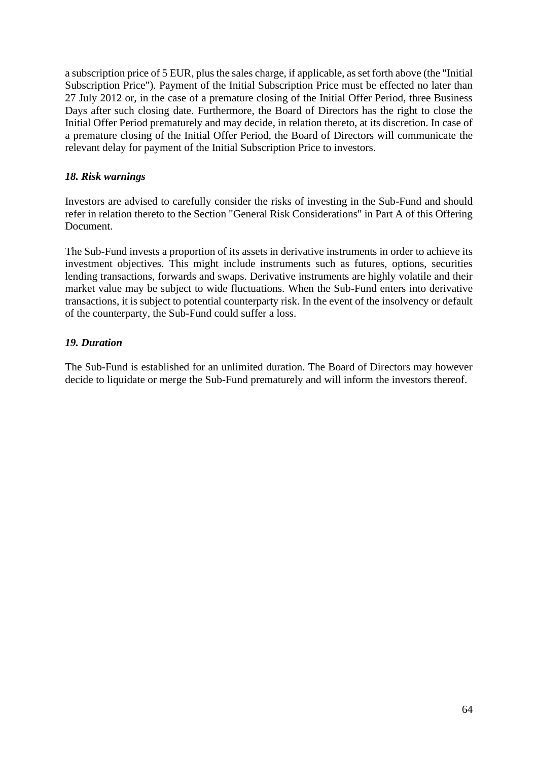a subscription price of 5 EUR, plus the sales charge, if applicable, as set forth above (the "Initial Subscription Price"). Payment of the Initial Subscription Price must be effected no later than 27 July 2012 or, in the case of a premature closing of the Initial Offer Period, three Business Days after such closing date. Furthermore, the Board of Directors has the right to close the Initial Offer Period prematurely and may decide, in relation thereto, at its discretion. In case of a premature closing of the Initial Offer Period, the Board of Directors will communicate the relevant delay for payment of the Initial Subscription Price to investors.

## *18. Risk warnings*

Investors are advised to carefully consider the risks of investing in the Sub-Fund and should refer in relation thereto to the Section "General Risk Considerations" in Part A of this Offering Document.

The Sub-Fund invests a proportion of its assets in derivative instruments in order to achieve its investment objectives. This might include instruments such as futures, options, securities lending transactions, forwards and swaps. Derivative instruments are highly volatile and their market value may be subject to wide fluctuations. When the Sub-Fund enters into derivative transactions, it is subject to potential counterparty risk. In the event of the insolvency or default of the counterparty, the Sub-Fund could suffer a loss.

## *19. Duration*

The Sub-Fund is established for an unlimited duration. The Board of Directors may however decide to liquidate or merge the Sub-Fund prematurely and will inform the investors thereof.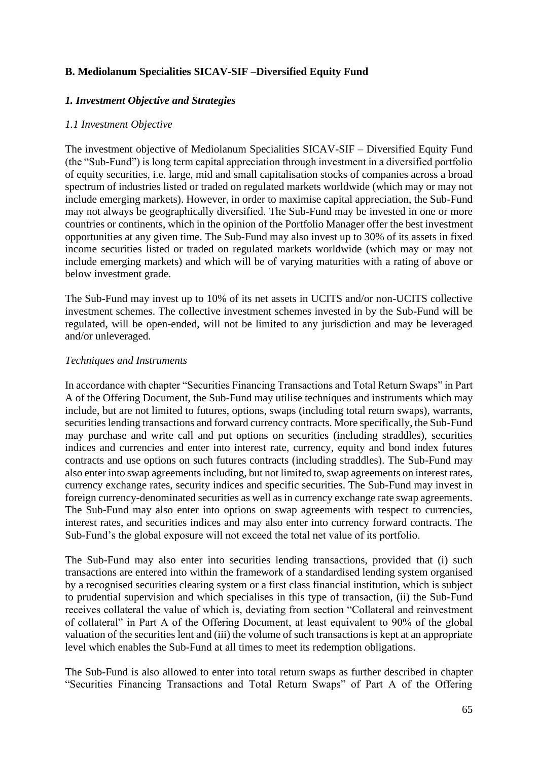# **B. Mediolanum Specialities SICAV-SIF –Diversified Equity Fund**

## *1. Investment Objective and Strategies*

### *1.1 Investment Objective*

The investment objective of Mediolanum Specialities SICAV-SIF – Diversified Equity Fund (the "Sub-Fund") is long term capital appreciation through investment in a diversified portfolio of equity securities, i.e. large, mid and small capitalisation stocks of companies across a broad spectrum of industries listed or traded on regulated markets worldwide (which may or may not include emerging markets). However, in order to maximise capital appreciation, the Sub-Fund may not always be geographically diversified. The Sub-Fund may be invested in one or more countries or continents, which in the opinion of the Portfolio Manager offer the best investment opportunities at any given time. The Sub-Fund may also invest up to 30% of its assets in fixed income securities listed or traded on regulated markets worldwide (which may or may not include emerging markets) and which will be of varying maturities with a rating of above or below investment grade.

The Sub-Fund may invest up to 10% of its net assets in UCITS and/or non-UCITS collective investment schemes. The collective investment schemes invested in by the Sub-Fund will be regulated, will be open-ended, will not be limited to any jurisdiction and may be leveraged and/or unleveraged.

#### *Techniques and Instruments*

In accordance with chapter "Securities Financing Transactions and Total Return Swaps" in Part A of the Offering Document, the Sub-Fund may utilise techniques and instruments which may include, but are not limited to futures, options, swaps (including total return swaps), warrants, securities lending transactions and forward currency contracts. More specifically, the Sub-Fund may purchase and write call and put options on securities (including straddles), securities indices and currencies and enter into interest rate, currency, equity and bond index futures contracts and use options on such futures contracts (including straddles). The Sub-Fund may also enter into swap agreements including, but not limited to, swap agreements on interest rates, currency exchange rates, security indices and specific securities. The Sub-Fund may invest in foreign currency-denominated securities as well as in currency exchange rate swap agreements. The Sub-Fund may also enter into options on swap agreements with respect to currencies, interest rates, and securities indices and may also enter into currency forward contracts. The Sub-Fund's the global exposure will not exceed the total net value of its portfolio.

The Sub-Fund may also enter into securities lending transactions, provided that (i) such transactions are entered into within the framework of a standardised lending system organised by a recognised securities clearing system or a first class financial institution, which is subject to prudential supervision and which specialises in this type of transaction, (ii) the Sub-Fund receives collateral the value of which is, deviating from section "Collateral and reinvestment of collateral" in Part A of the Offering Document, at least equivalent to 90% of the global valuation of the securities lent and (iii) the volume of such transactions is kept at an appropriate level which enables the Sub-Fund at all times to meet its redemption obligations.

The Sub-Fund is also allowed to enter into total return swaps as further described in chapter "Securities Financing Transactions and Total Return Swaps" of Part A of the Offering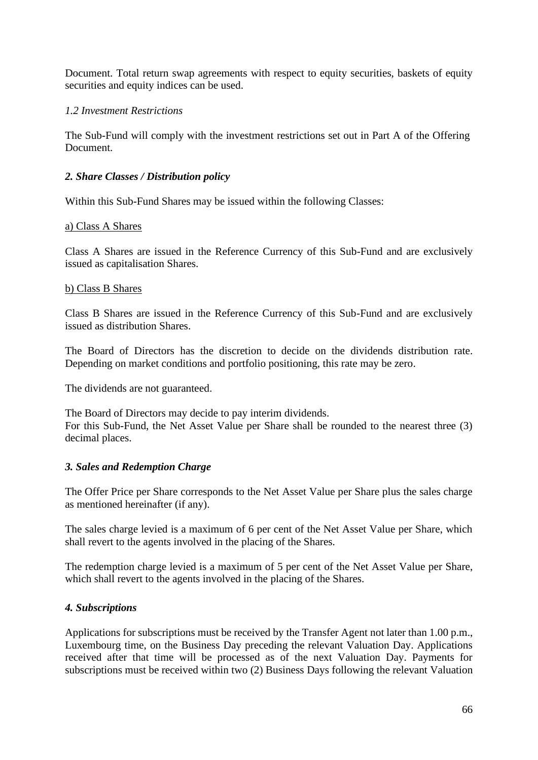Document. Total return swap agreements with respect to equity securities, baskets of equity securities and equity indices can be used.

## *1.2 Investment Restrictions*

The Sub-Fund will comply with the investment restrictions set out in Part A of the Offering Document.

## *2. Share Classes / Distribution policy*

Within this Sub-Fund Shares may be issued within the following Classes:

#### a) Class A Shares

Class A Shares are issued in the Reference Currency of this Sub-Fund and are exclusively issued as capitalisation Shares.

#### b) Class B Shares

Class B Shares are issued in the Reference Currency of this Sub-Fund and are exclusively issued as distribution Shares.

The Board of Directors has the discretion to decide on the dividends distribution rate. Depending on market conditions and portfolio positioning, this rate may be zero.

The dividends are not guaranteed.

The Board of Directors may decide to pay interim dividends. For this Sub-Fund, the Net Asset Value per Share shall be rounded to the nearest three (3) decimal places.

#### *3. Sales and Redemption Charge*

The Offer Price per Share corresponds to the Net Asset Value per Share plus the sales charge as mentioned hereinafter (if any).

The sales charge levied is a maximum of 6 per cent of the Net Asset Value per Share, which shall revert to the agents involved in the placing of the Shares.

The redemption charge levied is a maximum of 5 per cent of the Net Asset Value per Share, which shall revert to the agents involved in the placing of the Shares.

#### *4. Subscriptions*

Applications for subscriptions must be received by the Transfer Agent not later than 1.00 p.m., Luxembourg time, on the Business Day preceding the relevant Valuation Day. Applications received after that time will be processed as of the next Valuation Day. Payments for subscriptions must be received within two (2) Business Days following the relevant Valuation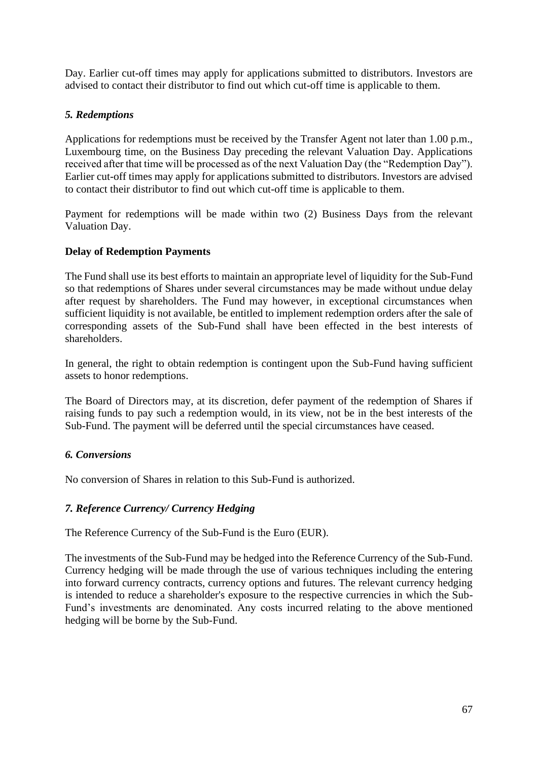Day. Earlier cut-off times may apply for applications submitted to distributors. Investors are advised to contact their distributor to find out which cut-off time is applicable to them.

# *5. Redemptions*

Applications for redemptions must be received by the Transfer Agent not later than 1.00 p.m., Luxembourg time, on the Business Day preceding the relevant Valuation Day. Applications received after that time will be processed as of the next Valuation Day (the "Redemption Day"). Earlier cut-off times may apply for applications submitted to distributors. Investors are advised to contact their distributor to find out which cut-off time is applicable to them.

Payment for redemptions will be made within two (2) Business Days from the relevant Valuation Day.

# **Delay of Redemption Payments**

The Fund shall use its best efforts to maintain an appropriate level of liquidity for the Sub-Fund so that redemptions of Shares under several circumstances may be made without undue delay after request by shareholders. The Fund may however, in exceptional circumstances when sufficient liquidity is not available, be entitled to implement redemption orders after the sale of corresponding assets of the Sub-Fund shall have been effected in the best interests of shareholders.

In general, the right to obtain redemption is contingent upon the Sub-Fund having sufficient assets to honor redemptions.

The Board of Directors may, at its discretion, defer payment of the redemption of Shares if raising funds to pay such a redemption would, in its view, not be in the best interests of the Sub-Fund. The payment will be deferred until the special circumstances have ceased.

# *6. Conversions*

No conversion of Shares in relation to this Sub-Fund is authorized.

# *7. Reference Currency/ Currency Hedging*

The Reference Currency of the Sub-Fund is the Euro (EUR).

The investments of the Sub-Fund may be hedged into the Reference Currency of the Sub-Fund. Currency hedging will be made through the use of various techniques including the entering into forward currency contracts, currency options and futures. The relevant currency hedging is intended to reduce a shareholder's exposure to the respective currencies in which the Sub-Fund's investments are denominated. Any costs incurred relating to the above mentioned hedging will be borne by the Sub-Fund.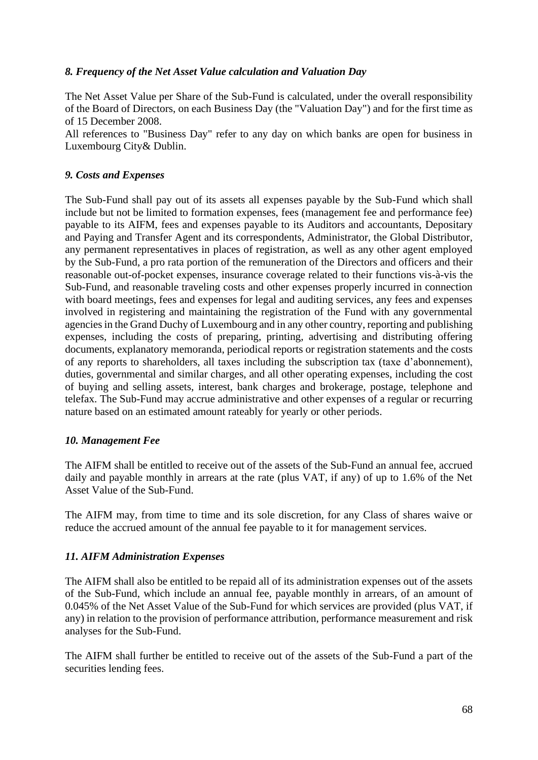# *8. Frequency of the Net Asset Value calculation and Valuation Day*

The Net Asset Value per Share of the Sub-Fund is calculated, under the overall responsibility of the Board of Directors, on each Business Day (the "Valuation Day") and for the first time as of 15 December 2008.

All references to "Business Day" refer to any day on which banks are open for business in Luxembourg City& Dublin.

## *9. Costs and Expenses*

The Sub-Fund shall pay out of its assets all expenses payable by the Sub-Fund which shall include but not be limited to formation expenses, fees (management fee and performance fee) payable to its AIFM, fees and expenses payable to its Auditors and accountants, Depositary and Paying and Transfer Agent and its correspondents, Administrator, the Global Distributor, any permanent representatives in places of registration, as well as any other agent employed by the Sub-Fund, a pro rata portion of the remuneration of the Directors and officers and their reasonable out-of-pocket expenses, insurance coverage related to their functions vis-à-vis the Sub-Fund, and reasonable traveling costs and other expenses properly incurred in connection with board meetings, fees and expenses for legal and auditing services, any fees and expenses involved in registering and maintaining the registration of the Fund with any governmental agencies in the Grand Duchy of Luxembourg and in any other country, reporting and publishing expenses, including the costs of preparing, printing, advertising and distributing offering documents, explanatory memoranda, periodical reports or registration statements and the costs of any reports to shareholders, all taxes including the subscription tax (taxe d'abonnement), duties, governmental and similar charges, and all other operating expenses, including the cost of buying and selling assets, interest, bank charges and brokerage, postage, telephone and telefax. The Sub-Fund may accrue administrative and other expenses of a regular or recurring nature based on an estimated amount rateably for yearly or other periods.

# *10. Management Fee*

The AIFM shall be entitled to receive out of the assets of the Sub-Fund an annual fee, accrued daily and payable monthly in arrears at the rate (plus VAT, if any) of up to 1.6% of the Net Asset Value of the Sub-Fund.

The AIFM may, from time to time and its sole discretion, for any Class of shares waive or reduce the accrued amount of the annual fee payable to it for management services.

#### *11. AIFM Administration Expenses*

The AIFM shall also be entitled to be repaid all of its administration expenses out of the assets of the Sub-Fund, which include an annual fee, payable monthly in arrears, of an amount of 0.045% of the Net Asset Value of the Sub-Fund for which services are provided (plus VAT, if any) in relation to the provision of performance attribution, performance measurement and risk analyses for the Sub-Fund.

The AIFM shall further be entitled to receive out of the assets of the Sub-Fund a part of the securities lending fees.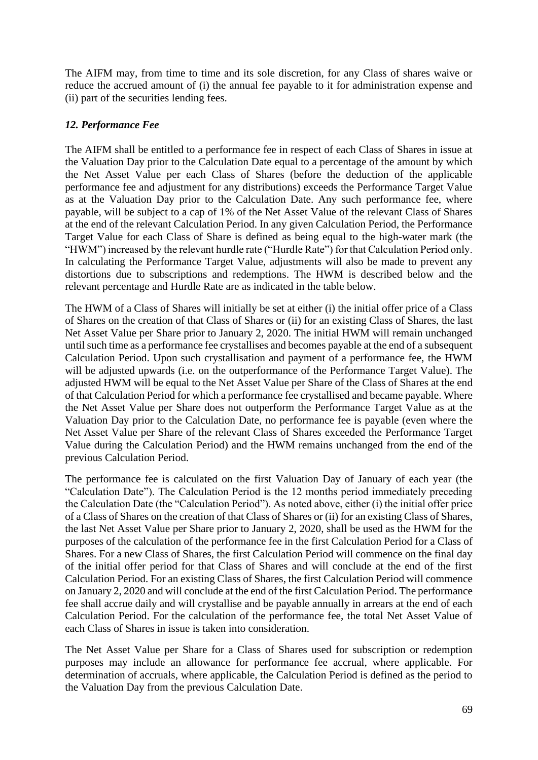The AIFM may, from time to time and its sole discretion, for any Class of shares waive or reduce the accrued amount of (i) the annual fee payable to it for administration expense and (ii) part of the securities lending fees.

## *12. Performance Fee*

The AIFM shall be entitled to a performance fee in respect of each Class of Shares in issue at the Valuation Day prior to the Calculation Date equal to a percentage of the amount by which the Net Asset Value per each Class of Shares (before the deduction of the applicable performance fee and adjustment for any distributions) exceeds the Performance Target Value as at the Valuation Day prior to the Calculation Date. Any such performance fee, where payable, will be subject to a cap of 1% of the Net Asset Value of the relevant Class of Shares at the end of the relevant Calculation Period. In any given Calculation Period, the Performance Target Value for each Class of Share is defined as being equal to the high-water mark (the "HWM") increased by the relevant hurdle rate ("Hurdle Rate") for that Calculation Period only. In calculating the Performance Target Value, adjustments will also be made to prevent any distortions due to subscriptions and redemptions. The HWM is described below and the relevant percentage and Hurdle Rate are as indicated in the table below.

The HWM of a Class of Shares will initially be set at either (i) the initial offer price of a Class of Shares on the creation of that Class of Shares or (ii) for an existing Class of Shares, the last Net Asset Value per Share prior to January 2, 2020. The initial HWM will remain unchanged until such time as a performance fee crystallises and becomes payable at the end of a subsequent Calculation Period. Upon such crystallisation and payment of a performance fee, the HWM will be adjusted upwards (i.e. on the outperformance of the Performance Target Value). The adjusted HWM will be equal to the Net Asset Value per Share of the Class of Shares at the end of that Calculation Period for which a performance fee crystallised and became payable. Where the Net Asset Value per Share does not outperform the Performance Target Value as at the Valuation Day prior to the Calculation Date, no performance fee is payable (even where the Net Asset Value per Share of the relevant Class of Shares exceeded the Performance Target Value during the Calculation Period) and the HWM remains unchanged from the end of the previous Calculation Period.

The performance fee is calculated on the first Valuation Day of January of each year (the "Calculation Date"). The Calculation Period is the 12 months period immediately preceding the Calculation Date (the "Calculation Period"). As noted above, either (i) the initial offer price of a Class of Shares on the creation of that Class of Shares or (ii) for an existing Class of Shares, the last Net Asset Value per Share prior to January 2, 2020, shall be used as the HWM for the purposes of the calculation of the performance fee in the first Calculation Period for a Class of Shares. For a new Class of Shares, the first Calculation Period will commence on the final day of the initial offer period for that Class of Shares and will conclude at the end of the first Calculation Period. For an existing Class of Shares, the first Calculation Period will commence on January 2, 2020 and will conclude at the end of the first Calculation Period. The performance fee shall accrue daily and will crystallise and be payable annually in arrears at the end of each Calculation Period. For the calculation of the performance fee, the total Net Asset Value of each Class of Shares in issue is taken into consideration.

The Net Asset Value per Share for a Class of Shares used for subscription or redemption purposes may include an allowance for performance fee accrual, where applicable. For determination of accruals, where applicable, the Calculation Period is defined as the period to the Valuation Day from the previous Calculation Date.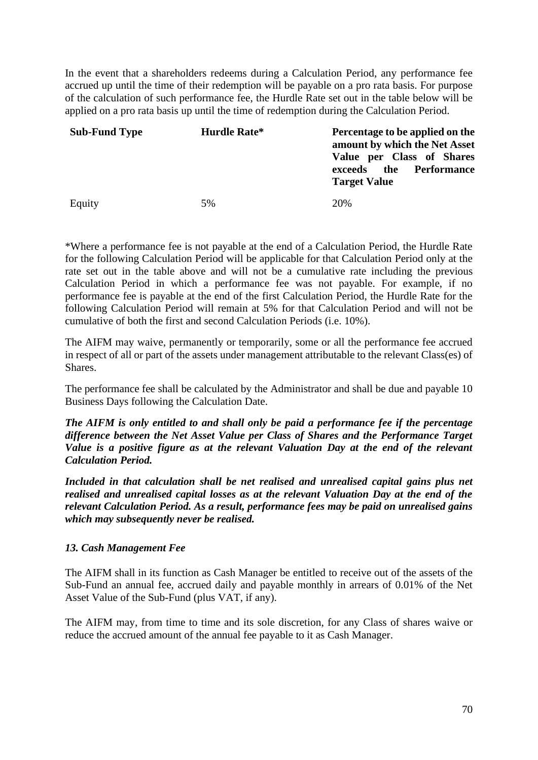In the event that a shareholders redeems during a Calculation Period, any performance fee accrued up until the time of their redemption will be payable on a pro rata basis. For purpose of the calculation of such performance fee, the Hurdle Rate set out in the table below will be applied on a pro rata basis up until the time of redemption during the Calculation Period.

| <b>Sub-Fund Type</b> | Hurdle Rate* | Percentage to be applied on the<br>amount by which the Net Asset<br>Value per Class of Shares<br>the Performance<br>exceeds<br><b>Target Value</b> |
|----------------------|--------------|----------------------------------------------------------------------------------------------------------------------------------------------------|
| Equity               | 5%           | 20%                                                                                                                                                |

\*Where a performance fee is not payable at the end of a Calculation Period, the Hurdle Rate for the following Calculation Period will be applicable for that Calculation Period only at the rate set out in the table above and will not be a cumulative rate including the previous Calculation Period in which a performance fee was not payable. For example, if no performance fee is payable at the end of the first Calculation Period, the Hurdle Rate for the following Calculation Period will remain at 5% for that Calculation Period and will not be cumulative of both the first and second Calculation Periods (i.e. 10%).

The AIFM may waive, permanently or temporarily, some or all the performance fee accrued in respect of all or part of the assets under management attributable to the relevant Class(es) of Shares.

The performance fee shall be calculated by the Administrator and shall be due and payable 10 Business Days following the Calculation Date.

*The AIFM is only entitled to and shall only be paid a performance fee if the percentage difference between the Net Asset Value per Class of Shares and the Performance Target Value is a positive figure as at the relevant Valuation Day at the end of the relevant Calculation Period.* 

*Included in that calculation shall be net realised and unrealised capital gains plus net realised and unrealised capital losses as at the relevant Valuation Day at the end of the relevant Calculation Period. As a result, performance fees may be paid on unrealised gains which may subsequently never be realised.*

# *13. Cash Management Fee*

The AIFM shall in its function as Cash Manager be entitled to receive out of the assets of the Sub-Fund an annual fee, accrued daily and payable monthly in arrears of 0.01% of the Net Asset Value of the Sub-Fund (plus VAT, if any).

The AIFM may, from time to time and its sole discretion, for any Class of shares waive or reduce the accrued amount of the annual fee payable to it as Cash Manager.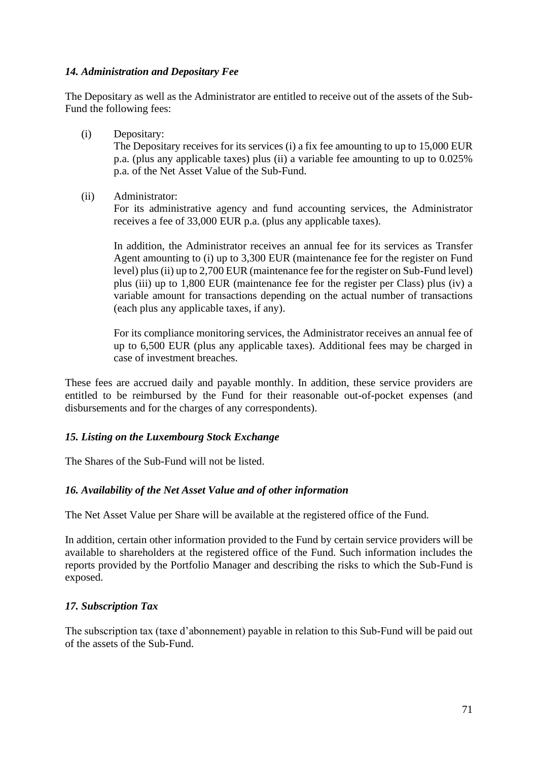## *14. Administration and Depositary Fee*

The Depositary as well as the Administrator are entitled to receive out of the assets of the Sub-Fund the following fees:

(i) Depositary:

The Depositary receives for its services (i) a fix fee amounting to up to 15,000 EUR p.a. (plus any applicable taxes) plus (ii) a variable fee amounting to up to 0.025% p.a. of the Net Asset Value of the Sub-Fund.

(ii) Administrator:

For its administrative agency and fund accounting services, the Administrator receives a fee of 33,000 EUR p.a. (plus any applicable taxes).

In addition, the Administrator receives an annual fee for its services as Transfer Agent amounting to (i) up to 3,300 EUR (maintenance fee for the register on Fund level) plus (ii) up to 2,700 EUR (maintenance fee for the register on Sub-Fund level) plus (iii) up to 1,800 EUR (maintenance fee for the register per Class) plus (iv) a variable amount for transactions depending on the actual number of transactions (each plus any applicable taxes, if any).

For its compliance monitoring services, the Administrator receives an annual fee of up to 6,500 EUR (plus any applicable taxes). Additional fees may be charged in case of investment breaches.

These fees are accrued daily and payable monthly. In addition, these service providers are entitled to be reimbursed by the Fund for their reasonable out-of-pocket expenses (and disbursements and for the charges of any correspondents).

# *15. Listing on the Luxembourg Stock Exchange*

The Shares of the Sub-Fund will not be listed.

# *16. Availability of the Net Asset Value and of other information*

The Net Asset Value per Share will be available at the registered office of the Fund.

In addition, certain other information provided to the Fund by certain service providers will be available to shareholders at the registered office of the Fund. Such information includes the reports provided by the Portfolio Manager and describing the risks to which the Sub-Fund is exposed.

# *17. Subscription Tax*

The subscription tax (taxe d'abonnement) payable in relation to this Sub-Fund will be paid out of the assets of the Sub-Fund.